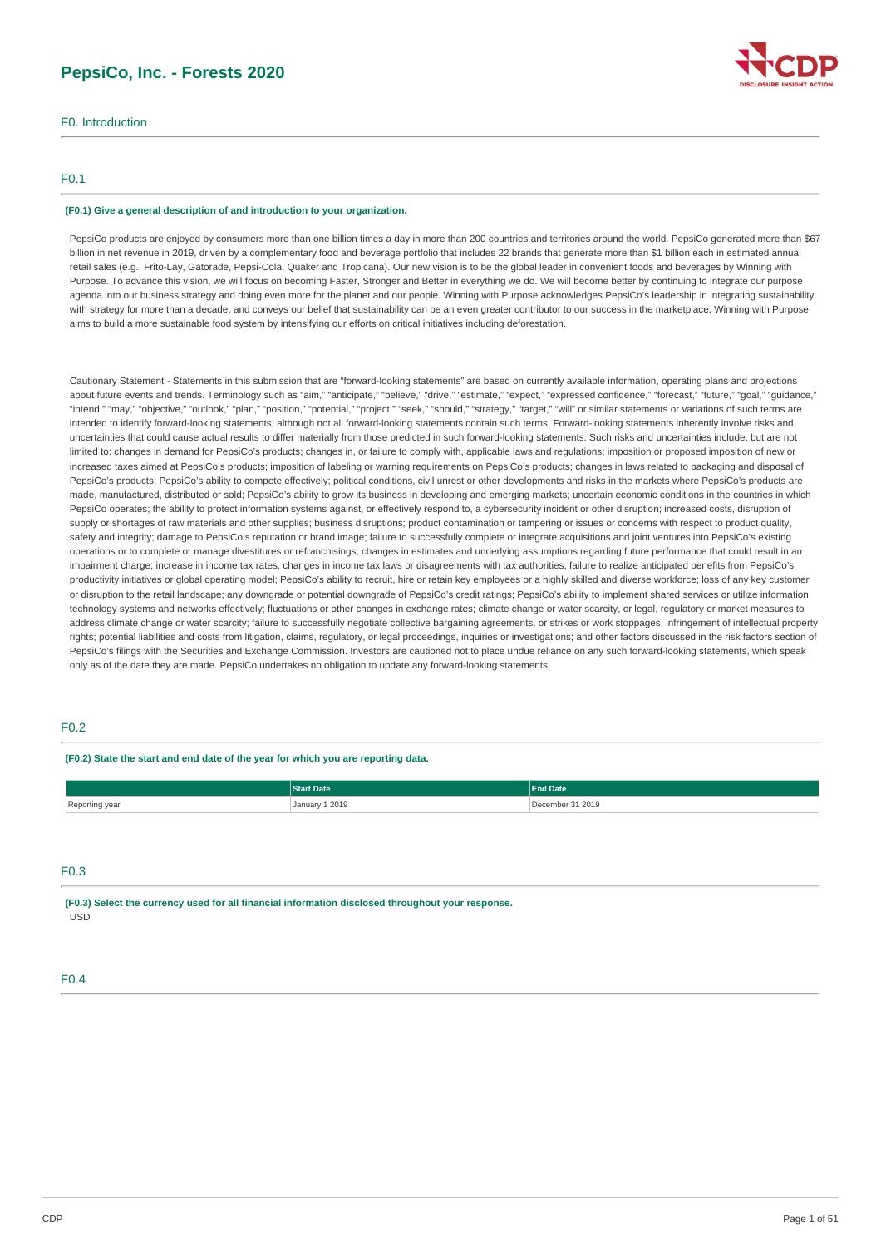## **PepsiCo, Inc. - Forests 2020**

F0. Introduction

### F0.1

#### **(F0.1) Give a general description of and introduction to your organization.**

PepsiCo products are enjoyed by consumers more than one billion times a day in more than 200 countries and territories around the world. PepsiCo generated more than \$67 billion in net revenue in 2019, driven by a complementary food and beverage portfolio that includes 22 brands that generate more than \$1 billion each in estimated annual retail sales (e.g., Frito-Lay, Gatorade, Pepsi-Cola, Quaker and Tropicana). Our new vision is to be the global leader in convenient foods and beverages by Winning with Purpose. To advance this vision, we will focus on becoming Faster, Stronger and Better in everything we do. We will become better by continuing to integrate our purpose agenda into our business strategy and doing even more for the planet and our people. Winning with Purpose acknowledges PepsiCo's leadership in integrating sustainability with strategy for more than a decade, and conveys our belief that sustainability can be an even greater contributor to our success in the marketplace. Winning with Purpose aims to build a more sustainable food system by intensifying our efforts on critical initiatives including deforestation.

Cautionary Statement - Statements in this submission that are "forward-looking statements" are based on currently available information, operating plans and projections about future events and trends. Terminology such as "aim," "anticipate," "believe," "drive," "estimate," "exprect," "expressed confidence," "forecast," "future," "goal," "guidance," "intend," "may," "objective," "outlook," "plan," "position," "potential," "project," "seek," "should," "strategy," "target," "will" or similar statements or variations of such terms are intended to identify forward-looking statements, although not all forward-looking statements contain such terms. Forward-looking statements inherently involve risks and uncertainties that could cause actual results to differ materially from those predicted in such forward-looking statements. Such risks and uncertainties include, but are not limited to: changes in demand for PepsiCo's products; changes in, or failure to comply with, applicable laws and regulations; imposition or proposed imposition of new or increased taxes aimed at PepsiCo's products; imposition of labeling or warning requirements on PepsiCo's products; changes in laws related to packaging and disposal of PepsiCo's products; PepsiCo's ability to compete effectively; political conditions, civil unrest or other developments and risks in the markets where PepsiCo's products are made, manufactured, distributed or sold; PepsiCo's ability to grow its business in developing and emerging markets; uncertain economic conditions in the countries in which PepsiCo operates: the ability to protect information systems against, or effectively respond to, a cybersecurity incident or other disruption; increased costs, disruption of supply or shortages of raw materials and other supplies; business disruptions; product contamination or tampering or issues or concerns with respect to product quality, safety and integrity; damage to PepsiCo's reputation or brand image; failure to successfully complete or integrate acquisitions and joint ventures into PepsiCo's existing operations or to complete or manage divestitures or refranchisings; changes in estimates and underlying assumptions regarding future performance that could result in an impairment charge; increase in income tax rates, changes in income tax laws or disagreements with tax authorities; failure to realize anticipated benefits from PepsiCo's productivity initiatives or global operating model; PepsiCo's ability to recruit, hire or retain key employees or a highly skilled and diverse workforce; loss of any key customer or disruption to the retail landscape; any downgrade or potential downgrade of PepsiCo's credit ratings; PepsiCo's ability to implement shared services or utilize information technology systems and networks effectively; fluctuations or other changes in exchange rates; climate change or water scarcity, or legal, regulatory or market measures to address climate change or water scarcity; failure to successfully negotiate collective bargaining agreements, or strikes or work stoppages; infringement of intellectual property rights; potential liabilities and costs from litigation, claims, regulatory, or legal proceedings, inquiries or investigations; and other factors discussed in the risk factors section of PepsiCo's filings with the Securities and Exchange Commission. Investors are cautioned not to place undue reliance on any such forward-looking statements, which speak only as of the date they are made. PepsiCo undertakes no obligation to update any forward-looking statements.

### F0.2

**(F0.2) State the start and end date of the year for which you are reporting data.**

|                | <b>Start Date</b>        | <b>Ind Date</b>       |  |
|----------------|--------------------------|-----------------------|--|
| Reporting year | January 1 2019<br>.<br>. | December 31 2019<br>. |  |

### $EQ3$

**(F0.3) Select the currency used for all financial information disclosed throughout your response.** USD

### F0.4

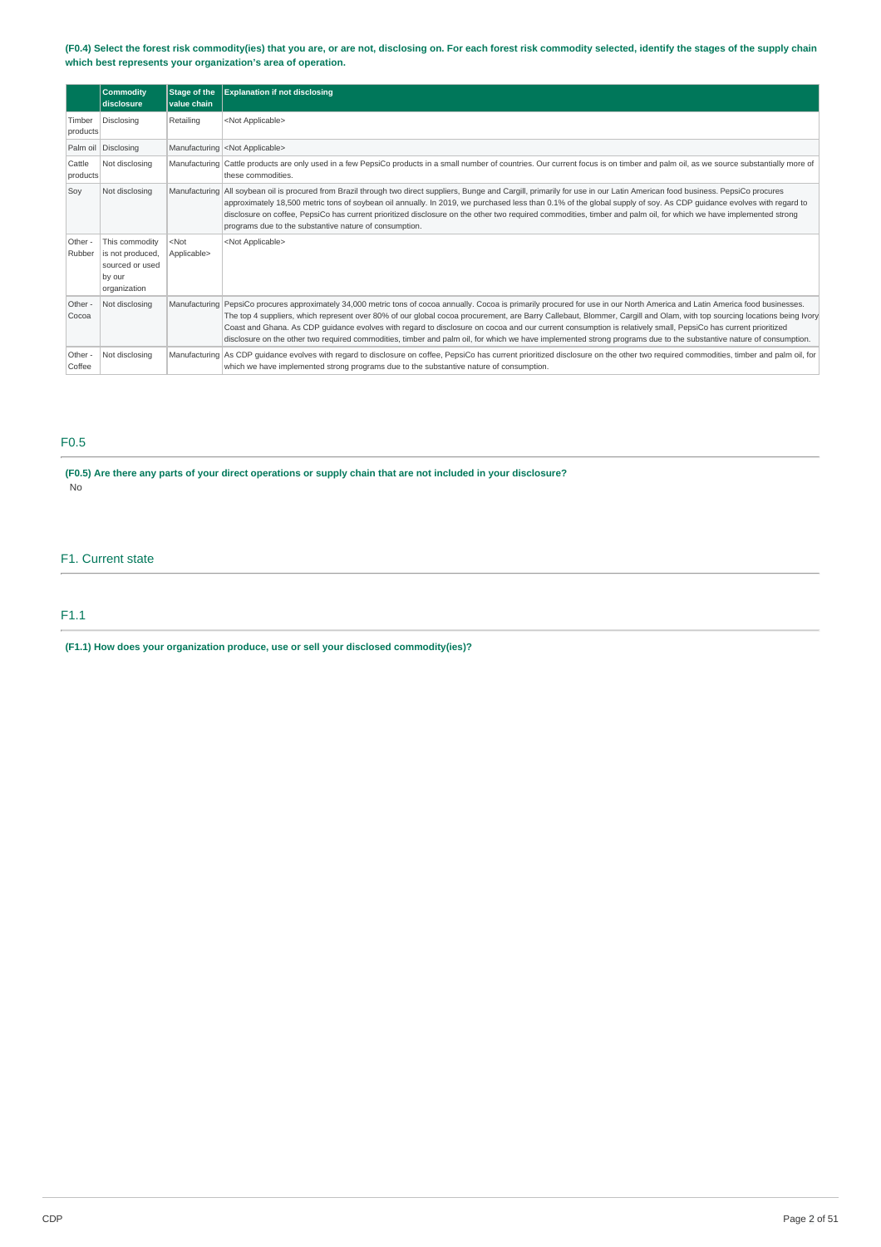(F0.4) Select the forest risk commodity(ies) that you are, or are not, disclosing on. For each forest risk commodity selected, identify the stages of the supply chain **which best represents your organization's area of operation.**

|                    | <b>Commodity</b><br>disclosure                                                  | Stage of the<br>value chain | <b>Explanation if not disclosing</b>                                                                                                                                                                                                                                                                                                                                                                                                                                                                                                                                                                                                                                                           |
|--------------------|---------------------------------------------------------------------------------|-----------------------------|------------------------------------------------------------------------------------------------------------------------------------------------------------------------------------------------------------------------------------------------------------------------------------------------------------------------------------------------------------------------------------------------------------------------------------------------------------------------------------------------------------------------------------------------------------------------------------------------------------------------------------------------------------------------------------------------|
| Timber<br>products | Disclosing                                                                      | Retailing                   | <not applicable=""></not>                                                                                                                                                                                                                                                                                                                                                                                                                                                                                                                                                                                                                                                                      |
|                    | Palm oil Disclosing                                                             |                             | Manufacturing <not applicable=""></not>                                                                                                                                                                                                                                                                                                                                                                                                                                                                                                                                                                                                                                                        |
| Cattle<br>products | Not disclosing                                                                  |                             | Manufacturing Cattle products are only used in a few PepsiCo products in a small number of countries. Our current focus is on timber and palm oil, as we source substantially more of<br>these commodities.                                                                                                                                                                                                                                                                                                                                                                                                                                                                                    |
| Soy                | Not disclosing                                                                  |                             | Manufacturing All soybean oil is procured from Brazil through two direct suppliers, Bunge and Cargill, primarily for use in our Latin American food business. PepsiCo procures<br>approximately 18,500 metric tons of soybean oil annually. In 2019, we purchased less than 0.1% of the global supply of soy. As CDP guidance evolves with regard to<br>disclosure on coffee, PepsiCo has current prioritized disclosure on the other two required commodities, timber and palm oil, for which we have implemented strong<br>programs due to the substantive nature of consumption.                                                                                                            |
| Other -<br>Rubber  | This commodity<br>is not produced,<br>sourced or used<br>by our<br>organization | $<$ Not<br>Applicable>      | <not applicable=""></not>                                                                                                                                                                                                                                                                                                                                                                                                                                                                                                                                                                                                                                                                      |
| Other -<br>Cocoa   | Not disclosing                                                                  |                             | Manufacturing PepsiCo procures approximately 34,000 metric tons of cocoa annually. Cocoa is primarily procured for use in our North America and Latin America food businesses.<br>The top 4 suppliers, which represent over 80% of our global cocoa procurement, are Barry Callebaut, Blommer, Cargill and Olam, with top sourcing locations being Ivory<br>Coast and Ghana. As CDP quidance evolves with regard to disclosure on cocoa and our current consumption is relatively small, PepsiCo has current prioritized<br>disclosure on the other two required commodities, timber and palm oil, for which we have implemented strong programs due to the substantive nature of consumption. |
| Other -<br>Coffee  | Not disclosing                                                                  |                             | Manufacturing As CDP quidance evolves with regard to disclosure on coffee, PepsiCo has current prioritized disclosure on the other two required commodities, timber and palm oil, for<br>which we have implemented strong programs due to the substantive nature of consumption.                                                                                                                                                                                                                                                                                                                                                                                                               |

## F0.5

(F0.5) Are there any parts of your direct operations or supply chain that are not included in your disclosure? No

## F1. Current state

## F1.1

**(F1.1) How does your organization produce, use or sell your disclosed commodity(ies)?**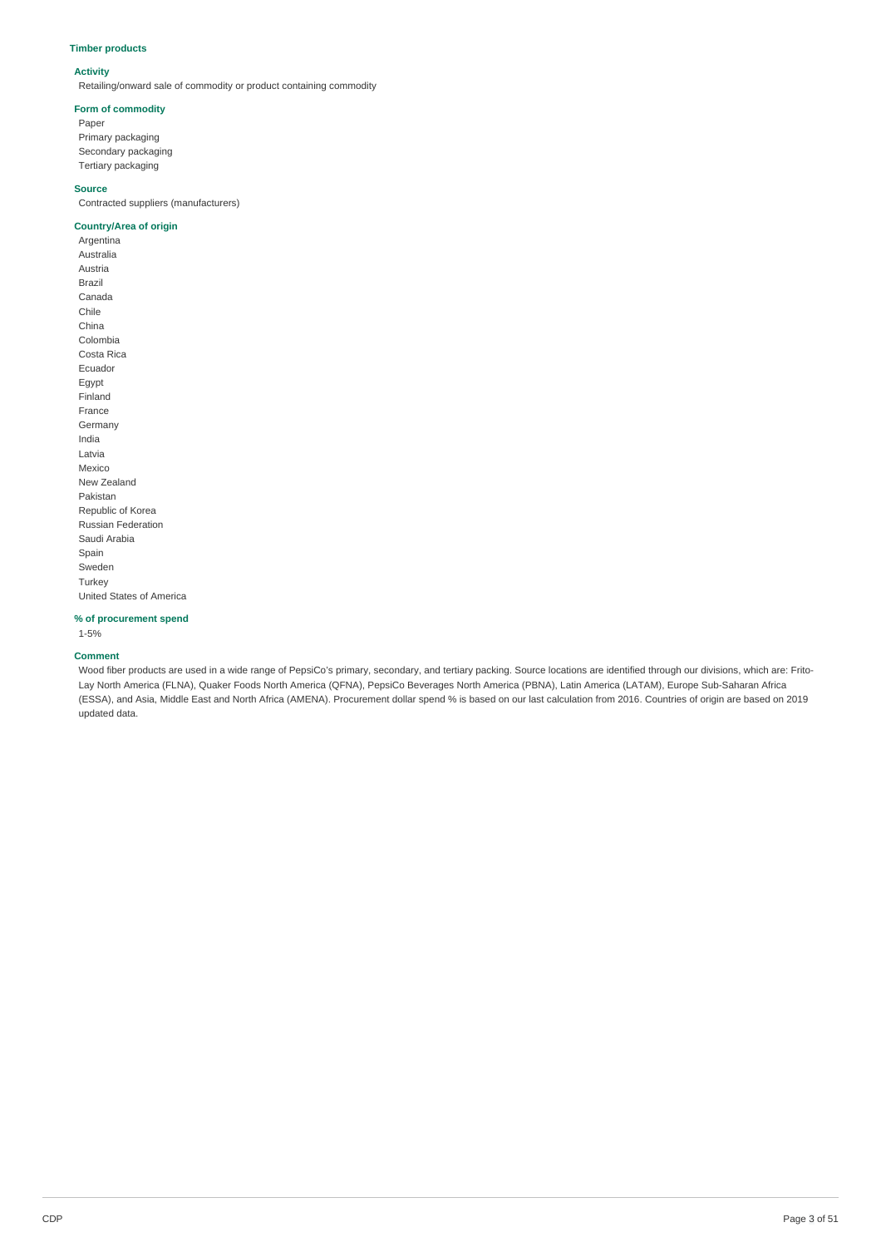### **Timber products**

### **Activity**

Retailing/onward sale of commodity or product containing commodity

### **Form of commodity**

Paper Primary packaging Secondary packaging Tertiary packaging

### **Source**

Contracted suppliers (manufacturers)

### **Country/Area of origin**

Argentina Australia Austria Brazil Canada Chile China Colombia Costa Rica Ecuador Egypt Finland France Germany India Latvia Mexico New Zealand Pakistan Republic of Korea Russian Federation Saudi Arabia Spain Sweden Turkey United States of America

### **% of procurement spend**

1-5%

### **Comment**

Wood fiber products are used in a wide range of PepsiCo's primary, secondary, and tertiary packing. Source locations are identified through our divisions, which are: Frito-Lay North America (FLNA), Quaker Foods North America (QFNA), PepsiCo Beverages North America (PBNA), Latin America (LATAM), Europe Sub-Saharan Africa (ESSA), and Asia, Middle East and North Africa (AMENA). Procurement dollar spend % is based on our last calculation from 2016. Countries of origin are based on 2019 updated data.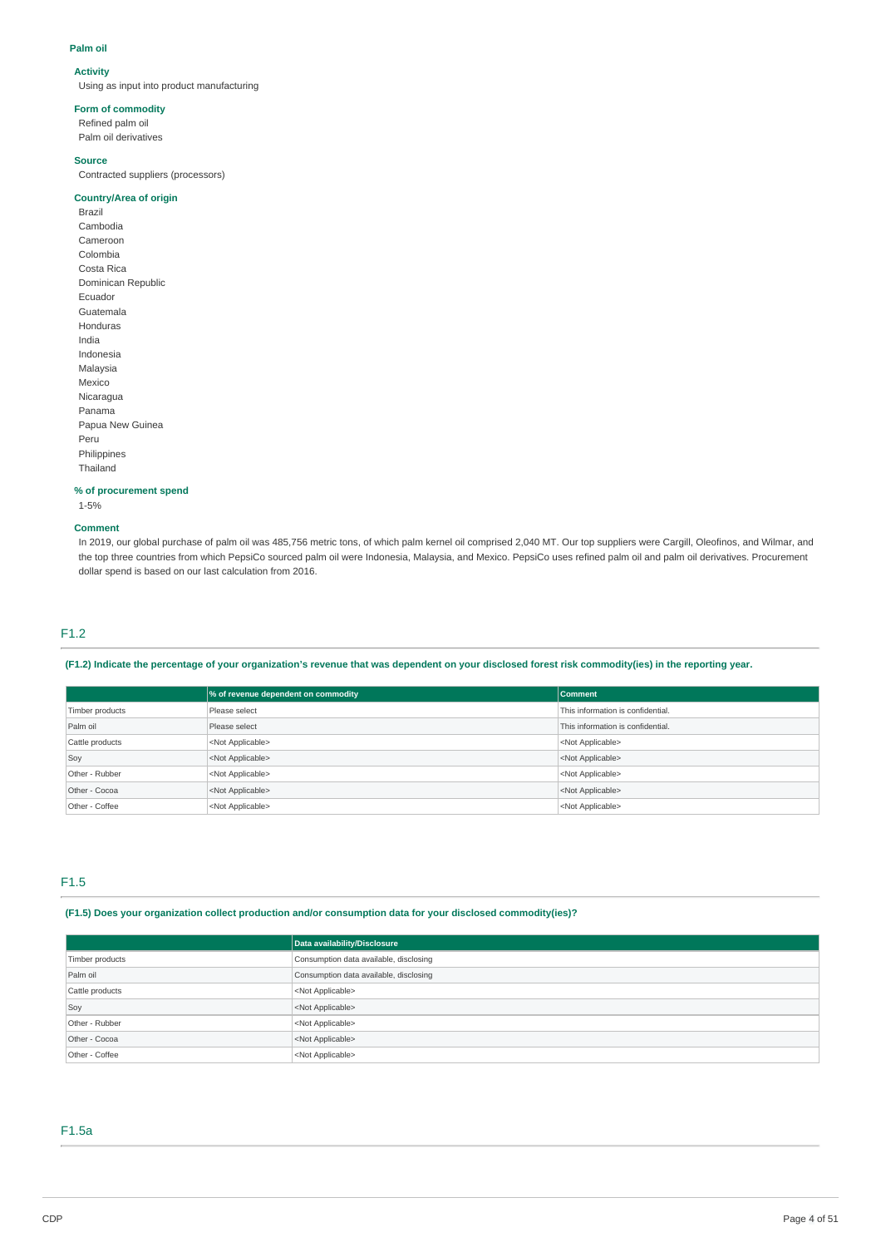#### **Palm oil**

### **Activity**

Using as input into product manufacturing

### **Form of commodity**

Refined palm oil Palm oil derivatives

#### **Source**

Contracted suppliers (processors)

### **Country/Area of origin**

Brazil Cambodia Cameroon Colombia Costa Rica Dominican Republic Ecuador Guatemala Honduras India Indonesia Malaysia Mexico Nicaragua Panama Papua New Guinea Peru Philippines Thailand

#### **% of procurement spend**

1-5%

### **Comment**

In 2019, our global purchase of palm oil was 485,756 metric tons, of which palm kernel oil comprised 2,040 MT. Our top suppliers were Cargill, Oleofinos, and Wilmar, and the top three countries from which PepsiCo sourced palm oil were Indonesia, Malaysia, and Mexico. PepsiCo uses refined palm oil and palm oil derivatives. Procurement dollar spend is based on our last calculation from 2016.

## F1.2

### (F1.2) Indicate the percentage of your organization's revenue that was dependent on your disclosed forest risk commodity(ies) in the reporting year.

|                 | % of revenue dependent on commodity | <b>Comment</b>                    |
|-----------------|-------------------------------------|-----------------------------------|
| Timber products | Please select                       | This information is confidential. |
| Palm oil        | Please select                       | This information is confidential. |
| Cattle products | <not applicable=""></not>           | <not applicable=""></not>         |
| Soy             | <not applicable=""></not>           | <not applicable=""></not>         |
| Other - Rubber  | <not applicable=""></not>           | <not applicable=""></not>         |
| Other - Cocoa   | <not applicable=""></not>           | <not applicable=""></not>         |
| Other - Coffee  | <not applicable=""></not>           | <not applicable=""></not>         |

## F1.5

**(F1.5) Does your organization collect production and/or consumption data for your disclosed commodity(ies)?**

|                 | Data availability/Disclosure           |
|-----------------|----------------------------------------|
| Timber products | Consumption data available, disclosing |
| Palm oil        | Consumption data available, disclosing |
| Cattle products | <not applicable=""></not>              |
| Soy             | <not applicable=""></not>              |
| Other - Rubber  | <not applicable=""></not>              |
| Other - Cocoa   | <not applicable=""></not>              |
| Other - Coffee  | <not applicable=""></not>              |

## F1.5a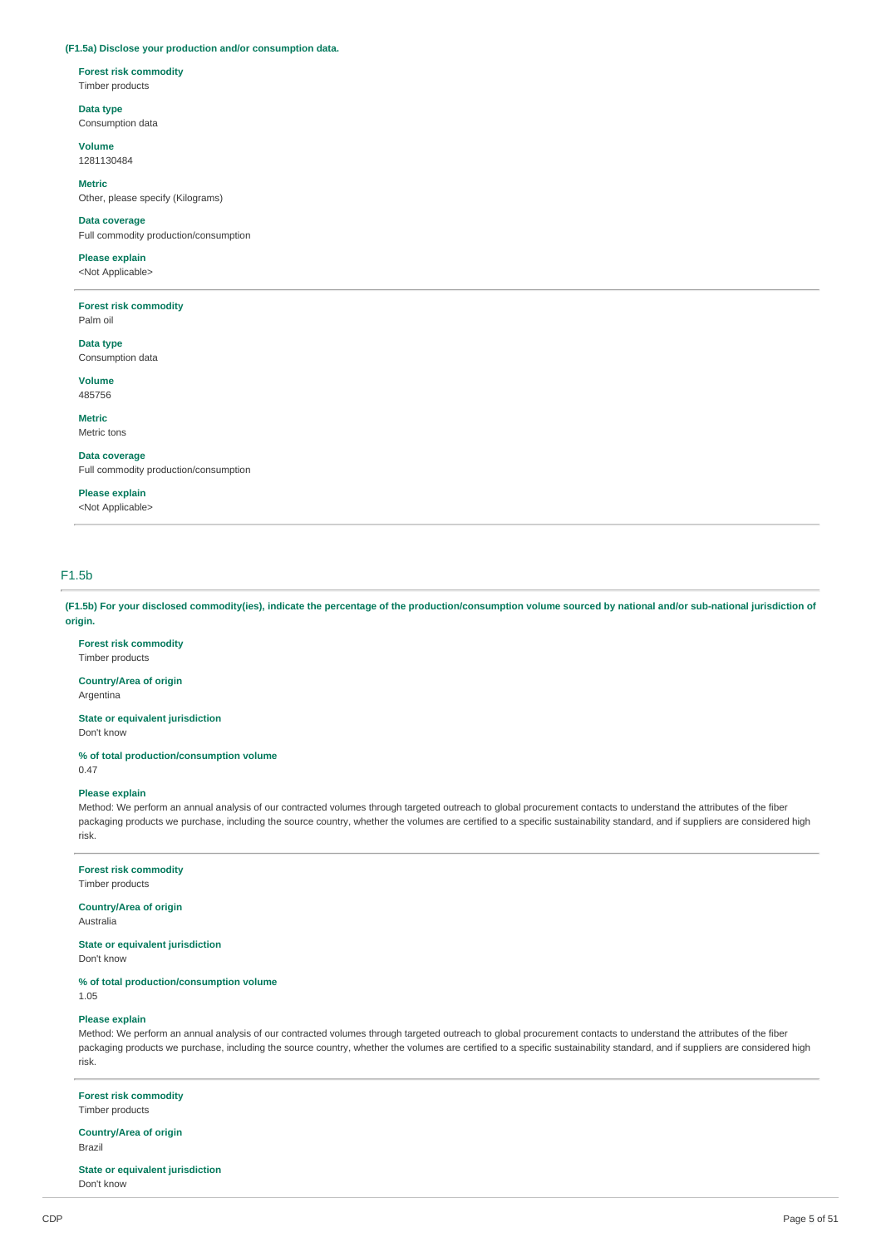#### **(F1.5a) Disclose your production and/or consumption data.**

**Forest risk commodity**

Timber products

**Data type** Consumption data

**Volume** 1281130484

**Metric** Other, please specify (Kilograms)

**Data coverage** Full commodity production/consumption

## **Please explain**

<Not Applicable>

**Forest risk commodity** Palm oil

**Data type**

Consumption data

**Volume** 485756

**Metric**

Metric tons

**Data coverage** Full commodity production/consumption

### **Please explain**

<Not Applicable>

## F1.5b

(F1.5b) For your disclosed commodity(ies), indicate the percentage of the production/consumption volume sourced by national and/or sub-national jurisdiction of **origin.**

**Forest risk commodity** Timber products

**Country/Area of origin** Argentina

**State or equivalent jurisdiction**

Don't know

**% of total production/consumption volume**

0.47

#### **Please explain**

Method: We perform an annual analysis of our contracted volumes through targeted outreach to global procurement contacts to understand the attributes of the fiber packaging products we purchase, including the source country, whether the volumes are certified to a specific sustainability standard, and if suppliers are considered high risk.

### **Forest risk commodity**

Timber products

### **Country/Area of origin**

Australia

**State or equivalent jurisdiction**

Don't know

### **% of total production/consumption volume**

1.05

### **Please explain**

Method: We perform an annual analysis of our contracted volumes through targeted outreach to global procurement contacts to understand the attributes of the fiber packaging products we purchase, including the source country, whether the volumes are certified to a specific sustainability standard, and if suppliers are considered high risk.

## **Forest risk commodity**

Timber products

**Country/Area of origin** Brazil

**State or equivalent jurisdiction** Don't know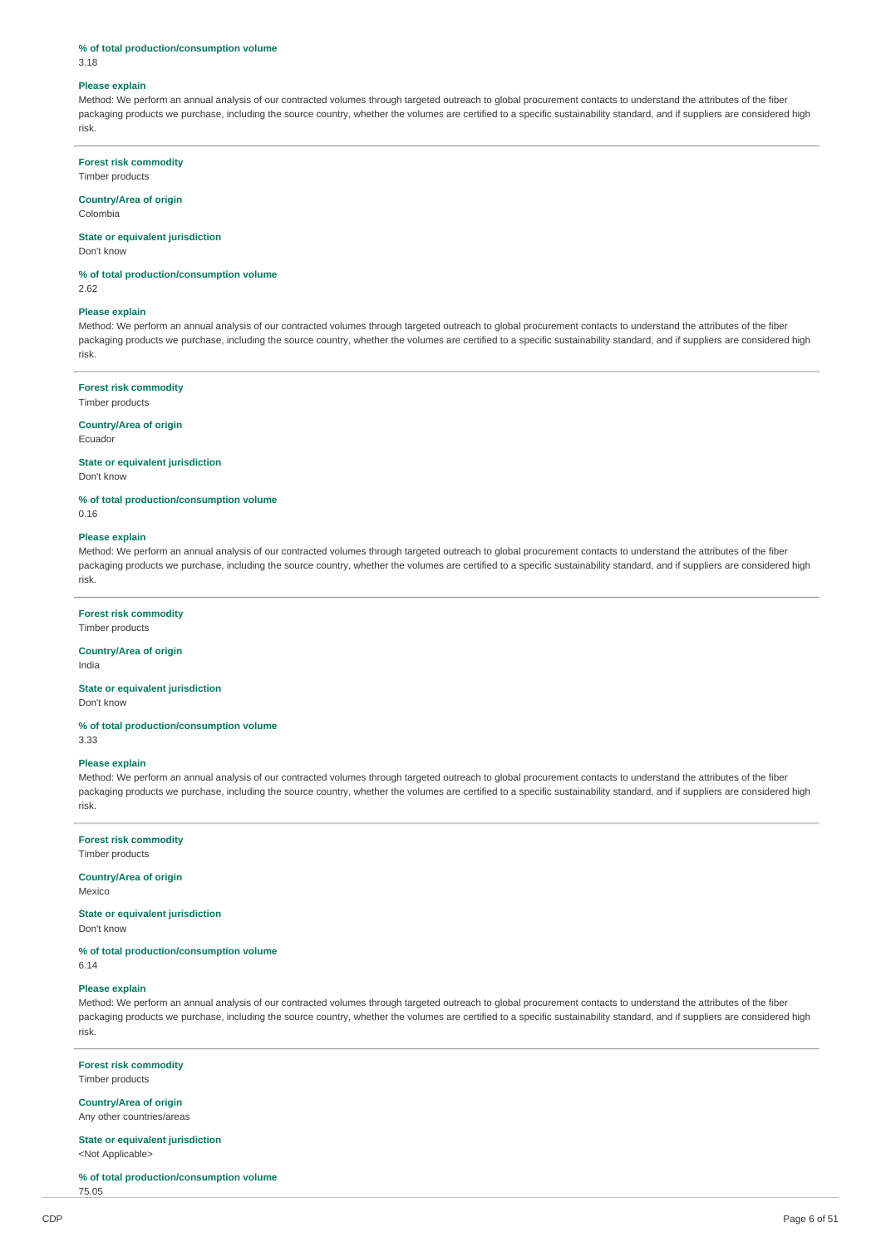#### **% of total production/consumption volume**

3.18

#### **Please explain**

Method: We perform an annual analysis of our contracted volumes through targeted outreach to global procurement contacts to understand the attributes of the fiber packaging products we purchase, including the source country, whether the volumes are certified to a specific sustainability standard, and if suppliers are considered high risk.

### **Forest risk commodity**

Timber products

#### **Country/Area of origin**

Colombia

### **State or equivalent jurisdiction**

Don't know

**% of total production/consumption volume**

2.62

### **Please explain**

Method: We perform an annual analysis of our contracted volumes through targeted outreach to global procurement contacts to understand the attributes of the fiber packaging products we purchase, including the source country, whether the volumes are certified to a specific sustainability standard, and if suppliers are considered high risk.

### **Forest risk commodity**

Timber products

#### **Country/Area of origin**

Ecuador

0.16

#### **State or equivalent jurisdiction**

Don't know

**% of total production/consumption volume**

#### **Please explain**

Method: We perform an annual analysis of our contracted volumes through targeted outreach to global procurement contacts to understand the attributes of the fiber packaging products we purchase, including the source country, whether the volumes are certified to a specific sustainability standard, and if suppliers are considered high risk.

#### **Forest risk commodity**

Timber products

### **Country/Area of origin**

India

## **State or equivalent jurisdiction**

Don't know

### **% of total production/consumption volume**

3.33

### **Please explain**

Method: We perform an annual analysis of our contracted volumes through targeted outreach to global procurement contacts to understand the attributes of the fiber packaging products we purchase, including the source country, whether the volumes are certified to a specific sustainability standard, and if suppliers are considered high risk.

### **Forest risk commodity**

Timber products

#### **Country/Area of origin**

Mexico

### **State or equivalent jurisdiction**

Don't know

## **% of total production/consumption volume**

6.14

### **Please explain**

Method: We perform an annual analysis of our contracted volumes through targeted outreach to global procurement contacts to understand the attributes of the fiber packaging products we purchase, including the source country, whether the volumes are certified to a specific sustainability standard, and if suppliers are considered high risk.

## **Forest risk commodity**

Timber products

## **Country/Area of origin**

Any other countries/areas

### **State or equivalent jurisdiction** <Not Applicable>

**% of total production/consumption volume**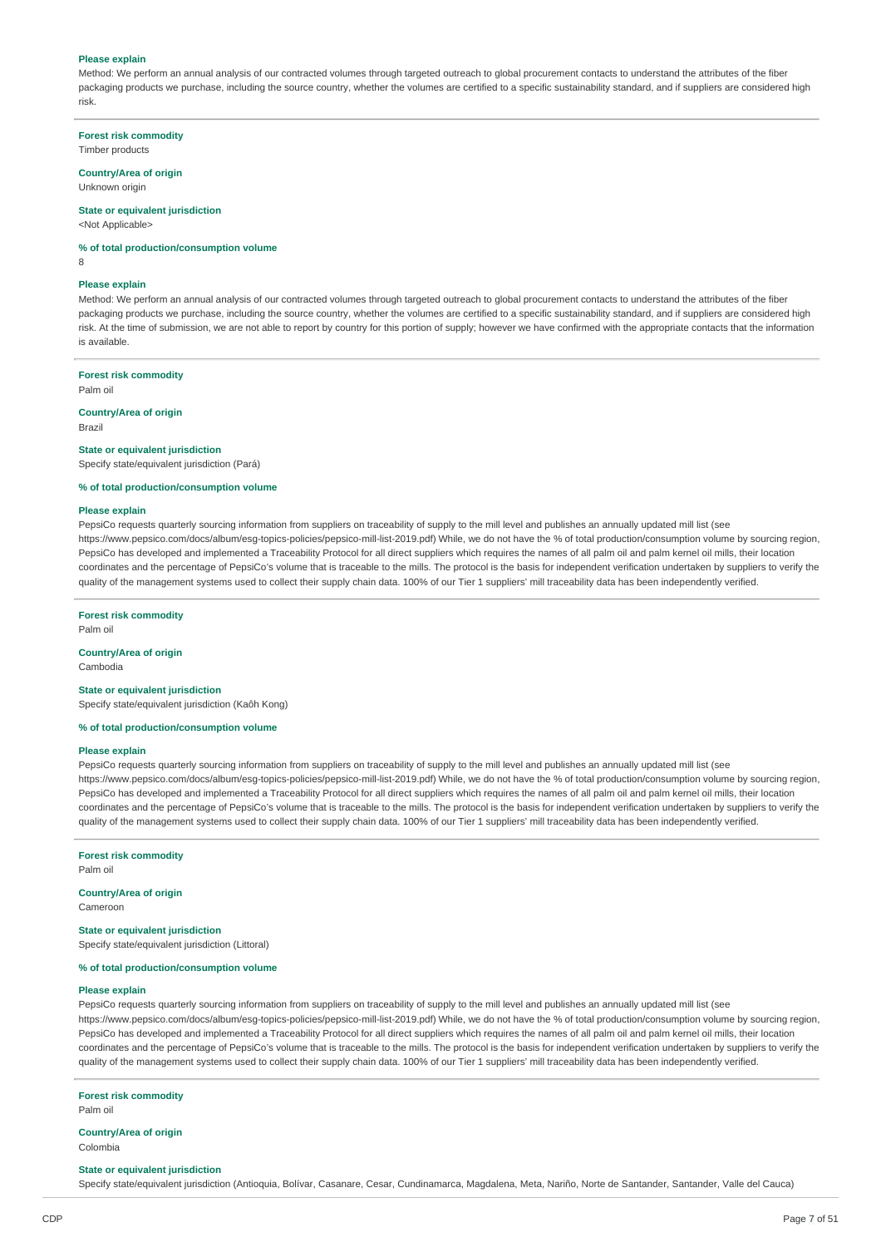### **Please explain**

Method: We perform an annual analysis of our contracted volumes through targeted outreach to global procurement contacts to understand the attributes of the fiber packaging products we purchase, including the source country, whether the volumes are certified to a specific sustainability standard, and if suppliers are considered high risk.

**Forest risk commodity** Timber products

### **Country/Area of origin**

Unknown origin

### **State or equivalent jurisdiction**

<Not Applicable>

**% of total production/consumption volume** 8

#### **Please explain**

Method: We perform an annual analysis of our contracted volumes through targeted outreach to global procurement contacts to understand the attributes of the fiber packaging products we purchase, including the source country, whether the volumes are certified to a specific sustainability standard, and if suppliers are considered high risk. At the time of submission, we are not able to report by country for this portion of supply; however we have confirmed with the appropriate contacts that the information is available.

#### **Forest risk commodity**

Palm oil

### **Country/Area of origin**

Brazil

#### **State or equivalent jurisdiction**

Specify state/equivalent jurisdiction (Pará)

#### **% of total production/consumption volume**

### **Please explain**

PepsiCo requests quarterly sourcing information from suppliers on traceability of supply to the mill level and publishes an annually updated mill list (see https://www.pepsico.com/docs/album/esg-topics-policies/pepsico-mill-list-2019.pdf) While, we do not have the % of total production/consumption volume by sourcing region, PepsiCo has developed and implemented a Traceability Protocol for all direct suppliers which requires the names of all palm oil and palm kernel oil mills, their location coordinates and the percentage of PepsiCo's volume that is traceable to the mills. The protocol is the basis for independent verification undertaken by suppliers to verify the quality of the management systems used to collect their supply chain data. 100% of our Tier 1 suppliers' mill traceability data has been independently verified.

#### **Forest risk commodity**

Palm oil

## **Country/Area of origin**

Cambodia

### **State or equivalent jurisdiction**

Specify state/equivalent jurisdiction (Kaôh Kong)

### **% of total production/consumption volume**

### **Please explain**

PepsiCo requests quarterly sourcing information from suppliers on traceability of supply to the mill level and publishes an annually updated mill list (see https://www.pepsico.com/docs/album/esg-topics-policies/pepsico-mill-list-2019.pdf) While, we do not have the % of total production/consumption volume by sourcing region, PepsiCo has developed and implemented a Traceability Protocol for all direct suppliers which requires the names of all palm oil and palm kernel oil mills, their location coordinates and the percentage of PepsiCo's volume that is traceable to the mills. The protocol is the basis for independent verification undertaken by suppliers to verify the quality of the management systems used to collect their supply chain data. 100% of our Tier 1 suppliers' mill traceability data has been independently verified

**Forest risk commodity**

Palm oil

## **Country/Area of origin**

Cameroon

**State or equivalent jurisdiction** Specify state/equivalent jurisdiction (Littoral)

### **% of total production/consumption volume**

#### **Please explain**

PepsiCo requests quarterly sourcing information from suppliers on traceability of supply to the mill level and publishes an annually updated mill list (see https://www.pepsico.com/docs/album/esg-topics-policies/pepsico-mill-list-2019.pdf) While, we do not have the % of total production/consumption volume by sourcing region, PepsiCo has developed and implemented a Traceability Protocol for all direct suppliers which requires the names of all palm oil and palm kernel oil mills, their location coordinates and the percentage of PepsiCo's volume that is traceable to the mills. The protocol is the basis for independent verification undertaken by suppliers to verify the quality of the management systems used to collect their supply chain data. 100% of our Tier 1 suppliers' mill traceability data has been independently verified.

### **Forest risk commodity**

Palm oil

### **Country/Area of origin**

Colombia

#### **State or equivalent jurisdiction**

Specify state/equivalent jurisdiction (Antioquia, Bolívar, Casanare, Cesar, Cundinamarca, Magdalena, Meta, Nariño, Norte de Santander, Santander, Valle del Cauca)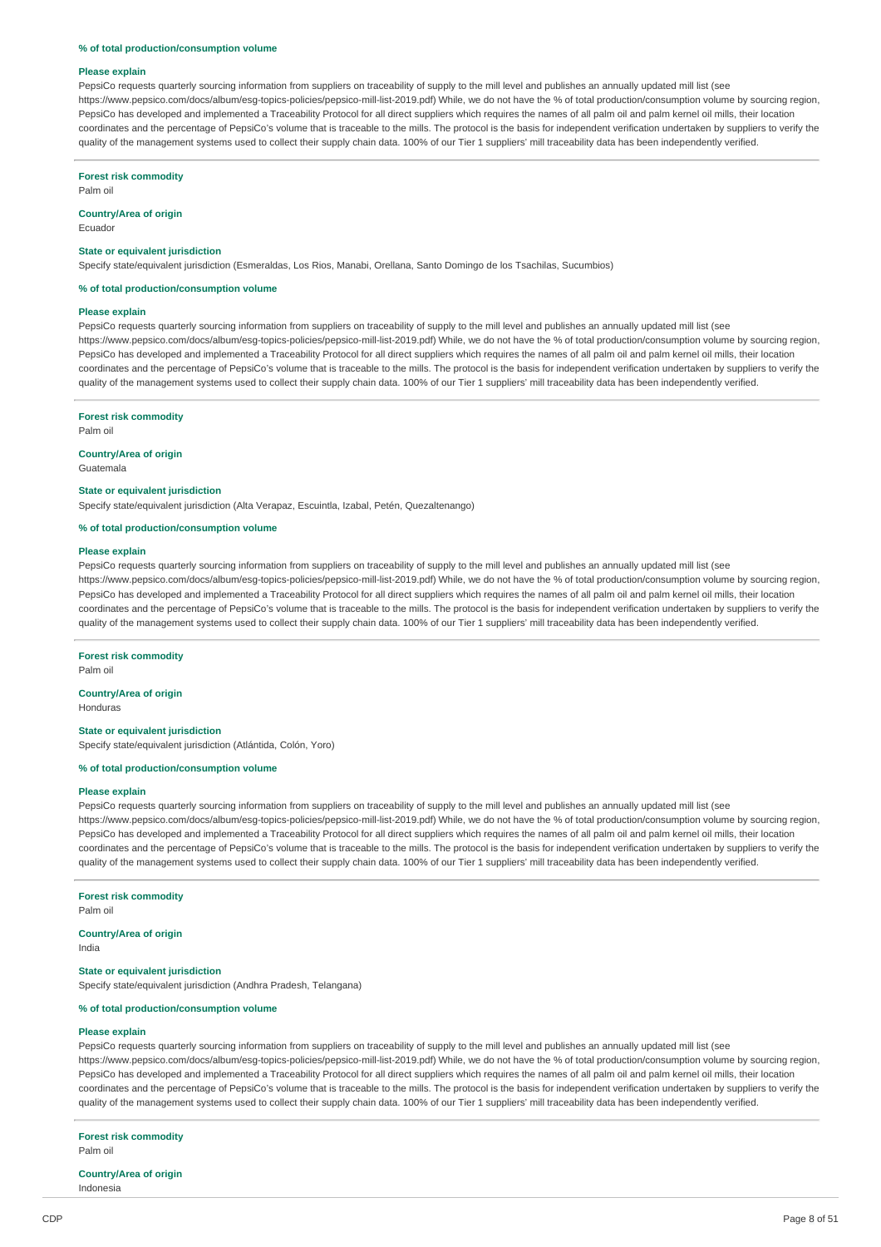#### **% of total production/consumption volume**

#### **Please explain**

PepsiCo requests quarterly sourcing information from suppliers on traceability of supply to the mill level and publishes an annually updated mill list (see https://www.pepsico.com/docs/album/esg-topics-policies/pepsico-mill-list-2019.pdf) While, we do not have the % of total production/consumption volume by sourcing region, PepsiCo has developed and implemented a Traceability Protocol for all direct suppliers which requires the names of all palm oil and palm kernel oil mills, their location coordinates and the percentage of PepsiCo's volume that is traceable to the mills. The protocol is the basis for independent verification undertaken by suppliers to verify the quality of the management systems used to collect their supply chain data. 100% of our Tier 1 suppliers' mill traceability data has been independently verified.

### **Forest risk commodity**

Palm oil

## **Country/Area of origin**

Ecuador

#### **State or equivalent jurisdiction**

Specify state/equivalent jurisdiction (Esmeraldas, Los Rios, Manabi, Orellana, Santo Domingo de los Tsachilas, Sucumbios)

#### **% of total production/consumption volume**

#### **Please explain**

PepsiCo requests quarterly sourcing information from suppliers on traceability of supply to the mill level and publishes an annually updated mill list (see https://www.pepsico.com/docs/album/esg-topics-policies/pepsico-mill-list-2019.pdf) While, we do not have the % of total production/consumption volume by sourcing region, PepsiCo has developed and implemented a Traceability Protocol for all direct suppliers which requires the names of all palm oil and palm kernel oil mills, their location coordinates and the percentage of PepsiCo's volume that is traceable to the mills. The protocol is the basis for independent verification undertaken by suppliers to verify the quality of the management systems used to collect their supply chain data. 100% of our Tier 1 suppliers' mill traceability data has been independently verified.

#### **Forest risk commodity**

Palm oil

### **Country/Area of origin**

Guatemala

#### **State or equivalent jurisdiction**

Specify state/equivalent jurisdiction (Alta Verapaz, Escuintla, Izabal, Petén, Quezaltenango)

### **% of total production/consumption volume**

#### **Please explain**

PepsiCo requests quarterly sourcing information from suppliers on traceability of supply to the mill level and publishes an annually updated mill list (see https://www.pepsico.com/docs/album/esg-topics-policies/pepsico-mill-list-2019.pdf) While, we do not have the % of total production/consumption volume by sourcing region, PepsiCo has developed and implemented a Traceability Protocol for all direct suppliers which requires the names of all palm oil and palm kernel oil mills, their location coordinates and the percentage of PepsiCo's volume that is traceable to the mills. The protocol is the basis for independent verification undertaken by suppliers to verify the quality of the management systems used to collect their supply chain data. 100% of our Tier 1 suppliers' mill traceability data has been independently verified

#### **Forest risk commodity**

Palm oil

### **Country/Area of origin**

Honduras

#### **State or equivalent jurisdiction**

Specify state/equivalent jurisdiction (Atlántida, Colón, Yoro)

### **% of total production/consumption volume**

#### **Please explain**

PepsiCo requests quarterly sourcing information from suppliers on traceability of supply to the mill level and publishes an annually updated mill list (see https://www.pepsico.com/docs/album/esg-topics-policies/pepsico-mill-list-2019.pdf) While, we do not have the % of total production/consumption volume by sourcing region, PepsiCo has developed and implemented a Traceability Protocol for all direct suppliers which requires the names of all palm oil and palm kernel oil mills, their location coordinates and the percentage of PepsiCo's volume that is traceable to the mills. The protocol is the basis for independent verification undertaken by suppliers to verify the quality of the management systems used to collect their supply chain data. 100% of our Tier 1 suppliers' mill traceability data has been independently verified.

### **Forest risk commodity**

Palm oil

### **Country/Area of origin**

India

#### **State or equivalent jurisdiction**

Specify state/equivalent jurisdiction (Andhra Pradesh, Telangana)

### **% of total production/consumption volume**

### **Please explain**

PepsiCo requests quarterly sourcing information from suppliers on traceability of supply to the mill level and publishes an annually updated mill list (see https://www.pepsico.com/docs/album/esg-topics-policies/pepsico-mill-list-2019.pdf) While, we do not have the % of total production/consumption volume by sourcing region, PepsiCo has developed and implemented a Traceability Protocol for all direct suppliers which requires the names of all palm oil and palm kernel oil mills, their location coordinates and the percentage of PepsiCo's volume that is traceable to the mills. The protocol is the basis for independent verification undertaken by suppliers to verify the quality of the management systems used to collect their supply chain data. 100% of our Tier 1 suppliers' mill traceability data has been independently verified.

**Forest risk commodity** Palm oil

### **Country/Area of origin**

Indonesia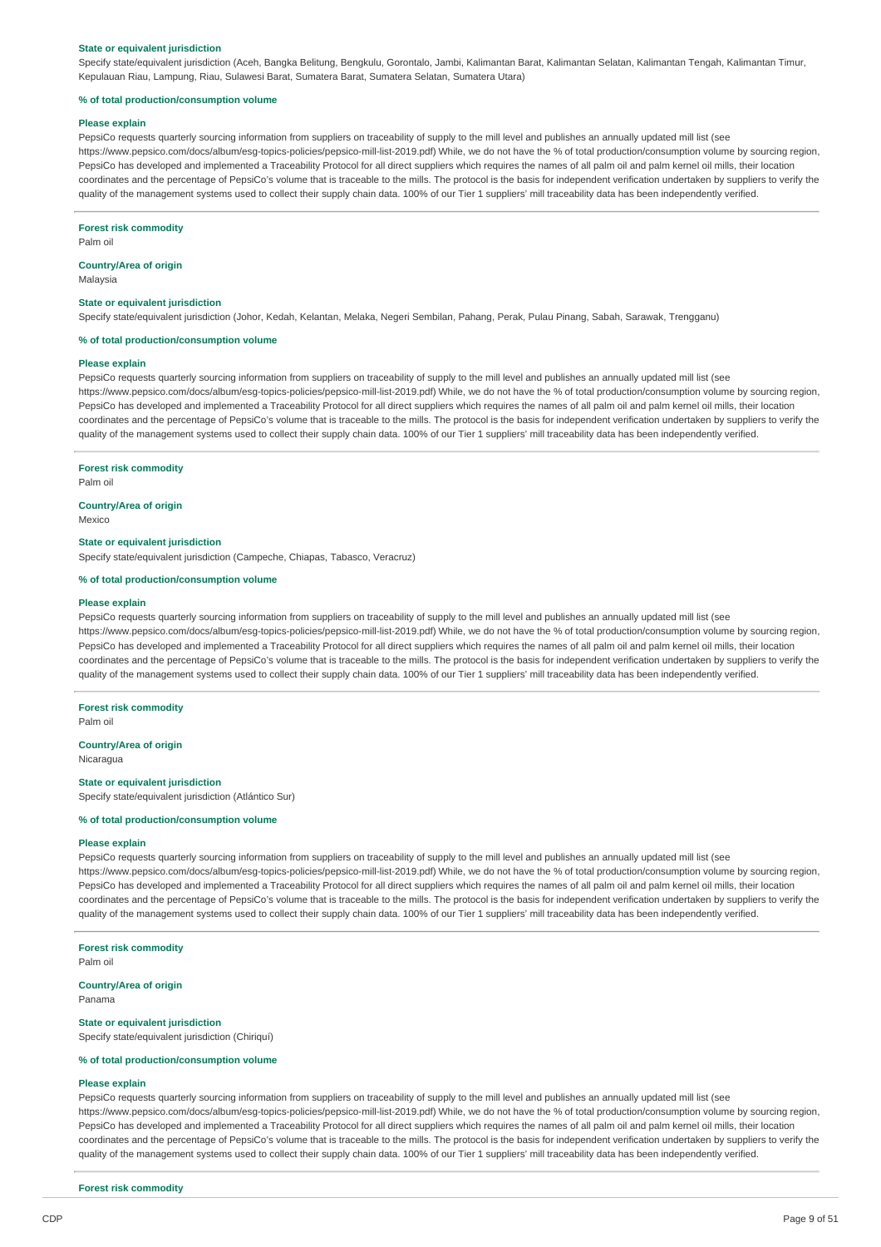#### **State or equivalent jurisdiction**

Specify state/equivalent jurisdiction (Aceh, Bangka Belitung, Bengkulu, Gorontalo, Jambi, Kalimantan Barat, Kalimantan Selatan, Kalimantan Tengah, Kalimantan Timur, Kepulauan Riau, Lampung, Riau, Sulawesi Barat, Sumatera Barat, Sumatera Selatan, Sumatera Utara)

#### **% of total production/consumption volume**

#### **Please explain**

PepsiCo requests quarterly sourcing information from suppliers on traceability of supply to the mill level and publishes an annually updated mill list (see https://www.pepsico.com/docs/album/esg-topics-policies/pepsico-mill-list-2019.pdf) While, we do not have the % of total production/consumption volume by sourcing region, PepsiCo has developed and implemented a Traceability Protocol for all direct suppliers which requires the names of all palm oil and palm kernel oil mills, their location coordinates and the percentage of PepsiCo's volume that is traceable to the mills. The protocol is the basis for independent verification undertaken by suppliers to verify the quality of the management systems used to collect their supply chain data. 100% of our Tier 1 suppliers' mill traceability data has been independently verified.

#### **Forest risk commodity**

Palm oil

### **Country/Area of origin**

Malaysia

### **State or equivalent jurisdiction**

Specify state/equivalent jurisdiction (Johor, Kedah, Kelantan, Melaka, Negeri Sembilan, Pahang, Perak, Pulau Pinang, Sabah, Sarawak, Trengganu)

#### **% of total production/consumption volume**

### **Please explain**

PepsiCo requests quarterly sourcing information from suppliers on traceability of supply to the mill level and publishes an annually updated mill list (see https://www.pepsico.com/docs/album/esg-topics-policies/pepsico-mill-list-2019.pdf) While, we do not have the % of total production/consumption volume by sourcing region, PepsiCo has developed and implemented a Traceability Protocol for all direct suppliers which requires the names of all palm oil and palm kernel oil mills, their location coordinates and the percentage of PepsiCo's volume that is traceable to the mills. The protocol is the basis for independent verification undertaken by suppliers to verify the quality of the management systems used to collect their supply chain data. 100% of our Tier 1 suppliers' mill traceability data has been independently verified.

### **Forest risk commodity**

Palm oil

### **Country/Area of origin**

Mexico

#### **State or equivalent jurisdiction**

Specify state/equivalent jurisdiction (Campeche, Chiapas, Tabasco, Veracruz)

### **% of total production/consumption volume**

#### **Please explain**

PepsiCo requests quarterly sourcing information from suppliers on traceability of supply to the mill level and publishes an annually updated mill list (see https://www.pepsico.com/docs/album/esg-topics-policies/pepsico-mill-list-2019.pdf) While, we do not have the % of total production/consumption volume by sourcing region, PepsiCo has developed and implemented a Traceability Protocol for all direct suppliers which requires the names of all palm oil and palm kernel oil mills, their location coordinates and the percentage of PepsiCo's volume that is traceable to the mills. The protocol is the basis for independent verification undertaken by suppliers to verify the quality of the management systems used to collect their supply chain data. 100% of our Tier 1 suppliers' mill traceability data has been independently verified.

## **Forest risk commodity**

Palm oil

#### **Country/Area of origin**

Nicaragua

#### **State or equivalent jurisdiction**

Specify state/equivalent jurisdiction (Atlántico Sur)

#### **% of total production/consumption volume**

#### **Please explain**

PepsiCo requests quarterly sourcing information from suppliers on traceability of supply to the mill level and publishes an annually updated mill list (see https://www.pepsico.com/docs/album/esg-topics-policies/pepsico-mill-list-2019.pdf) While, we do not have the % of total production/consumption volume by sourcing region, PepsiCo has developed and implemented a Traceability Protocol for all direct suppliers which requires the names of all palm oil and palm kernel oil mills, their location coordinates and the percentage of PepsiCo's volume that is traceable to the mills. The protocol is the basis for independent verification undertaken by suppliers to verify the quality of the management systems used to collect their supply chain data. 100% of our Tier 1 suppliers' mill traceability data has been independently verified.

#### **Forest risk commodity**

Palm oil

#### **Country/Area of origin** Panama

#### **State or equivalent jurisdiction**

Specify state/equivalent jurisdiction (Chiriquí)

### **% of total production/consumption volume**

#### **Please explain**

PepsiCo requests quarterly sourcing information from suppliers on traceability of supply to the mill level and publishes an annually updated mill list (see https://www.pepsico.com/docs/album/esg-topics-policies/pepsico-mill-list-2019.pdf) While, we do not have the % of total production/consumption volume by sourcing region, PepsiCo has developed and implemented a Traceability Protocol for all direct suppliers which requires the names of all palm oil and palm kernel oil mills, their location coordinates and the percentage of PepsiCo's volume that is traceable to the mills. The protocol is the basis for independent verification undertaken by suppliers to verify the quality of the management systems used to collect their supply chain data. 100% of our Tier 1 suppliers' mill traceability data has been independently verified.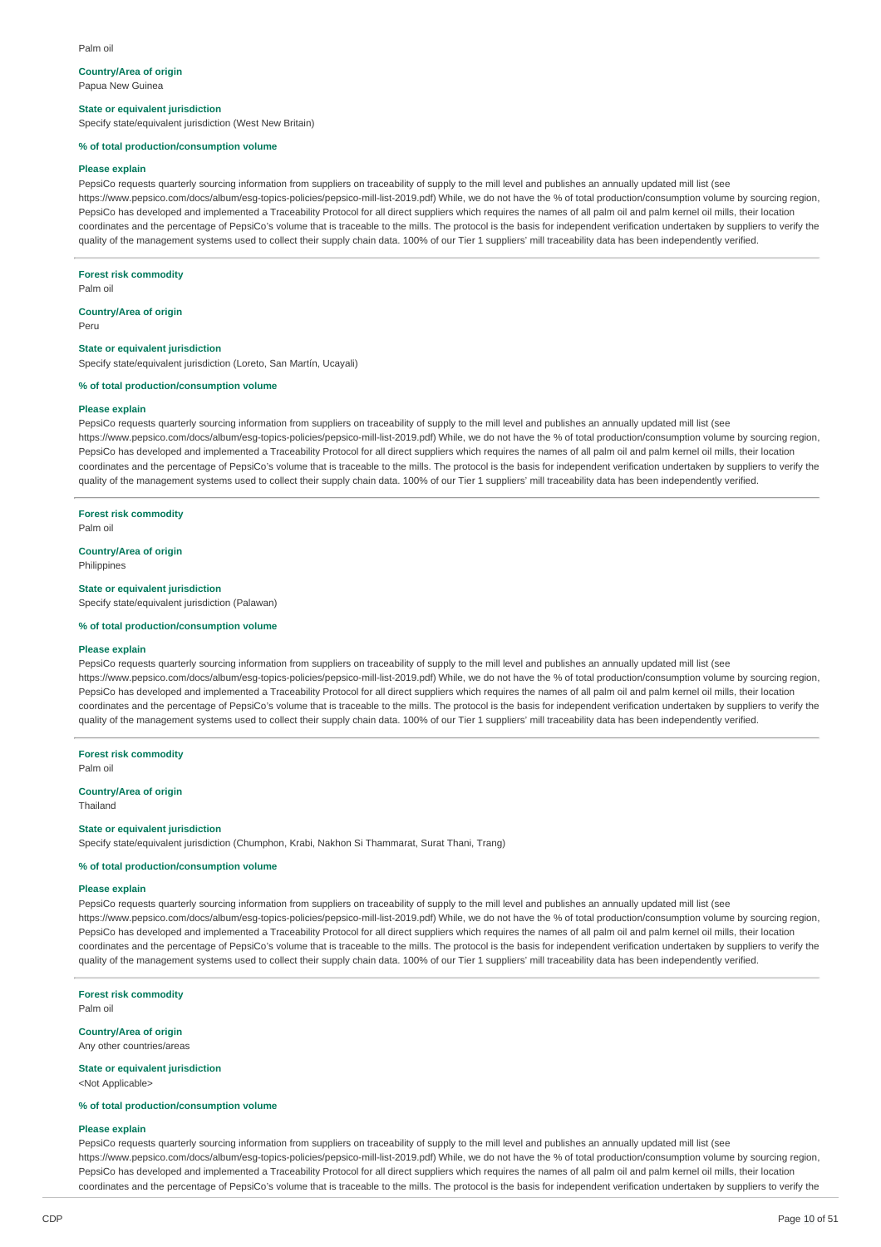#### Palm oil

#### **Country/Area of origin**

Papua New Guinea

### **State or equivalent jurisdiction**

Specify state/equivalent jurisdiction (West New Britain)

#### **% of total production/consumption volume**

#### **Please explain**

PepsiCo requests quarterly sourcing information from suppliers on traceability of supply to the mill level and publishes an annually updated mill list (see https://www.pepsico.com/docs/album/esg-topics-policies/pepsico-mill-list-2019.pdf) While, we do not have the % of total production/consumption volume by sourcing region, PepsiCo has developed and implemented a Traceability Protocol for all direct suppliers which requires the names of all palm oil and palm kernel oil mills, their location coordinates and the percentage of PepsiCo's volume that is traceable to the mills. The protocol is the basis for independent verification undertaken by suppliers to verify the quality of the management systems used to collect their supply chain data. 100% of our Tier 1 suppliers' mill traceability data has been independently verified

#### **Forest risk commodity**

Palm oil

#### **Country/Area of origin**

Peru

### **State or equivalent jurisdiction**

Specify state/equivalent jurisdiction (Loreto, San Martín, Ucayali)

### **% of total production/consumption volume**

#### **Please explain**

PepsiCo requests quarterly sourcing information from suppliers on traceability of supply to the mill level and publishes an annually updated mill list (see https://www.pepsico.com/docs/album/esg-topics-policies/pepsico-mill-list-2019 pdf) While, we do not have the % of total production/consumption volume by sourcing region PepsiCo has developed and implemented a Traceability Protocol for all direct suppliers which requires the names of all palm oil and palm kernel oil mills, their location coordinates and the percentage of PepsiCo's volume that is traceable to the mills. The protocol is the basis for independent verification undertaken by suppliers to verify the quality of the management systems used to collect their supply chain data. 100% of our Tier 1 suppliers' mill traceability data has been independently verified.

#### **Forest risk commodity**

Palm oil

### **Country/Area of origin**

Philippines

### **State or equivalent jurisdiction**

Specify state/equivalent jurisdiction (Palawan)

#### **% of total production/consumption volume**

#### **Please explain**

PepsiCo requests quarterly sourcing information from suppliers on traceability of supply to the mill level and publishes an annually updated mill list (see https://www.pepsico.com/docs/album/esg-topics-policies/pepsico-mill-list-2019.pdf) While, we do not have the % of total production/consumption volume by sourcing region, PepsiCo has developed and implemented a Traceability Protocol for all direct suppliers which requires the names of all palm oil and palm kernel oil mills, their location coordinates and the percentage of PepsiCo's volume that is traceable to the mills. The protocol is the basis for independent verification undertaken by suppliers to verify the quality of the management systems used to collect their supply chain data. 100% of our Tier 1 suppliers' mill traceability data has been independently verified.

**Forest risk commodity**

Palm oil

#### **Country/Area of origin**

Thailand

#### **State or equivalent jurisdiction**

Specify state/equivalent jurisdiction (Chumphon, Krabi, Nakhon Si Thammarat, Surat Thani, Trang)

### **% of total production/consumption volume**

### **Please explain**

PepsiCo requests quarterly sourcing information from suppliers on traceability of supply to the mill level and publishes an annually updated mill list (see https://www.pepsico.com/docs/album/esg-topics-policies/pepsico-mill-list-2019.pdf) While, we do not have the % of total production/consumption volume by sourcing region, PepsiCo has developed and implemented a Traceability Protocol for all direct suppliers which requires the names of all palm oil and palm kernel oil mills, their location coordinates and the percentage of PepsiCo's volume that is traceable to the mills. The protocol is the basis for independent verification undertaken by suppliers to verify the quality of the management systems used to collect their supply chain data. 100% of our Tier 1 suppliers' mill traceability data has been independently verified.

#### **Forest risk commodity** Palm oil

#### **Country/Area of origin**

Any other countries/areas

#### **State or equivalent jurisdiction** <Not Applicable>

### **% of total production/consumption volume**

#### **Please explain**

PepsiCo requests quarterly sourcing information from suppliers on traceability of supply to the mill level and publishes an annually updated mill list (see https://www.pepsico.com/docs/album/esg-topics-policies/pepsico-mill-list-2019.pdf) While, we do not have the % of total production/consumption volume by sourcing region, PepsiCo has developed and implemented a Traceability Protocol for all direct suppliers which requires the names of all palm oil and palm kernel oil mills, their location coordinates and the percentage of PepsiCo's volume that is traceable to the mills. The protocol is the basis for independent verification undertaken by suppliers to verify the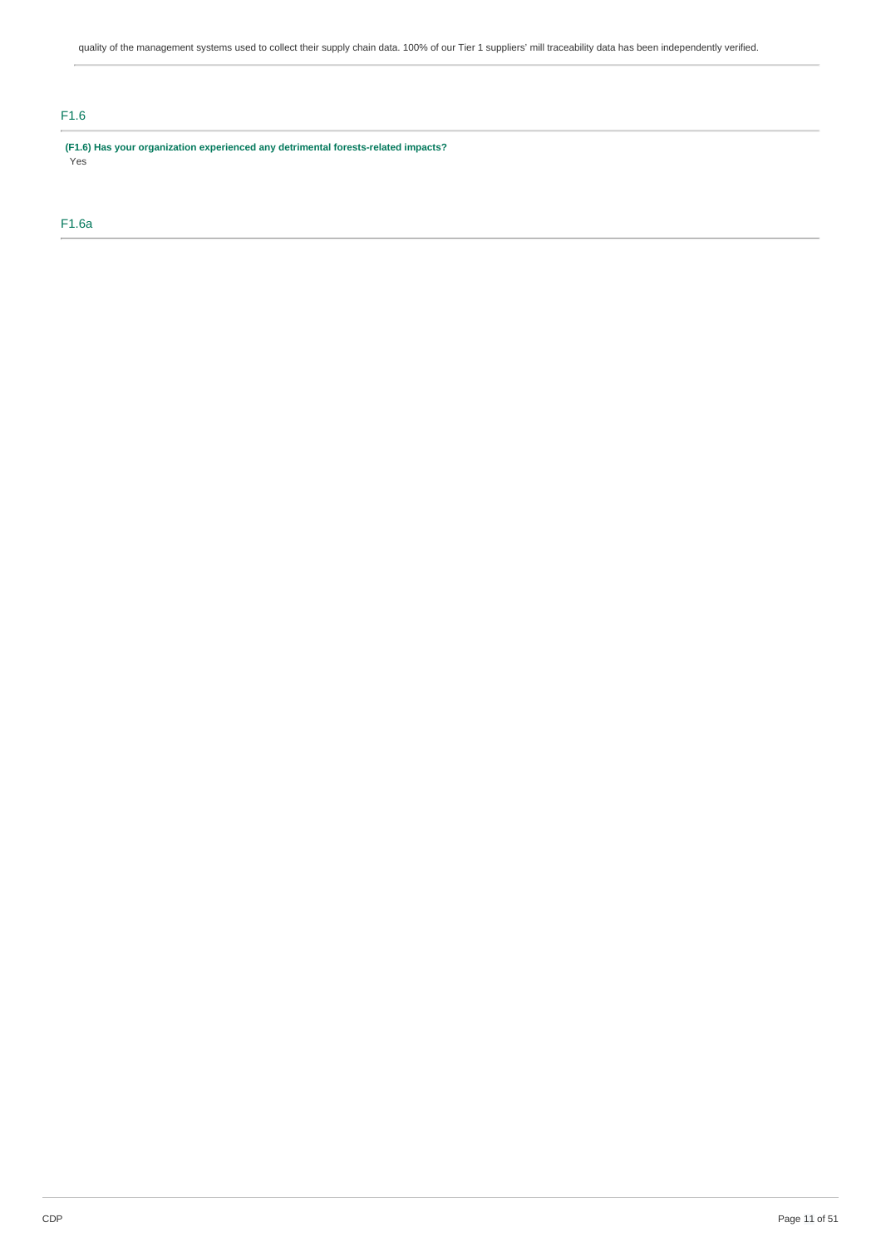## F1.6

**(F1.6) Has your organization experienced any detrimental forests-related impacts?** Yes

## F1.6a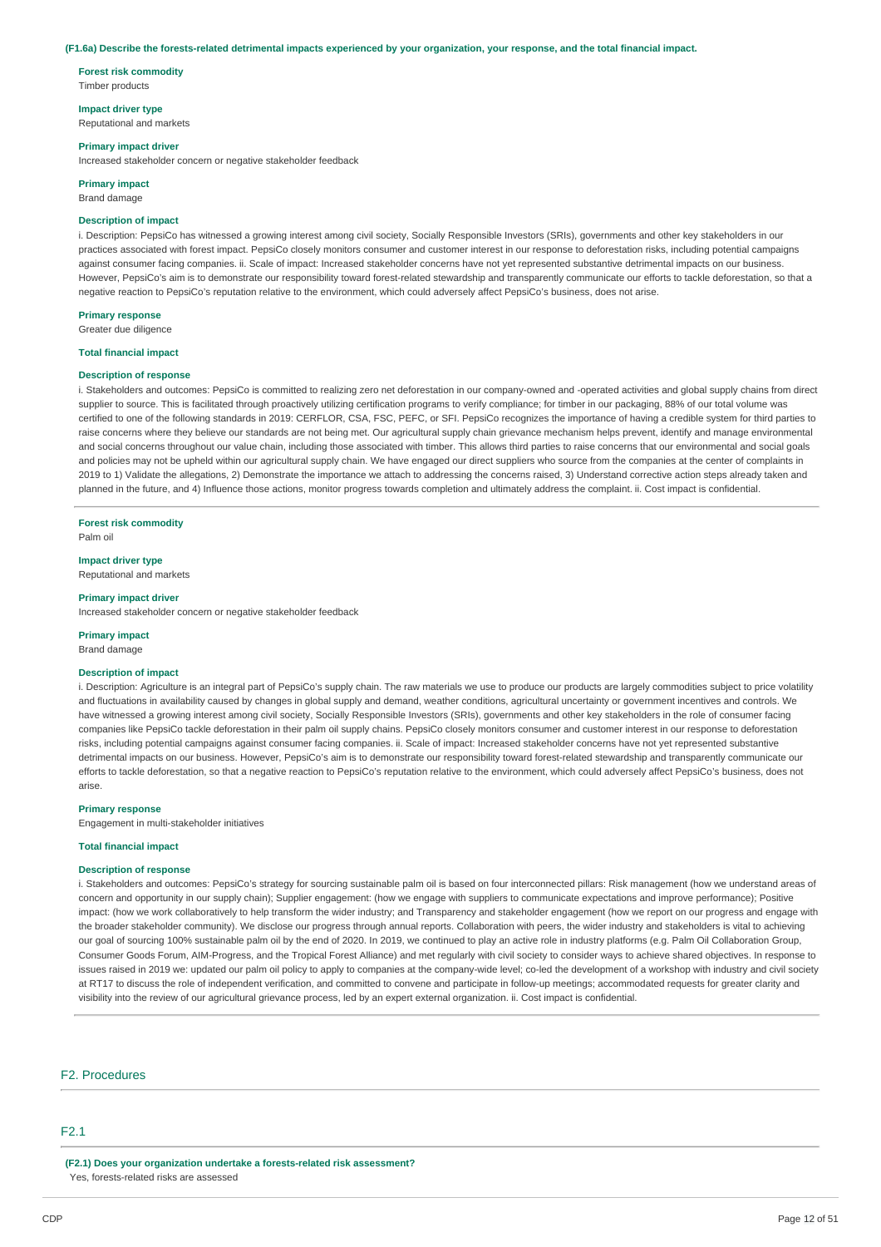#### (F1.6a) Describe the forests-related detrimental impacts experienced by your organization, your response, and the total financial impact.

**Forest risk commodity** Timber products

#### **Impact driver type**

Reputational and markets

#### **Primary impact driver**

Increased stakeholder concern or negative stakeholder feedback

#### **Primary impact**

Brand damage

### **Description of impact**

i. Description: PepsiCo has witnessed a growing interest among civil society, Socially Responsible Investors (SRIs), governments and other key stakeholders in our practices associated with forest impact. PepsiCo closely monitors consumer and customer interest in our response to deforestation risks, including potential campaigns against consumer facing companies. ii. Scale of impact: Increased stakeholder concerns have not yet represented substantive detrimental impacts on our business However, PepsiCo's aim is to demonstrate our responsibility toward forest-related stewardship and transparently communicate our efforts to tackle deforestation, so that a negative reaction to PepsiCo's reputation relative to the environment, which could adversely affect PepsiCo's business, does not arise.

#### **Primary response**

Greater due diligence

#### **Total financial impact**

#### **Description of response**

i. Stakeholders and outcomes: PepsiCo is committed to realizing zero net deforestation in our company-owned and -operated activities and global supply chains from direct supplier to source. This is facilitated through proactively utilizing certification programs to verify compliance; for timber in our packaging, 88% of our total volume was certified to one of the following standards in 2019: CERFLOR, CSA, FSC, PEFC, or SFI. PepsiCo recognizes the importance of having a credible system for third parties to raise concerns where they believe our standards are not being met. Our agricultural supply chain grievance mechanism helps prevent, identify and manage environmental and social concerns throughout our value chain, including those associated with timber. This allows third parties to raise concerns that our environmental and social goals and policies may not be upheld within our agricultural supply chain. We have engaged our direct suppliers who source from the companies at the center of complaints in 2019 to 1) Validate the allegations, 2) Demonstrate the importance we attach to addressing the concerns raised, 3) Understand corrective action steps already taken and planned in the future, and 4) Influence those actions, monitor progress towards completion and ultimately address the complaint. ii. Cost impact is confidential.

**Forest risk commodity**

Palm oil

#### **Impact driver type**

Reputational and markets

#### **Primary impact driver**

Increased stakeholder concern or negative stakeholder feedback

#### **Primary impact**

Brand damage

### **Description of impact**

i. Description: Agriculture is an integral part of PepsiCo's supply chain. The raw materials we use to produce our products are largely commodities subject to price volatility and fluctuations in availability caused by changes in global supply and demand, weather conditions, agricultural uncertainty or government incentives and controls. We have witnessed a growing interest among civil society, Socially Responsible Investors (SRIs), governments and other key stakeholders in the role of consumer facing companies like PepsiCo tackle deforestation in their palm oil supply chains. PepsiCo closely monitors consumer and customer interest in our response to deforestation risks, including potential campaigns against consumer facing companies. ii. Scale of impact: Increased stakeholder concerns have not yet represented substantive detrimental impacts on our business. However, PepsiCo's aim is to demonstrate our responsibility toward forest-related stewardship and transparently communicate our efforts to tackle deforestation, so that a negative reaction to PepsiCo's reputation relative to the environment, which could adversely affect PepsiCo's business, does not arise.

#### **Primary response**

Engagement in multi-stakeholder initiatives

#### **Total financial impact**

#### **Description of response**

i. Stakeholders and outcomes: PepsiCo's strategy for sourcing sustainable palm oil is based on four interconnected pillars: Risk management (how we understand areas of concern and opportunity in our supply chain); Supplier engagement: (how we engage with suppliers to communicate expectations and improve performance); Positive impact: (how we work collaboratively to help transform the wider industry; and Transparency and stakeholder engagement (how we report on our progress and engage with the broader stakeholder community). We disclose our progress through annual reports. Collaboration with peers, the wider industry and stakeholders is vital to achieving our goal of sourcing 100% sustainable palm oil by the end of 2020. In 2019, we continued to play an active role in industry platforms (e.g. Palm Oil Collaboration Group, Consumer Goods Forum, AIM-Progress, and the Tropical Forest Alliance) and met regularly with civil society to consider ways to achieve shared objectives. In response to issues raised in 2019 we: updated our palm oil policy to apply to companies at the company-wide level; co-led the development of a workshop with industry and civil society at RT17 to discuss the role of independent verification, and committed to convene and participate in follow-up meetings; accommodated requests for greater clarity and visibility into the review of our agricultural grievance process, led by an expert external organization. ii. Cost impact is confidential.

### F2. Procedures

### F2.1

**(F2.1) Does your organization undertake a forests-related risk assessment?** Yes, forests-related risks are assessed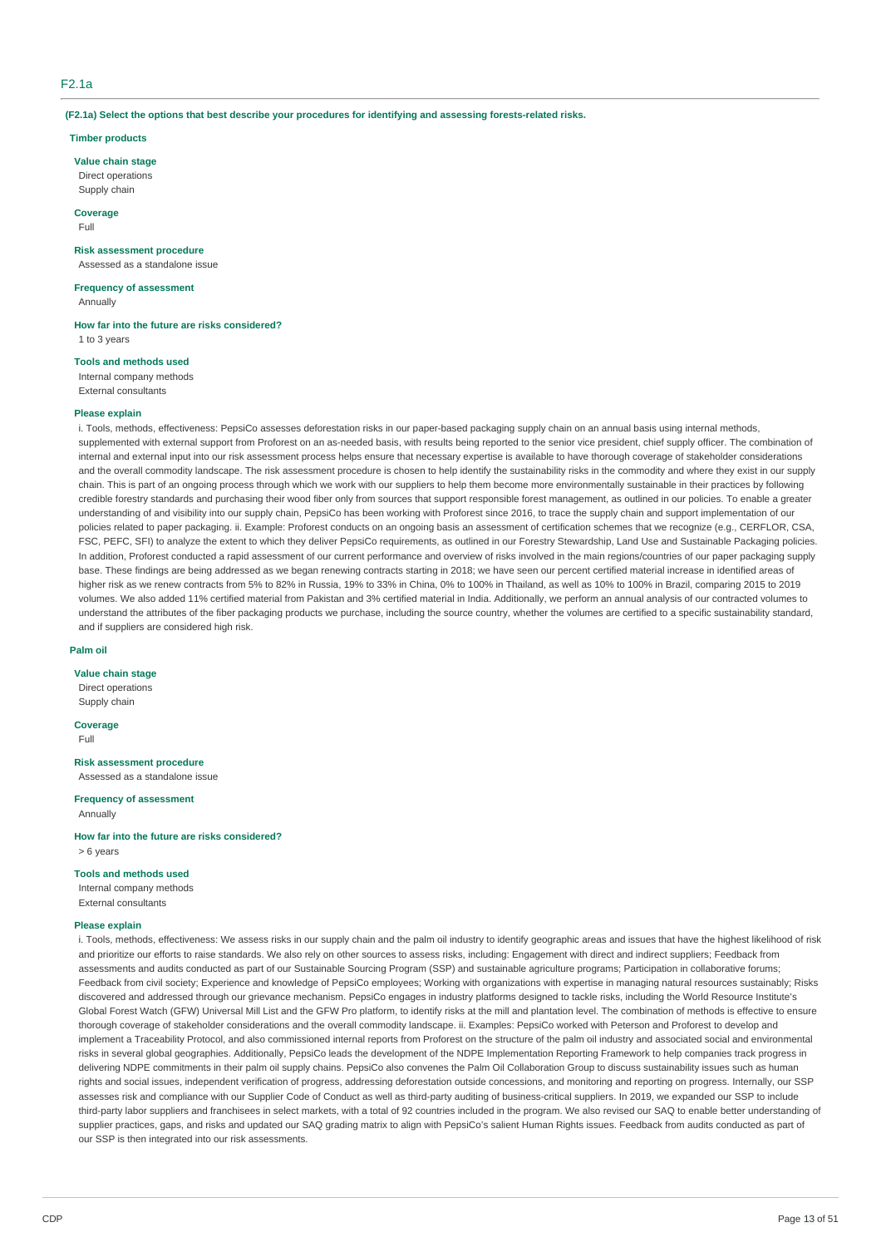### F2.1a

**(F2.1a) Select the options that best describe your procedures for identifying and assessing forests-related risks.**

#### **Timber products**

#### **Value chain stage**

Direct operations Supply chain

**Coverage** Full

### **Risk assessment procedure**

Assessed as a standalone issue

### **Frequency of assessment**

Annually

**How far into the future are risks considered?** 1 to 3 years

### **Tools and methods used**

Internal company methods

External consultants

#### **Please explain**

i. Tools, methods, effectiveness: PepsiCo assesses deforestation risks in our paper-based packaging supply chain on an annual basis using internal methods, supplemented with external support from Proforest on an as-needed basis, with results being reported to the senior vice president, chief supply officer. The combination of internal and external input into our risk assessment process helps ensure that necessary expertise is available to have thorough coverage of stakeholder considerations and the overall commodity landscape. The risk assessment procedure is chosen to help identify the sustainability risks in the commodity and where they exist in our supply chain. This is part of an ongoing process through which we work with our suppliers to help them become more environmentally sustainable in their practices by following credible forestry standards and purchasing their wood fiber only from sources that support responsible forest management, as outlined in our policies. To enable a greater understanding of and visibility into our supply chain, PepsiCo has been working with Proforest since 2016, to trace the supply chain and support implementation of our policies related to paper packaging. ii. Example: Proforest conducts on an ongoing basis an assessment of certification schemes that we recognize (e.g., CERFLOR, CSA, FSC, PEFC, SFI) to analyze the extent to which they deliver PepsiCo requirements, as outlined in our Forestry Stewardship, Land Use and Sustainable Packaging policies. In addition, Proforest conducted a rapid assessment of our current performance and overview of risks involved in the main regions/countries of our paper packaging supply base. These findings are being addressed as we began renewing contracts starting in 2018; we have seen our percent certified material increase in identified areas of higher risk as we renew contracts from 5% to 82% in Russia, 19% to 33% in China, 0% to 100% in Thailand, as well as 10% to 100% in Brazil, comparing 2015 to 2019 volumes. We also added 11% certified material from Pakistan and 3% certified material in India. Additionally, we perform an annual analysis of our contracted volumes to understand the attributes of the fiber packaging products we purchase, including the source country, whether the volumes are certified to a specific sustainability standard, and if suppliers are considered high risk.

#### **Palm oil**

### **Value chain stage**

Direct operations Supply chain

**Coverage** Full

**Risk assessment procedure** Assessed as a standalone issue

### **Frequency of assessment**

Annually

**How far into the future are risks considered?** > 6 years

#### **Tools and methods used**

Internal company methods External consultants

#### **Please explain**

i. Tools, methods, effectiveness: We assess risks in our supply chain and the palm oil industry to identify geographic areas and issues that have the highest likelihood of risk and prioritize our efforts to raise standards. We also rely on other sources to assess risks, including: Engagement with direct and indirect suppliers: Feedback from assessments and audits conducted as part of our Sustainable Sourcing Program (SSP) and sustainable agriculture programs; Participation in collaborative forums; Feedback from civil society; Experience and knowledge of PepsiCo employees; Working with organizations with expertise in managing natural resources sustainably; Risks discovered and addressed through our grievance mechanism. PepsiCo engages in industry platforms designed to tackle risks, including the World Resource Institute's Global Forest Watch (GFW) Universal Mill List and the GFW Pro platform, to identify risks at the mill and plantation level. The combination of methods is effective to ensure thorough coverage of stakeholder considerations and the overall commodity landscape. ii. Examples: PepsiCo worked with Peterson and Proforest to develop and implement a Traceability Protocol, and also commissioned internal reports from Proforest on the structure of the palm oil industry and associated social and environmental risks in several global geographies. Additionally, PepsiCo leads the development of the NDPE Implementation Reporting Framework to help companies track progress in delivering NDPE commitments in their palm oil supply chains. PepsiCo also convenes the Palm Oil Collaboration Group to discuss sustainability issues such as human rights and social issues, independent verification of progress, addressing deforestation outside concessions, and monitoring and reporting on progress. Internally, our SSP assesses risk and compliance with our Supplier Code of Conduct as well as third-party auditing of business-critical suppliers. In 2019, we expanded our SSP to include third-party labor suppliers and franchisees in select markets, with a total of 92 countries included in the program. We also revised our SAQ to enable better understanding of supplier practices, gaps, and risks and updated our SAQ grading matrix to align with PepsiCo's salient Human Rights issues. Feedback from audits conducted as part of our SSP is then integrated into our risk assessments.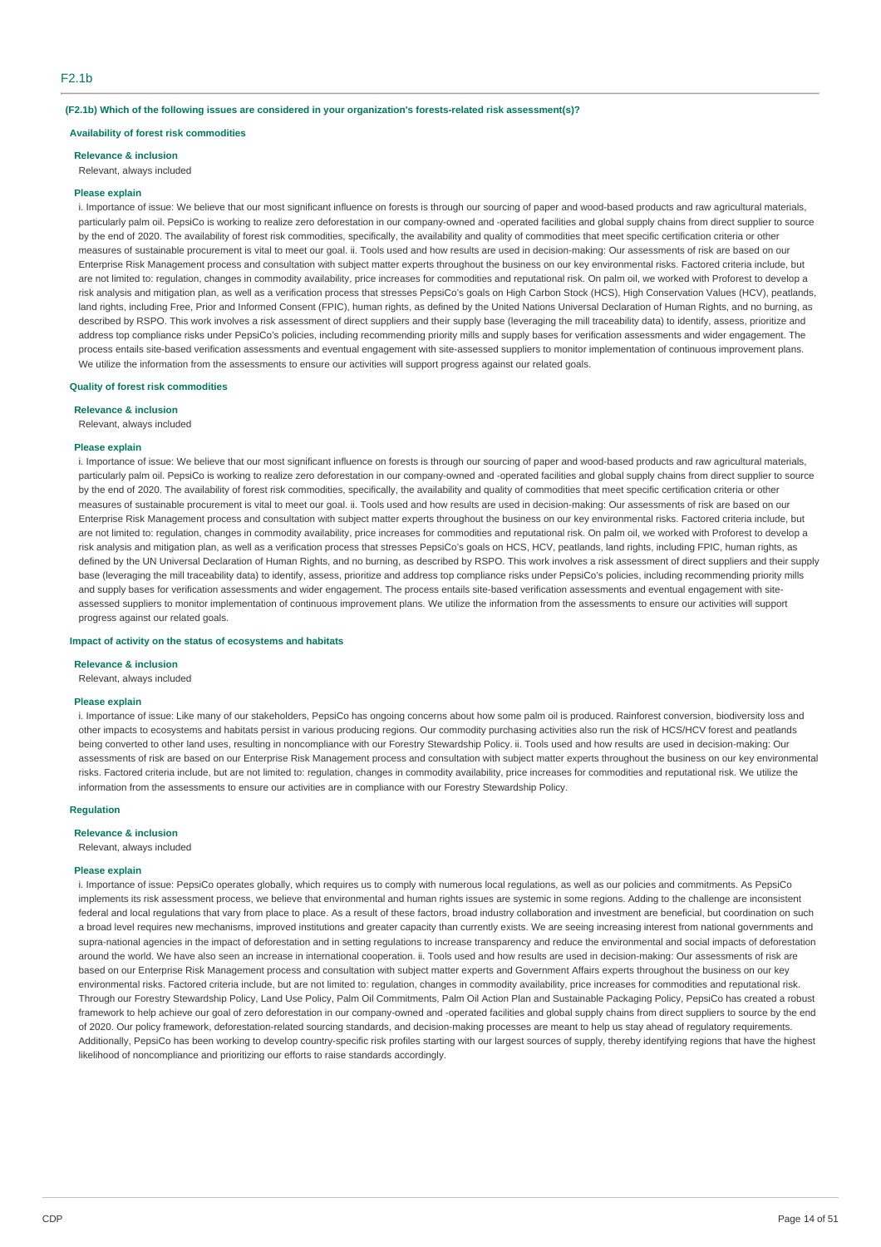#### **(F2.1b) Which of the following issues are considered in your organization's forests-related risk assessment(s)?**

#### **Availability of forest risk commodities**

**Relevance & inclusion**

### Relevant, always included

#### **Please explain**

i. Importance of issue: We believe that our most significant influence on forests is through our sourcing of paper and wood-based products and raw agricultural materials, particularly palm oil. PepsiCo is working to realize zero deforestation in our company-owned and -operated facilities and global supply chains from direct supplier to source by the end of 2020. The availability of forest risk commodities, specifically, the availability and quality of commodities that meet specific certification criteria or other measures of sustainable procurement is vital to meet our goal. ii. Tools used and how results are used in decision-making: Our assessments of risk are based on our Enterprise Risk Management process and consultation with subject matter experts throughout the business on our key environmental risks. Factored criteria include, but are not limited to: regulation, changes in commodity availability, price increases for commodities and reputational risk. On palm oil, we worked with Proforest to develop a risk analysis and mitigation plan, as well as a verification process that stresses PepsiCo's goals on High Carbon Stock (HCS), High Conservation Values (HCV), peatlands, land rights, including Free, Prior and Informed Consent (FPIC), human rights, as defined by the United Nations Universal Declaration of Human Rights, and no burning, as described by RSPO. This work involves a risk assessment of direct suppliers and their supply base (leveraging the mill traceability data) to identify, assess, prioritize and address top compliance risks under PepsiCo's policies, including recommending priority mills and supply bases for verification assessments and wider engagement. The process entails site-based verification assessments and eventual engagement with site-assessed suppliers to monitor implementation of continuous improvement plans. We utilize the information from the assessments to ensure our activities will support progress against our related goals.

#### **Quality of forest risk commodities**

**Relevance & inclusion**

Relevant, always included

#### **Please explain**

i. Importance of issue: We believe that our most significant influence on forests is through our sourcing of paper and wood-based products and raw agricultural materials, particularly palm oil. PepsiCo is working to realize zero deforestation in our company-owned and -operated facilities and global supply chains from direct supplier to source by the end of 2020. The availability of forest risk commodities, specifically, the availability and quality of commodities that meet specific certification criteria or other measures of sustainable procurement is vital to meet our goal. ii. Tools used and how results are used in decision-making: Our assessments of risk are based on our Enterprise Risk Management process and consultation with subject matter experts throughout the business on our key environmental risks. Factored criteria include, but are not limited to: regulation, changes in commodity availability, price increases for commodities and reputational risk. On palm oil, we worked with Proforest to develop a risk analysis and mitigation plan, as well as a verification process that stresses PepsiCo's goals on HCS, HCV, peatlands, land rights, including FPIC, human rights, as defined by the UN Universal Declaration of Human Rights, and no burning, as described by RSPO. This work involves a risk assessment of direct suppliers and their supply base (leveraging the mill traceability data) to identify, assess, prioritize and address top compliance risks under PepsiCo's policies, including recommending priority mills and supply bases for verification assessments and wider engagement. The process entails site-based verification assessments and eventual engagement with siteassessed suppliers to monitor implementation of continuous improvement plans. We utilize the information from the assessments to ensure our activities will support progress against our related goals.

#### **Impact of activity on the status of ecosystems and habitats**

#### **Relevance & inclusion**

Relevant, always included

#### **Please explain**

i. Importance of issue: Like many of our stakeholders, PepsiCo has ongoing concerns about how some palm oil is produced. Rainforest conversion, biodiversity loss and other impacts to ecosystems and habitats persist in various producing regions. Our commodity purchasing activities also run the risk of HCS/HCV forest and peatlands being converted to other land uses, resulting in noncompliance with our Forestry Stewardship Policy. ii. Tools used and how results are used in decision-making: Our assessments of risk are based on our Enterprise Risk Management process and consultation with subject matter experts throughout the business on our key environmental risks. Factored criteria include, but are not limited to: regulation, changes in commodity availability, price increases for commodities and reputational risk. We utilize the information from the assessments to ensure our activities are in compliance with our Forestry Stewardship Policy.

#### **Regulation**

**Relevance & inclusion**

Relevant, always included

#### **Please explain**

i. Importance of issue: PepsiCo operates globally, which requires us to comply with numerous local regulations, as well as our policies and commitments. As PepsiCo implements its risk assessment process, we believe that environmental and human rights issues are systemic in some regions. Adding to the challenge are inconsistent federal and local regulations that vary from place to place. As a result of these factors, broad industry collaboration and investment are beneficial, but coordination on such a broad level requires new mechanisms, improved institutions and greater capacity than currently exists. We are seeing increasing interest from national governments and supra-national agencies in the impact of deforestation and in setting regulations to increase transparency and reduce the environmental and social impacts of deforestation around the world. We have also seen an increase in international cooperation. ii. Tools used and how results are used in decision-making: Our assessments of risk are based on our Enterprise Risk Management process and consultation with subject matter experts and Government Affairs experts throughout the business on our key environmental risks. Factored criteria include, but are not limited to: regulation, changes in commodity availability, price increases for commodities and reputational risk. Through our Forestry Stewardship Policy, Land Use Policy, Palm Oil Commitments, Palm Oil Action Plan and Sustainable Packaging Policy, PepsiCo has created a robust framework to help achieve our goal of zero deforestation in our company-owned and -operated facilities and global supply chains from direct suppliers to source by the end of 2020. Our policy framework, deforestation-related sourcing standards, and decision-making processes are meant to help us stay ahead of regulatory requirements. Additionally, PepsiCo has been working to develop country-specific risk profiles starting with our largest sources of supply, thereby identifying regions that have the highest likelihood of noncompliance and prioritizing our efforts to raise standards accordingly.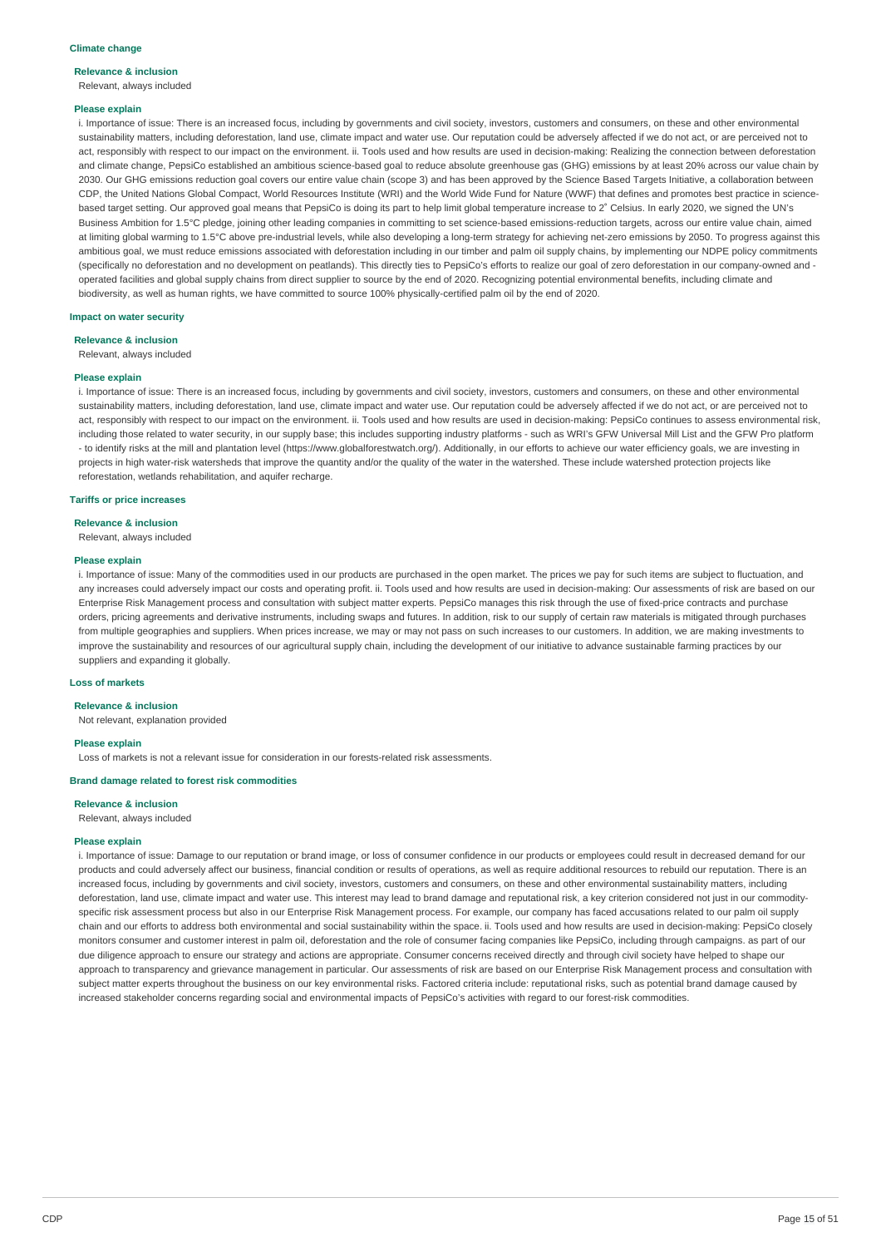#### **Relevance & inclusion** Relevant, always included

#### **Please explain**

i. Importance of issue: There is an increased focus, including by governments and civil society, investors, customers and consumers, on these and other environmental sustainability matters, including deforestation, land use, climate impact and water use. Our reputation could be adversely affected if we do not act, or are perceived not to act, responsibly with respect to our impact on the environment. ii. Tools used and how results are used in decision-making: Realizing the connection between deforestation and climate change, PepsiCo established an ambitious science-based goal to reduce absolute greenhouse gas (GHG) emissions by at least 20% across our value chain by 2030. Our GHG emissions reduction goal covers our entire value chain (scope 3) and has been approved by the Science Based Targets Initiative, a collaboration between CDP, the United Nations Global Compact, World Resources Institute (WRI) and the World Wide Fund for Nature (WWF) that defines and promotes best practice in sciencebased target setting. Our approved goal means that PepsiCo is doing its part to help limit global temperature increase to 2° Celsius. In early 2020, we signed the UN's Business Ambition for 1.5°C pledge, joining other leading companies in committing to set science-based emissions-reduction targets, across our entire value chain, aimed at limiting global warming to 1.5°C above pre-industrial levels, while also developing a long-term strategy for achieving net-zero emissions by 2050. To progress against this ambitious goal, we must reduce emissions associated with deforestation including in our timber and palm oil supply chains, by implementing our NDPE policy commitments (specifically no deforestation and no development on peatlands). This directly ties to PepsiCo's efforts to realize our goal of zero deforestation in our company-owned and operated facilities and global supply chains from direct supplier to source by the end of 2020. Recognizing potential environmental benefits, including climate and biodiversity, as well as human rights, we have committed to source 100% physically-certified palm oil by the end of 2020.

### **Impact on water security**

**Relevance & inclusion**

Relevant, always included

#### **Please explain**

i. Importance of issue: There is an increased focus, including by governments and civil society, investors, customers and consumers, on these and other environmental sustainability matters, including deforestation, land use, climate impact and water use. Our reputation could be adversely affected if we do not act, or are perceived not to act, responsibly with respect to our impact on the environment. ii. Tools used and how results are used in decision-making: PepsiCo continues to assess environmental risk, including those related to water security, in our supply base; this includes supporting industry platforms - such as WRI's GFW Universal Mill List and the GFW Pro platform - to identify risks at the mill and plantation level (https://www.globalforestwatch.org/). Additionally, in our efforts to achieve our water efficiency goals, we are investing in projects in high water-risk watersheds that improve the quantity and/or the quality of the water in the watershed. These include watershed protection projects like reforestation, wetlands rehabilitation, and aquifer recharge.

#### **Tariffs or price increases**

**Relevance & inclusion**

Relevant, always included

#### **Please explain**

i. Importance of issue: Many of the commodities used in our products are purchased in the open market. The prices we pay for such items are subject to fluctuation, and any increases could adversely impact our costs and operating profit. ii. Tools used and how results are used in decision-making: Our assessments of risk are based on our Enterprise Risk Management process and consultation with subject matter experts. PepsiCo manages this risk through the use of fixed-price contracts and purchase orders, pricing agreements and derivative instruments, including swaps and futures. In addition, risk to our supply of certain raw materials is mitigated through purchases from multiple geographies and suppliers. When prices increase, we may or may not pass on such increases to our customers. In addition, we are making investments to improve the sustainability and resources of our agricultural supply chain, including the development of our initiative to advance sustainable farming practices by our suppliers and expanding it globally.

### **Loss of markets**

#### **Relevance & inclusion**

Not relevant, explanation provided

#### **Please explain**

Loss of markets is not a relevant issue for consideration in our forests-related risk assessments.

#### **Brand damage related to forest risk commodities**

#### **Relevance & inclusion**

Relevant, always included

#### **Please explain**

i. Importance of issue: Damage to our reputation or brand image, or loss of consumer confidence in our products or employees could result in decreased demand for our products and could adversely affect our business, financial condition or results of operations, as well as require additional resources to rebuild our reputation. There is an increased focus, including by governments and civil society, investors, customers and consumers, on these and other environmental sustainability matters, including deforestation, land use, climate impact and water use. This interest may lead to brand damage and reputational risk, a key criterion considered not just in our commodityspecific risk assessment process but also in our Enterprise Risk Management process. For example, our company has faced accusations related to our palm oil supply chain and our efforts to address both environmental and social sustainability within the space. ii. Tools used and how results are used in decision-making: PepsiCo closely monitors consumer and customer interest in palm oil, deforestation and the role of consumer facing companies like PepsiCo, including through campaigns. as part of our due diligence approach to ensure our strategy and actions are appropriate. Consumer concerns received directly and through civil society have helped to shape our approach to transparency and grievance management in particular. Our assessments of risk are based on our Enterprise Risk Management process and consultation with subject matter experts throughout the business on our key environmental risks. Factored criteria include: reputational risks, such as potential brand damage caused by increased stakeholder concerns regarding social and environmental impacts of PepsiCo's activities with regard to our forest-risk commodities.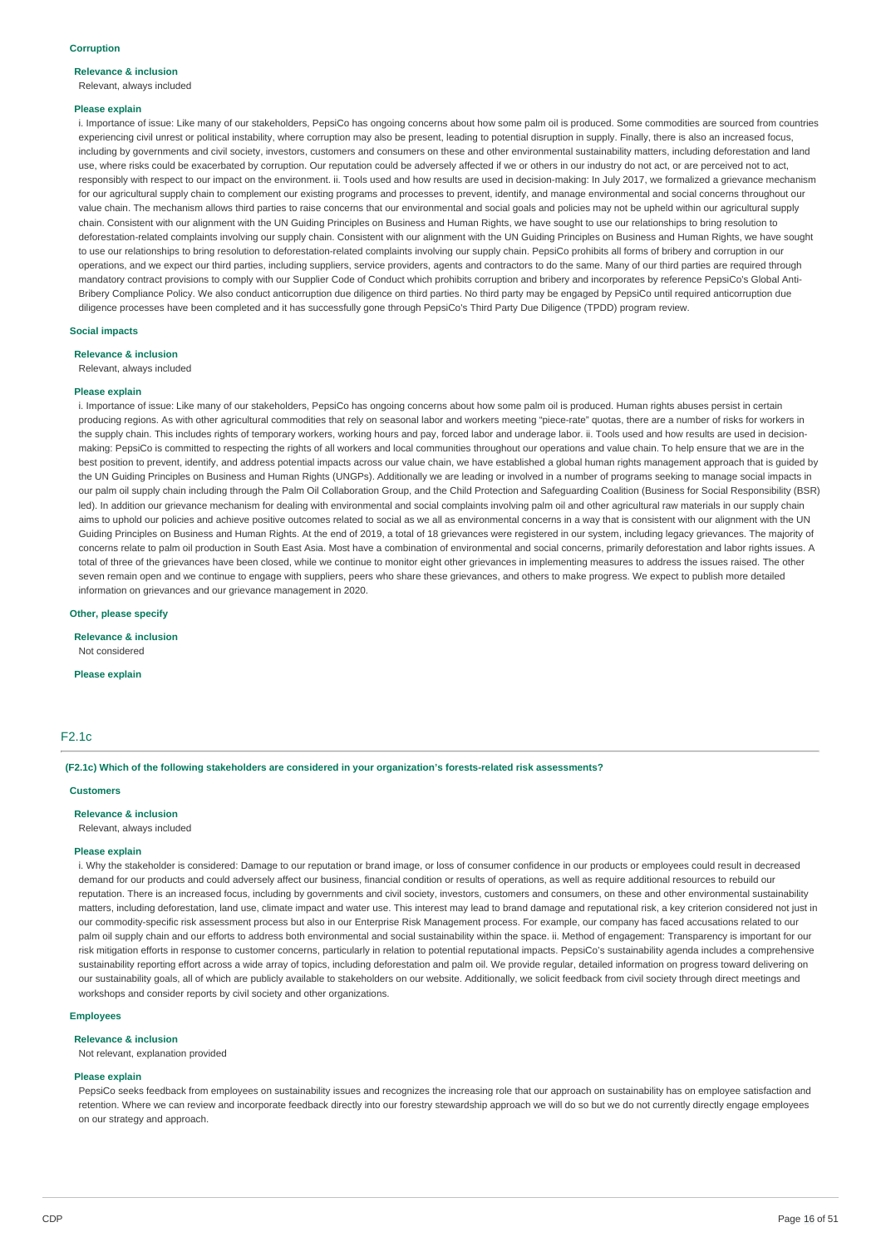## **Relevance & inclusion**

Relevant, always included

#### **Please explain**

i. Importance of issue: Like many of our stakeholders, PepsiCo has ongoing concerns about how some palm oil is produced. Some commodities are sourced from countries experiencing civil unrest or political instability, where corruption may also be present, leading to potential disruption in supply. Finally, there is also an increased focus, including by governments and civil society, investors, customers and consumers on these and other environmental sustainability matters, including deforestation and land use, where risks could be exacerbated by corruption. Our reputation could be adversely affected if we or others in our industry do not act, or are perceived not to act, responsibly with respect to our impact on the environment. ii. Tools used and how results are used in decision-making: In July 2017, we formalized a grievance mechanism for our agricultural supply chain to complement our existing programs and processes to prevent, identify, and manage environmental and social concerns throughout our value chain. The mechanism allows third parties to raise concerns that our environmental and social goals and policies may not be upheld within our agricultural supply chain. Consistent with our alignment with the UN Guiding Principles on Business and Human Rights, we have sought to use our relationships to bring resolution to deforestation-related complaints involving our supply chain. Consistent with our alignment with the UN Guiding Principles on Business and Human Rights, we have sought to use our relationships to bring resolution to deforestation-related complaints involving our supply chain. PepsiCo prohibits all forms of bribery and corruption in our operations, and we expect our third parties, including suppliers, service providers, agents and contractors to do the same. Many of our third parties are required through mandatory contract provisions to comply with our Supplier Code of Conduct which prohibits corruption and bribery and incorporates by reference PepsiCo's Global Anti-Bribery Compliance Policy. We also conduct anticorruption due diligence on third parties. No third party may be engaged by PepsiCo until required anticorruption due diligence processes have been completed and it has successfully gone through PepsiCo's Third Party Due Diligence (TPDD) program review.

#### **Social impacts**

#### **Relevance & inclusion**

Relevant, always included

#### **Please explain**

i. Importance of issue: Like many of our stakeholders, PepsiCo has ongoing concerns about how some palm oil is produced. Human rights abuses persist in certain producing regions. As with other agricultural commodities that rely on seasonal labor and workers meeting "piece-rate" quotas, there are a number of risks for workers in the supply chain. This includes rights of temporary workers, working hours and pay, forced labor and underage labor. ii. Tools used and how results are used in decisionmaking: PepsiCo is committed to respecting the rights of all workers and local communities throughout our operations and value chain. To help ensure that we are in the best position to prevent, identify, and address potential impacts across our value chain, we have established a global human rights management approach that is quided by the UN Guiding Principles on Business and Human Rights (UNGPs). Additionally we are leading or involved in a number of programs seeking to manage social impacts in our palm oil supply chain including through the Palm Oil Collaboration Group, and the Child Protection and Safeguarding Coalition (Business for Social Responsibility (BSR) led). In addition our grievance mechanism for dealing with environmental and social complaints involving palm oil and other agricultural raw materials in our supply chain aims to uphold our policies and achieve positive outcomes related to social as we all as environmental concerns in a way that is consistent with our alignment with the UN Guiding Principles on Business and Human Rights. At the end of 2019, a total of 18 grievances were registered in our system, including legacy grievances. The majority of concerns relate to palm oil production in South East Asia. Most have a combination of environmental and social concerns, primarily deforestation and labor rights issues. A total of three of the grievances have been closed, while we continue to monitor eight other grievances in implementing measures to address the issues raised. The other seven remain open and we continue to engage with suppliers, peers who share these grievances, and others to make progress. We expect to publish more detailed information on grievances and our grievance management in 2020.

#### **Other, please specify**

**Relevance & inclusion** Not considered

**Please explain**

### F2.1c

#### **(F2.1c) Which of the following stakeholders are considered in your organization's forests-related risk assessments?**

#### **Customers**

#### **Relevance & inclusion**

Relevant, always included

#### **Please explain**

i. Why the stakeholder is considered: Damage to our reputation or brand image, or loss of consumer confidence in our products or employees could result in decreased demand for our products and could adversely affect our business, financial condition or results of operations, as well as require additional resources to rebuild our reputation. There is an increased focus, including by governments and civil society, investors, customers and consumers, on these and other environmental sustainability matters, including deforestation, land use, climate impact and water use. This interest may lead to brand damage and reputational risk, a key criterion considered not just in our commodity-specific risk assessment process but also in our Enterprise Risk Management process. For example, our company has faced accusations related to our palm oil supply chain and our efforts to address both environmental and social sustainability within the space. ii. Method of engagement: Transparency is important for our risk mitigation efforts in response to customer concerns, particularly in relation to potential reputational impacts. PepsiCo's sustainability agenda includes a comprehensive sustainability reporting effort across a wide array of topics, including deforestation and palm oil. We provide regular, detailed information on progress toward delivering on our sustainability goals, all of which are publicly available to stakeholders on our website. Additionally, we solicit feedback from civil society through direct meetings and workshops and consider reports by civil society and other organizations.

#### **Employees**

#### **Relevance & inclusion**

Not relevant, explanation provided

### **Please explain**

PepsiCo seeks feedback from employees on sustainability issues and recognizes the increasing role that our approach on sustainability has on employee satisfaction and retention. Where we can review and incorporate feedback directly into our forestry stewardship approach we will do so but we do not currently directly engage employees on our strategy and approach.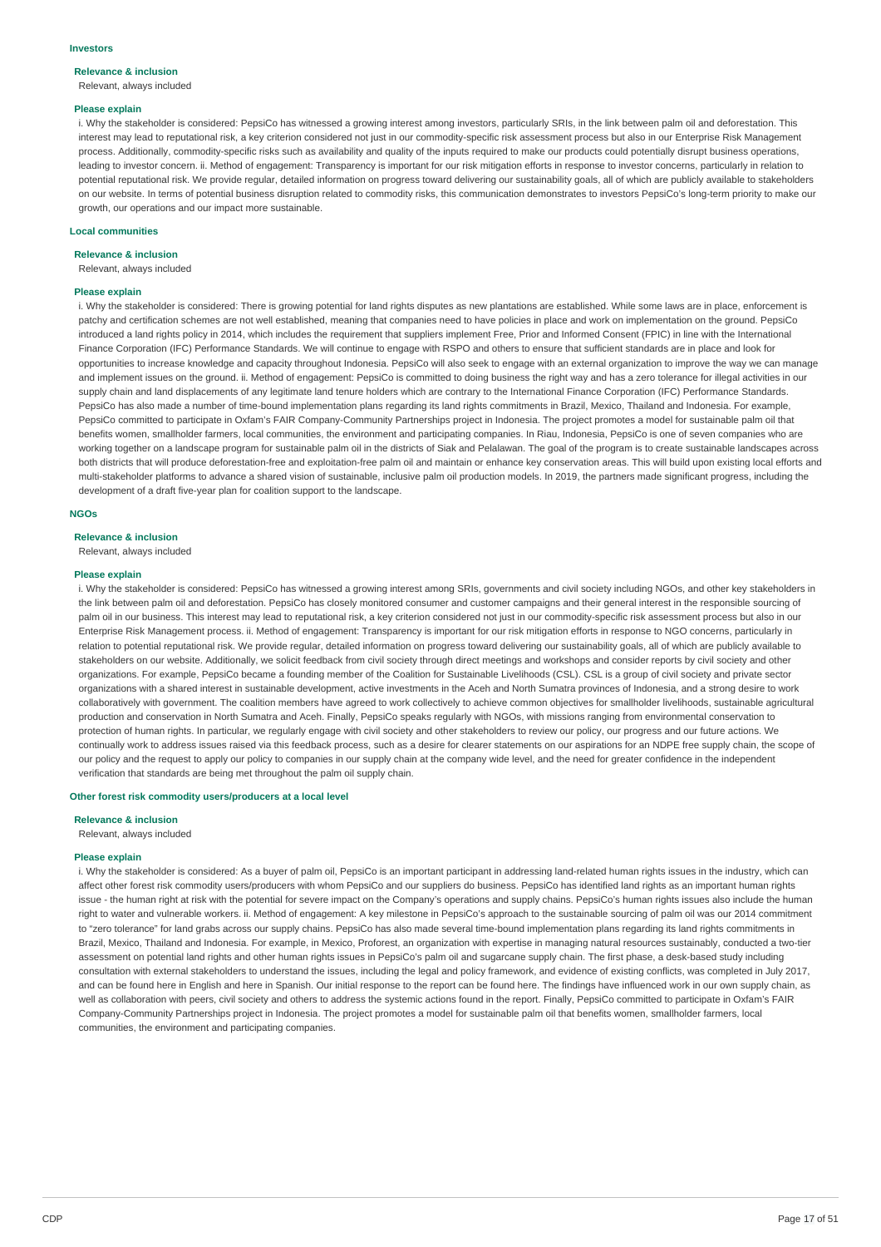## **Relevance & inclusion**

Relevant, always included

#### **Please explain**

i. Why the stakeholder is considered: PepsiCo has witnessed a growing interest among investors, particularly SRIs, in the link between palm oil and deforestation. This interest may lead to reputational risk, a key criterion considered not just in our commodity-specific risk assessment process but also in our Enterprise Risk Management process. Additionally, commodity-specific risks such as availability and quality of the inputs required to make our products could potentially disrupt business operations, leading to investor concern. ii. Method of engagement: Transparency is important for our risk mitigation efforts in response to investor concerns, particularly in relation to potential reputational risk. We provide regular, detailed information on progress toward delivering our sustainability goals, all of which are publicly available to stakeholders on our website. In terms of potential business disruption related to commodity risks, this communication demonstrates to investors PepsiCo's long-term priority to make our growth, our operations and our impact more sustainable.

#### **Local communities**

**Relevance & inclusion**

Relevant, always included

#### **Please explain**

i. Why the stakeholder is considered: There is growing potential for land rights disputes as new plantations are established. While some laws are in place, enforcement is patchy and certification schemes are not well established, meaning that companies need to have policies in place and work on implementation on the ground. PepsiCo introduced a land rights policy in 2014, which includes the requirement that suppliers implement Free, Prior and Informed Consent (FPIC) in line with the International Finance Corporation (IFC) Performance Standards. We will continue to engage with RSPO and others to ensure that sufficient standards are in place and look for opportunities to increase knowledge and capacity throughout Indonesia. PepsiCo will also seek to engage with an external organization to improve the way we can manage and implement issues on the ground. ii. Method of engagement: PepsiCo is committed to doing business the right way and has a zero tolerance for illegal activities in our supply chain and land displacements of any legitimate land tenure holders which are contrary to the International Finance Corporation (IFC) Performance Standards. PepsiCo has also made a number of time-bound implementation plans regarding its land rights commitments in Brazil, Mexico, Thailand and Indonesia. For example, PepsiCo committed to participate in Oxfam's FAIR Company-Community Partnerships project in Indonesia. The project promotes a model for sustainable palm oil that benefits women, smallholder farmers, local communities, the environment and participating companies. In Riau, Indonesia, PepsiCo is one of seven companies who are working together on a landscape program for sustainable palm oil in the districts of Siak and Pelalawan. The goal of the program is to create sustainable landscapes across both districts that will produce deforestation-free and exploitation-free palm oil and maintain or enhance key conservation areas. This will build upon existing local efforts and multi-stakeholder platforms to advance a shared vision of sustainable, inclusive palm oil production models. In 2019, the partners made significant progress, including the development of a draft five-year plan for coalition support to the landscape.

#### **NGOs**

#### **Relevance & inclusion**

Relevant, always included

#### **Please explain**

i. Why the stakeholder is considered: PepsiCo has witnessed a growing interest among SRIs, governments and civil society including NGOs, and other key stakeholders in the link between palm oil and deforestation. PepsiCo has closely monitored consumer and customer campaigns and their general interest in the responsible sourcing of palm oil in our business. This interest may lead to reputational risk, a key criterion considered not just in our commodity-specific risk assessment process but also in our Enterprise Risk Management process. ii. Method of engagement: Transparency is important for our risk mitigation efforts in response to NGO concerns, particularly in relation to potential reputational risk. We provide regular, detailed information on progress toward delivering our sustainability goals, all of which are publicly available to stakeholders on our website. Additionally, we solicit feedback from civil society through direct meetings and workshops and consider reports by civil society and other organizations. For example, PepsiCo became a founding member of the Coalition for Sustainable Livelihoods (CSL). CSL is a group of civil society and private sector organizations with a shared interest in sustainable development, active investments in the Aceh and North Sumatra provinces of Indonesia, and a strong desire to work collaboratively with government. The coalition members have agreed to work collectively to achieve common objectives for smallholder livelihoods, sustainable agricultural production and conservation in North Sumatra and Aceh. Finally, PepsiCo speaks regularly with NGOs, with missions ranging from environmental conservation to protection of human rights. In particular, we regularly engage with civil society and other stakeholders to review our policy, our progress and our future actions. We continually work to address issues raised via this feedback process, such as a desire for clearer statements on our aspirations for an NDPE free supply chain, the scope of our policy and the request to apply our policy to companies in our supply chain at the company wide level, and the need for greater confidence in the independent verification that standards are being met throughout the palm oil supply chain.

#### **Other forest risk commodity users/producers at a local level**

### **Relevance & inclusion**

Relevant, always included

#### **Please explain**

i. Why the stakeholder is considered: As a buyer of palm oil, PepsiCo is an important participant in addressing land-related human rights issues in the industry, which can affect other forest risk commodity users/producers with whom PepsiCo and our suppliers do business. PepsiCo has identified land rights as an important human rights issue - the human right at risk with the potential for severe impact on the Company's operations and supply chains. PepsiCo's human rights issues also include the human right to water and vulnerable workers. ii. Method of engagement: A key milestone in PepsiCo's approach to the sustainable sourcing of palm oil was our 2014 commitment to "zero tolerance" for land grabs across our supply chains. PepsiCo has also made several time-bound implementation plans regarding its land rights commitments in Brazil, Mexico, Thailand and Indonesia. For example, in Mexico, Proforest, an organization with expertise in managing natural resources sustainably, conducted a two-tier assessment on potential land rights and other human rights issues in PepsiCo's palm oil and sugarcane supply chain. The first phase, a desk-based study including consultation with external stakeholders to understand the issues, including the legal and policy framework, and evidence of existing conflicts, was completed in July 2017, and can be found here in English and here in Spanish. Our initial response to the report can be found here. The findings have influenced work in our own supply chain, as well as collaboration with peers, civil society and others to address the systemic actions found in the report. Finally, PepsiCo committed to participate in Oxfam's FAIR Company-Community Partnerships project in Indonesia. The project promotes a model for sustainable palm oil that benefits women, smallholder farmers, local communities, the environment and participating companies.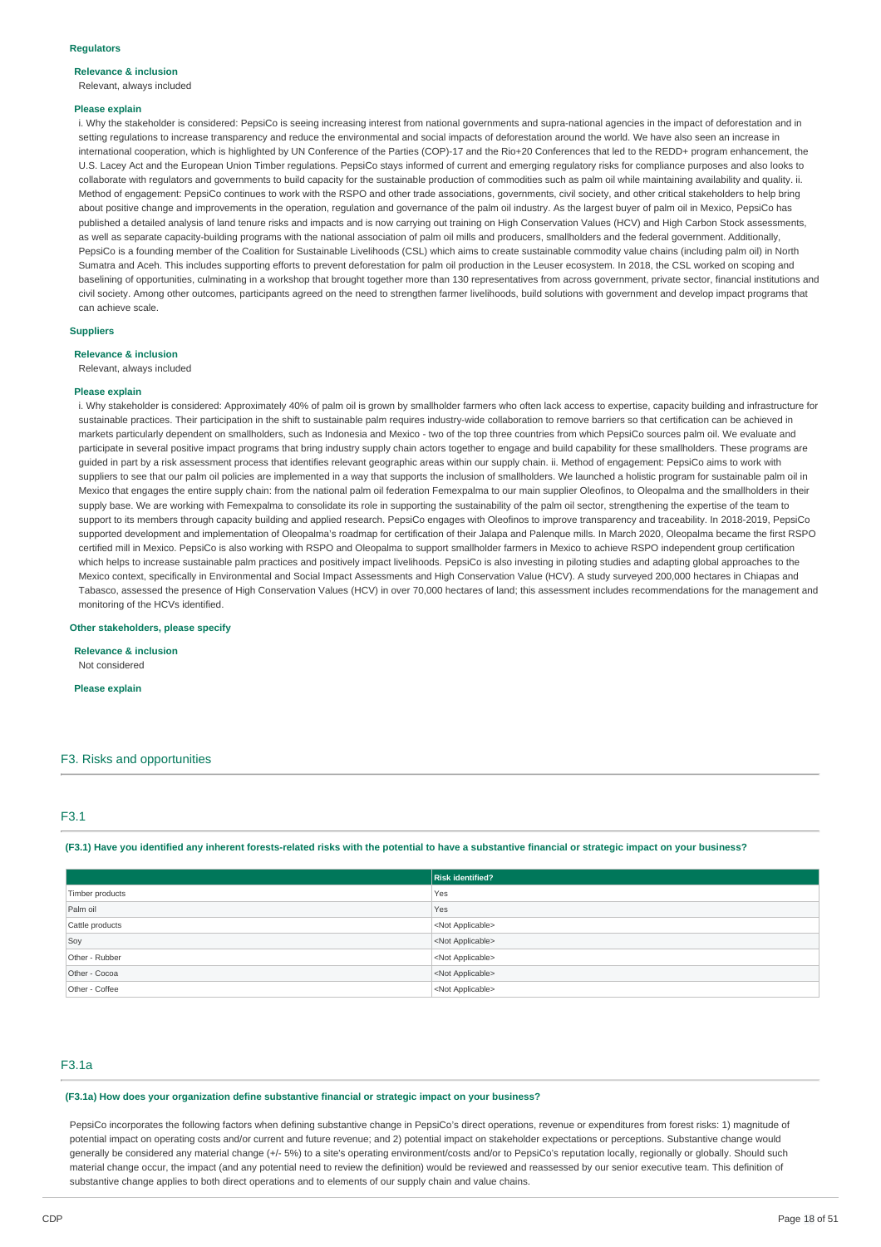## **Relevance & inclusion**

Relevant, always included

#### **Please explain**

i. Why the stakeholder is considered: PepsiCo is seeing increasing interest from national governments and supra-national agencies in the impact of deforestation and in setting regulations to increase transparency and reduce the environmental and social impacts of deforestation around the world. We have also seen an increase in international cooperation, which is highlighted by UN Conference of the Parties (COP)-17 and the Rio+20 Conferences that led to the REDD+ program enhancement, the U.S. Lacey Act and the European Union Timber regulations. PepsiCo stays informed of current and emerging regulatory risks for compliance purposes and also looks to collaborate with regulators and governments to build capacity for the sustainable production of commodities such as palm oil while maintaining availability and quality. ii. Method of engagement: PepsiCo continues to work with the RSPO and other trade associations, governments, civil society, and other critical stakeholders to help bring about positive change and improvements in the operation, regulation and governance of the palm oil industry. As the largest buyer of palm oil in Mexico, PepsiCo has published a detailed analysis of land tenure risks and impacts and is now carrying out training on High Conservation Values (HCV) and High Carbon Stock assessments, as well as separate capacity-building programs with the national association of palm oil mills and producers, smallholders and the federal government. Additionally, PepsiCo is a founding member of the Coalition for Sustainable Livelihoods (CSL) which aims to create sustainable commodity value chains (including palm oil) in North Sumatra and Aceh. This includes supporting efforts to prevent deforestation for palm oil production in the Leuser ecosystem. In 2018, the CSL worked on scoping and baselining of opportunities, culminating in a workshop that brought together more than 130 representatives from across government, private sector, financial institutions and civil society. Among other outcomes, participants agreed on the need to strengthen farmer livelihoods, build solutions with government and develop impact programs that can achieve scale.

### **Suppliers**

#### **Relevance & inclusion**

Relevant, always included

#### **Please explain**

i. Why stakeholder is considered: Approximately 40% of palm oil is grown by smallholder farmers who often lack access to expertise, capacity building and infrastructure for sustainable practices. Their participation in the shift to sustainable palm requires industry-wide collaboration to remove barriers so that certification can be achieved in markets particularly dependent on smallholders, such as Indonesia and Mexico - two of the top three countries from which PepsiCo sources palm oil. We evaluate and participate in several positive impact programs that bring industry supply chain actors together to engage and build capability for these smallholders. These programs are guided in part by a risk assessment process that identifies relevant geographic areas within our supply chain. ii. Method of engagement: PepsiCo aims to work with suppliers to see that our palm oil policies are implemented in a way that supports the inclusion of smallholders. We launched a holistic program for sustainable palm oil in Mexico that engages the entire supply chain: from the national palm oil federation Femexpalma to our main supplier Oleofinos, to Oleopalma and the smallholders in their supply base. We are working with Femexpalma to consolidate its role in supporting the sustainability of the palm oil sector, strengthening the expertise of the team to support to its members through capacity building and applied research. PepsiCo engages with Oleofinos to improve transparency and traceability. In 2018-2019, PepsiCo supported development and implementation of Oleopalma's roadmap for certification of their Jalapa and Palenque mills. In March 2020, Oleopalma became the first RSPO certified mill in Mexico. PepsiCo is also working with RSPO and Oleopalma to support smallholder farmers in Mexico to achieve RSPO independent group certification which helps to increase sustainable palm practices and positively impact livelihoods. PepsiCo is also investing in piloting studies and adapting global approaches to the Mexico context, specifically in Environmental and Social Impact Assessments and High Conservation Value (HCV). A study surveyed 200,000 hectares in Chiapas and Tabasco, assessed the presence of High Conservation Values (HCV) in over 70,000 hectares of land; this assessment includes recommendations for the management and monitoring of the HCVs identified.

### **Other stakeholders, please specify**

**Relevance & inclusion** Not considered

**Please explain**

### F3. Risks and opportunities

### F3.1

(F3.1) Have you identified any inherent forests-related risks with the potential to have a substantive financial or strategic impact on your business?

|                 | <b>Risk identified?</b>   |
|-----------------|---------------------------|
| Timber products | Yes                       |
| Palm oil        | Yes                       |
| Cattle products | <not applicable=""></not> |
| Soy             | <not applicable=""></not> |
| Other - Rubber  | <not applicable=""></not> |
| Other - Cocoa   | <not applicable=""></not> |
| Other - Coffee  | <not applicable=""></not> |

### F3.1a

### **(F3.1a) How does your organization define substantive financial or strategic impact on your business?**

PepsiCo incorporates the following factors when defining substantive change in PepsiCo's direct operations, revenue or expenditures from forest risks: 1) magnitude of potential impact on operating costs and/or current and future revenue; and 2) potential impact on stakeholder expectations or perceptions. Substantive change would generally be considered any material change (+/- 5%) to a site's operating environment/costs and/or to PepsiCo's reputation locally, regionally or globally. Should such material change occur, the impact (and any potential need to review the definition) would be reviewed and reassessed by our senior executive team. This definition of substantive change applies to both direct operations and to elements of our supply chain and value chains.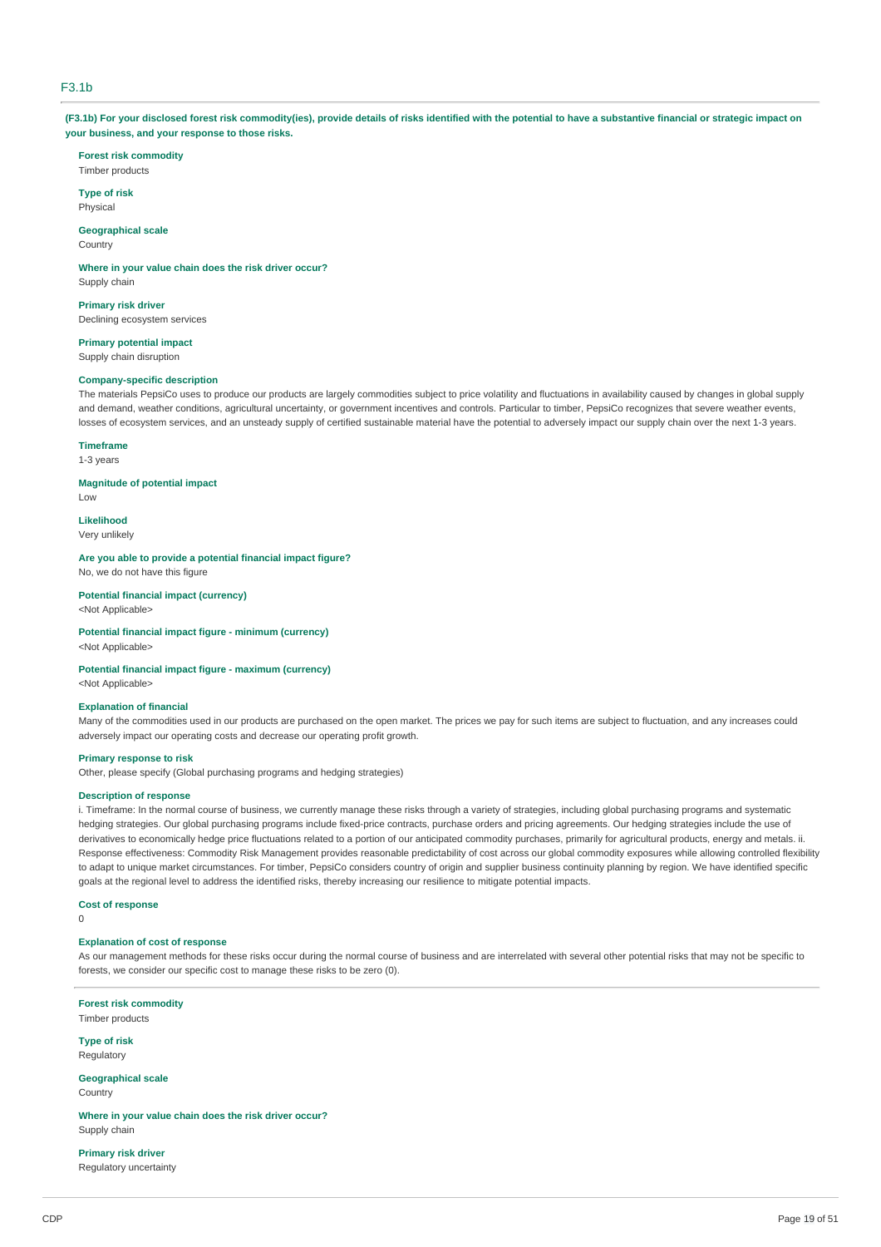### F3.1b

(F3.1b) For your disclosed forest risk commodity(ies), provide details of risks identified with the potential to have a substantive financial or strategic impact on **your business, and your response to those risks.**

**Forest risk commodity** Timber products

**Type of risk** Physical

**Geographical scale** Country

**Where in your value chain does the risk driver occur?** Supply chain

**Primary risk driver** Declining ecosystem services

**Primary potential impact**

Supply chain disruption

## **Company-specific description**

The materials PepsiCo uses to produce our products are largely commodities subject to price volatility and fluctuations in availability caused by changes in global supply and demand, weather conditions, agricultural uncertainty, or government incentives and controls. Particular to timber, PepsiCo recognizes that severe weather events, losses of ecosystem services, and an unsteady supply of certified sustainable material have the potential to adversely impact our supply chain over the next 1-3 years.

### **Timeframe**

1-3 years

### **Magnitude of potential impact**

Low

**Likelihood** Very unlikely

**Are you able to provide a potential financial impact figure?** No, we do not have this figure

## **Potential financial impact (currency)**

<Not Applicable>

**Potential financial impact figure - minimum (currency)** <Not Applicable>

## **Potential financial impact figure - maximum (currency)**

<Not Applicable>

#### **Explanation of financial**

Many of the commodities used in our products are purchased on the open market. The prices we pay for such items are subject to fluctuation, and any increases could adversely impact our operating costs and decrease our operating profit growth.

#### **Primary response to risk**

Other, please specify (Global purchasing programs and hedging strategies)

### **Description of response**

i. Timeframe: In the normal course of business, we currently manage these risks through a variety of strategies, including global purchasing programs and systematic hedging strategies. Our global purchasing programs include fixed-price contracts, purchase orders and pricing agreements. Our hedging strategies include the use of derivatives to economically hedge price fluctuations related to a portion of our anticipated commodity purchases, primarily for agricultural products, energy and metals. ii. Response effectiveness: Commodity Risk Management provides reasonable predictability of cost across our global commodity exposures while allowing controlled flexibility to adapt to unique market circumstances. For timber, PepsiCo considers country of origin and supplier business continuity planning by region. We have identified specific goals at the regional level to address the identified risks, thereby increasing our resilience to mitigate potential impacts.

#### **Cost of response**

 $\overline{0}$ 

#### **Explanation of cost of response**

As our management methods for these risks occur during the normal course of business and are interrelated with several other potential risks that may not be specific to forests, we consider our specific cost to manage these risks to be zero (0).

**Forest risk commodity** Timber products

**Type of risk** Regulatory

#### **Geographical scale Country**

**Where in your value chain does the risk driver occur?** Supply chain

**Primary risk driver**

Regulatory uncertainty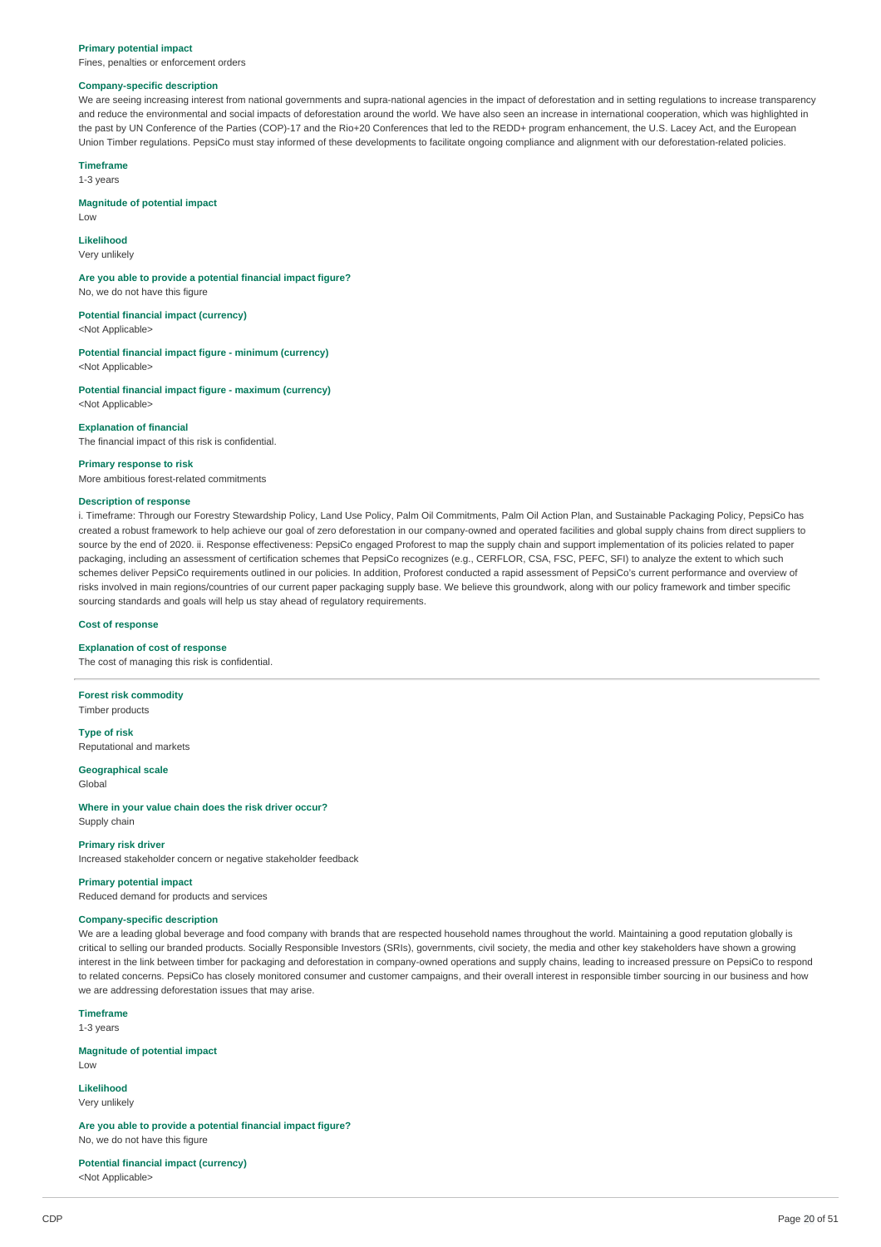#### **Primary potential impact**

Fines, penalties or enforcement orders

### **Company-specific description**

We are seeing increasing interest from national governments and supra-national agencies in the impact of deforestation and in setting regulations to increase transparency and reduce the environmental and social impacts of deforestation around the world. We have also seen an increase in international cooperation, which was highlighted in the past by UN Conference of the Parties (COP)-17 and the Rio+20 Conferences that led to the REDD+ program enhancement, the U.S. Lacey Act, and the European Union Timber regulations. PepsiCo must stay informed of these developments to facilitate ongoing compliance and alignment with our deforestation-related policies.

#### **Timeframe**

1-3 years

#### **Magnitude of potential impact**

Low

### **Likelihood**

Very unlikely

#### **Are you able to provide a potential financial impact figure?**

No, we do not have this figure

**Potential financial impact (currency)** <Not Applicable>

**Potential financial impact figure - minimum (currency)** <Not Applicable>

**Potential financial impact figure - maximum (currency)** <Not Applicable>

#### **Explanation of financial**

The financial impact of this risk is confidential.

#### **Primary response to risk** More ambitious forest-related commitments

### **Description of response**

i. Timeframe: Through our Forestry Stewardship Policy, Land Use Policy, Palm Oil Commitments, Palm Oil Action Plan, and Sustainable Packaging Policy, PepsiCo has created a robust framework to help achieve our goal of zero deforestation in our company-owned and operated facilities and global supply chains from direct suppliers to source by the end of 2020. ii. Response effectiveness: PepsiCo engaged Proforest to map the supply chain and support implementation of its policies related to paper packaging, including an assessment of certification schemes that PepsiCo recognizes (e.g., CERFLOR, CSA, FSC, PEFC, SFI) to analyze the extent to which such schemes deliver PepsiCo requirements outlined in our policies. In addition, Proforest conducted a rapid assessment of PepsiCo's current performance and overview of risks involved in main regions/countries of our current paper packaging supply base. We believe this groundwork, along with our policy framework and timber specific sourcing standards and goals will help us stay ahead of regulatory requirements.

#### **Cost of response**

#### **Explanation of cost of response**

The cost of managing this risk is confidential.

**Forest risk commodity** Timber products

**Type of risk** Reputational and markets

**Geographical scale**

Global

#### **Where in your value chain does the risk driver occur?** Supply chain

#### **Primary risk driver**

Increased stakeholder concern or negative stakeholder feedback

**Primary potential impact** Reduced demand for products and services

#### **Company-specific description**

We are a leading global beverage and food company with brands that are respected household names throughout the world. Maintaining a good reputation globally is critical to selling our branded products. Socially Responsible Investors (SRIs), governments, civil society, the media and other key stakeholders have shown a growing interest in the link between timber for packaging and deforestation in company-owned operations and supply chains, leading to increased pressure on PepsiCo to respond to related concerns. PepsiCo has closely monitored consumer and customer campaigns, and their overall interest in responsible timber sourcing in our business and how we are addressing deforestation issues that may arise.

**Timeframe** 1-3 years

**Magnitude of potential impact** Low

**Likelihood** Very unlikely

**Are you able to provide a potential financial impact figure?** No, we do not have this figure

**Potential financial impact (currency)** <Not Applicable>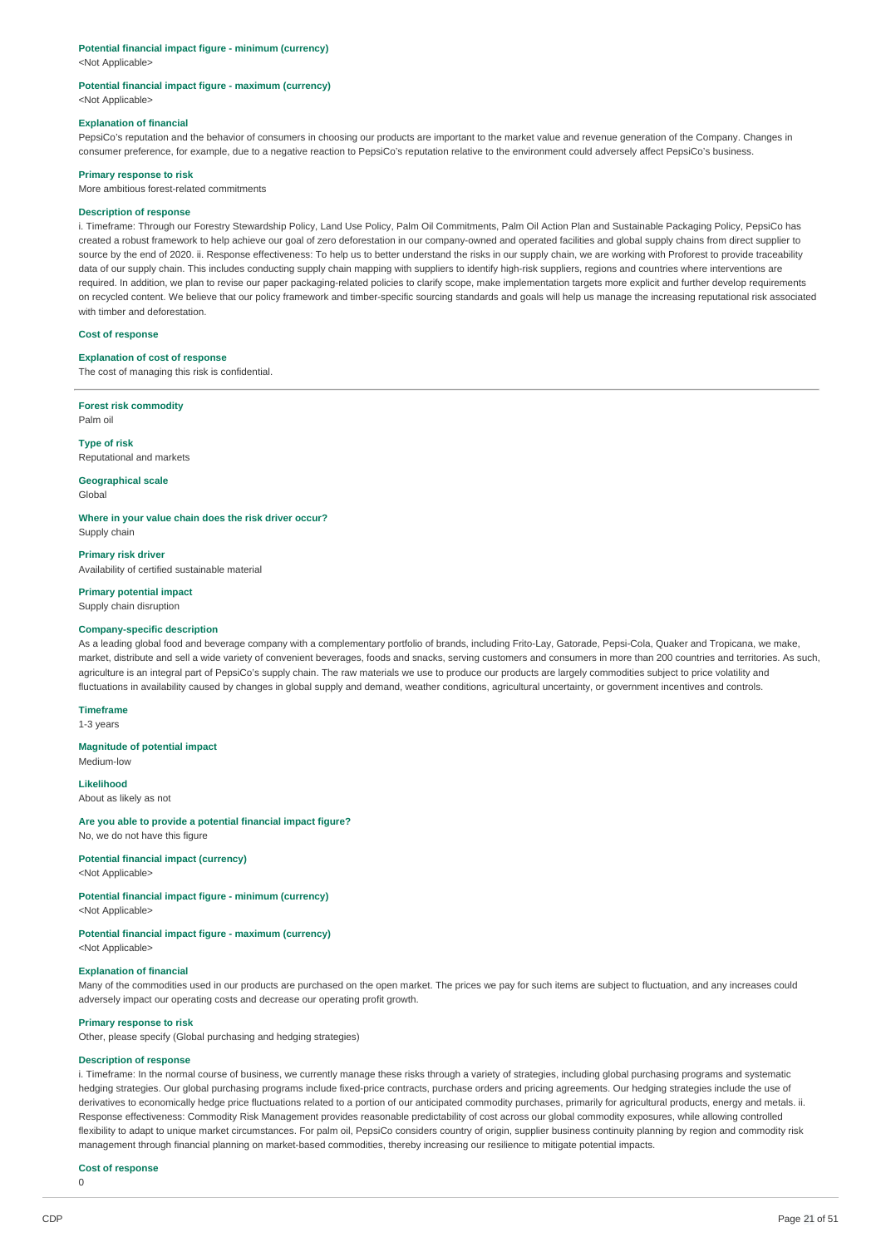#### **Potential financial impact figure - minimum (currency)**

<Not Applicable>

#### **Potential financial impact figure - maximum (currency)** <Not Applicable>

#### **Explanation of financial**

PepsiCo's reputation and the behavior of consumers in choosing our products are important to the market value and revenue generation of the Company. Changes in consumer preference, for example, due to a negative reaction to PepsiCo's reputation relative to the environment could adversely affect PepsiCo's business.

#### **Primary response to risk**

More ambitious forest-related commitments

#### **Description of response**

i. Timeframe: Through our Forestry Stewardship Policy, Land Use Policy, Palm Oil Commitments, Palm Oil Action Plan and Sustainable Packaging Policy, PepsiCo has created a robust framework to help achieve our goal of zero deforestation in our company-owned and operated facilities and global supply chains from direct supplier to source by the end of 2020, ii. Response effectiveness: To help us to better understand the risks in our supply chain, we are working with Proforest to provide traceability data of our supply chain. This includes conducting supply chain mapping with suppliers to identify high-risk suppliers, regions and countries where interventions are required. In addition, we plan to revise our paper packaging-related policies to clarify scope, make implementation targets more explicit and further develop requirements on recycled content. We believe that our policy framework and timber-specific sourcing standards and goals will help us manage the increasing reputational risk associated with timber and deforestation.

#### **Cost of response**

#### **Explanation of cost of response**

The cost of managing this risk is confidential.

**Forest risk commodity** Palm oil

**Type of risk** Reputational and markets

#### **Geographical scale**

Global

**Where in your value chain does the risk driver occur?** Supply chain

**Primary risk driver** Availability of certified sustainable material

### **Primary potential impact**

Supply chain disruption

#### **Company-specific description**

As a leading global food and beverage company with a complementary portfolio of brands, including Frito-Lay, Gatorade, Pepsi-Cola, Quaker and Tropicana, we make, market, distribute and sell a wide variety of convenient beverages, foods and snacks, serving customers and consumers in more than 200 countries and territories. As such, agriculture is an integral part of PepsiCo's supply chain. The raw materials we use to produce our products are largely commodities subject to price volatility and fluctuations in availability caused by changes in global supply and demand, weather conditions, agricultural uncertainty, or government incentives and controls.

### **Timeframe**

1-3 years

#### **Magnitude of potential impact**

Medium-low

### **Likelihood**

About as likely as not

#### **Are you able to provide a potential financial impact figure?**

No, we do not have this figure

#### **Potential financial impact (currency)**

<Not Applicable>

### **Potential financial impact figure - minimum (currency)**

<Not Applicable>

### **Potential financial impact figure - maximum (currency)**

<Not Applicable>

### **Explanation of financial**

Many of the commodities used in our products are purchased on the open market. The prices we pay for such items are subject to fluctuation, and any increases could adversely impact our operating costs and decrease our operating profit growth.

#### **Primary response to risk**

Other, please specify (Global purchasing and hedging strategies)

### **Description of response**

i. Timeframe: In the normal course of business, we currently manage these risks through a variety of strategies, including global purchasing programs and systematic hedging strategies. Our global purchasing programs include fixed-price contracts, purchase orders and pricing agreements. Our hedging strategies include the use of derivatives to economically hedge price fluctuations related to a portion of our anticipated commodity purchases, primarily for agricultural products, energy and metals. ii. Response effectiveness: Commodity Risk Management provides reasonable predictability of cost across our global commodity exposures, while allowing controlled flexibility to adapt to unique market circumstances. For palm oil, PepsiCo considers country of origin, supplier business continuity planning by region and commodity risk management through financial planning on market-based commodities, thereby increasing our resilience to mitigate potential impacts.

#### **Cost of response**

 $\Omega$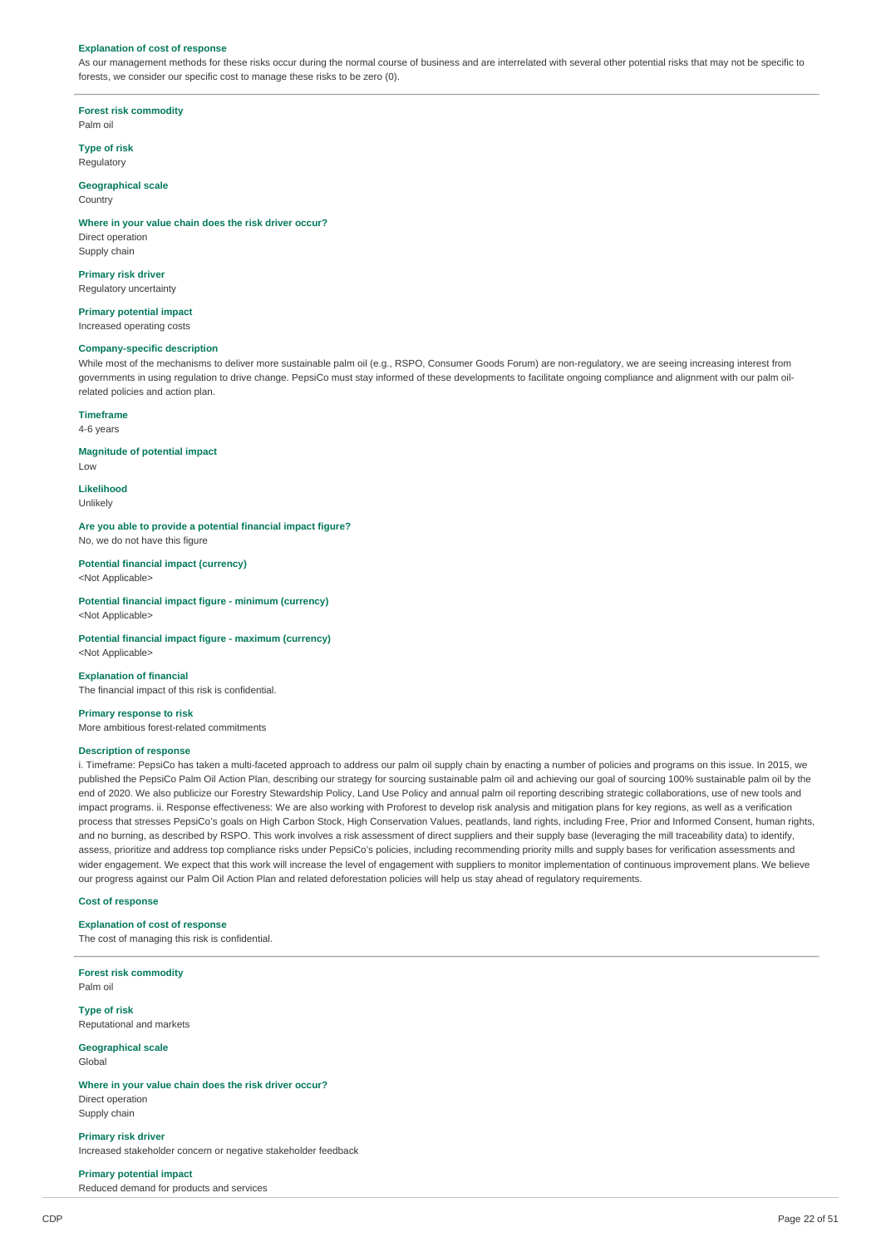#### **Explanation of cost of response**

As our management methods for these risks occur during the normal course of business and are interrelated with several other potential risks that may not be specific to forests, we consider our specific cost to manage these risks to be zero (0).

**Forest risk commodity** Palm oil

### **Type of risk**

Regulatory

#### **Geographical scale Country**

#### **Where in your value chain does the risk driver occur?**

Direct operation Supply chain

**Primary risk driver**

Regulatory uncertainty

## **Primary potential impact**

Increased operating costs

### **Company-specific description**

While most of the mechanisms to deliver more sustainable palm oil (e.g., RSPO, Consumer Goods Forum) are non-regulatory, we are seeing increasing interest from governments in using regulation to drive change. PepsiCo must stay informed of these developments to facilitate ongoing compliance and alignment with our palm oilrelated policies and action plan.

#### **Timeframe**

4-6 years

### **Magnitude of potential impact**

Low

**Likelihood** Unlikely

**Are you able to provide a potential financial impact figure?** No, we do not have this figure

### **Potential financial impact (currency)**

<Not Applicable>

**Potential financial impact figure - minimum (currency)** <Not Applicable>

## **Potential financial impact figure - maximum (currency)**

<Not Applicable>

#### **Explanation of financial**

The financial impact of this risk is confidential.

#### **Primary response to risk**

More ambitious forest-related commitments

### **Description of response**

i. Timeframe: PepsiCo has taken a multi-faceted approach to address our palm oil supply chain by enacting a number of policies and programs on this issue. In 2015, we published the PepsiCo Palm Oil Action Plan, describing our strategy for sourcing sustainable palm oil and achieving our goal of sourcing 100% sustainable palm oil by the end of 2020. We also publicize our Forestry Stewardship Policy, Land Use Policy and annual palm oil reporting describing strategic collaborations, use of new tools and impact programs. ii. Response effectiveness: We are also working with Proforest to develop risk analysis and mitigation plans for key regions, as well as a verification process that stresses PepsiCo's goals on High Carbon Stock, High Conservation Values, peatlands, land rights, including Free, Prior and Informed Consent, human rights, and no burning, as described by RSPO. This work involves a risk assessment of direct suppliers and their supply base (leveraging the mill traceability data) to identify, assess, prioritize and address top compliance risks under PepsiCo's policies, including recommending priority mills and supply bases for verification assessments and wider engagement. We expect that this work will increase the level of engagement with suppliers to monitor implementation of continuous improvement plans. We believe our progress against our Palm Oil Action Plan and related deforestation policies will help us stay ahead of regulatory requirements.

#### **Cost of response**

#### **Explanation of cost of response**

The cost of managing this risk is confidential.

**Forest risk commodity** Palm oil

**Type of risk** Reputational and markets

#### **Geographical scale** Global

#### **Where in your value chain does the risk driver occur?**

Direct operation Supply chain

**Primary risk driver** Increased stakeholder concern or negative stakeholder feedback

### **Primary potential impact**

Reduced demand for products and services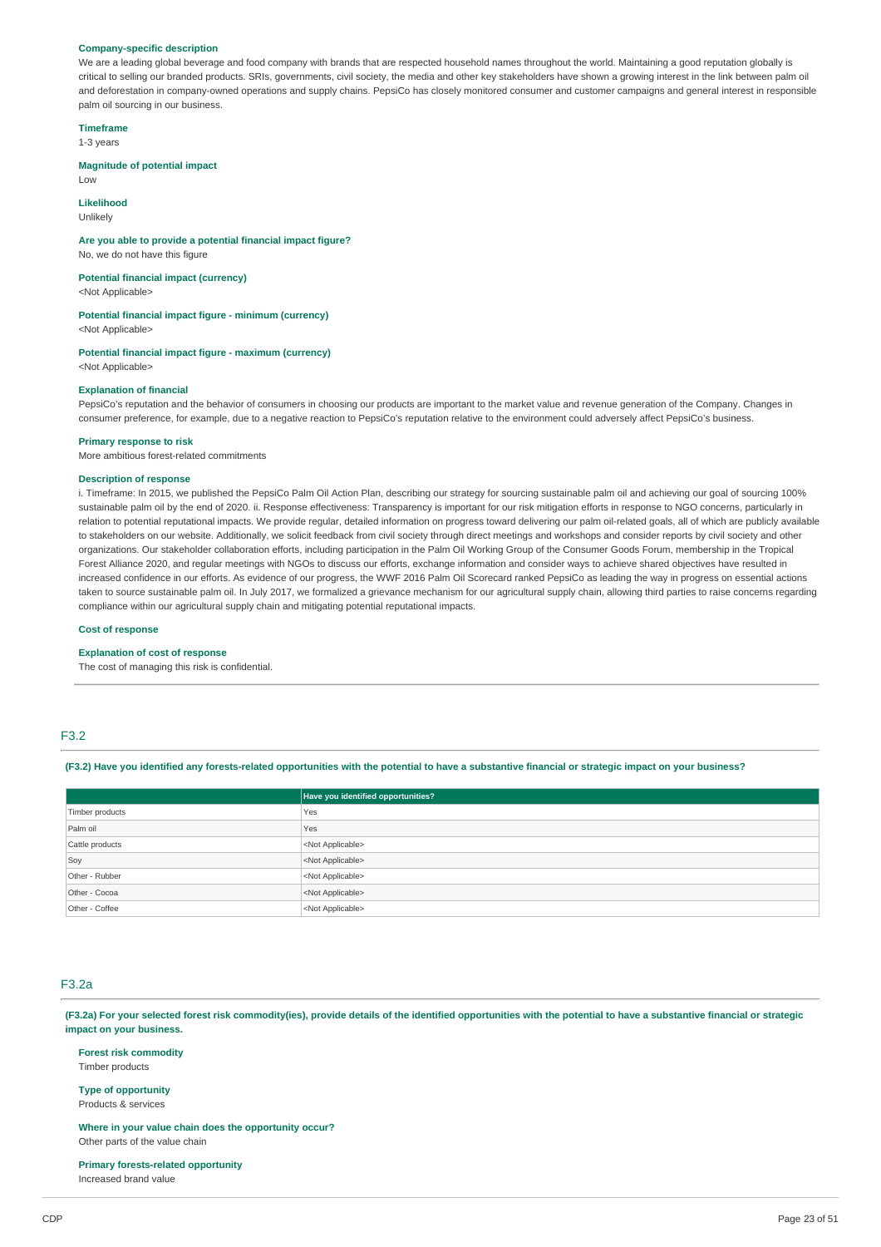#### **Company-specific description**

We are a leading global beverage and food company with brands that are respected household names throughout the world. Maintaining a good reputation globally is critical to selling our branded products. SRIs, governments, civil society, the media and other key stakeholders have shown a growing interest in the link between palm oil and deforestation in company-owned operations and supply chains. PepsiCo has closely monitored consumer and customer campaigns and general interest in responsible palm oil sourcing in our business.

**Timeframe**

1-3 years

#### **Magnitude of potential impact**

 $\overline{L}$   $\cap$ 

**Likelihood** Unlikely

#### **Are you able to provide a potential financial impact figure?** No, we do not have this figure

**Potential financial impact (currency)**

<Not Applicable>

### **Potential financial impact figure - minimum (currency)**

<Not Applicable>

## **Potential financial impact figure - maximum (currency)**

<Not Applicable>

### **Explanation of financial**

PepsiCo's reputation and the behavior of consumers in choosing our products are important to the market value and revenue generation of the Company. Changes in consumer preference, for example, due to a negative reaction to PepsiCo's reputation relative to the environment could adversely affect PepsiCo's business.

#### **Primary response to risk**

More ambitious forest-related commitments

### **Description of response**

i. Timeframe: In 2015, we published the PepsiCo Palm Oil Action Plan, describing our strategy for sourcing sustainable palm oil and achieving our goal of sourcing 100% sustainable palm oil by the end of 2020. ii. Response effectiveness: Transparency is important for our risk mitigation efforts in response to NGO concerns, particularly in relation to potential reputational impacts. We provide regular, detailed information on progress toward delivering our palm oil-related goals, all of which are publicly available to stakeholders on our website. Additionally, we solicit feedback from civil society through direct meetings and workshops and consider reports by civil society and other organizations. Our stakeholder collaboration efforts, including participation in the Palm Oil Working Group of the Consumer Goods Forum, membership in the Tropical Forest Alliance 2020, and regular meetings with NGOs to discuss our efforts, exchange information and consider ways to achieve shared objectives have resulted in increased confidence in our efforts. As evidence of our progress, the WWF 2016 Palm Oil Scorecard ranked PepsiCo as leading the way in progress on essential actions taken to source sustainable palm oil. In July 2017, we formalized a grievance mechanism for our agricultural supply chain, allowing third parties to raise concerns regarding compliance within our agricultural supply chain and mitigating potential reputational impacts.

#### **Cost of response**

#### **Explanation of cost of response**

The cost of managing this risk is confidential.

### F3.2

(F3.2) Have you identified any forests-related opportunities with the potential to have a substantive financial or strategic impact on your business?

|                 | Have you identified opportunities? |
|-----------------|------------------------------------|
| Timber products | Yes                                |
| Palm oil        | Yes                                |
| Cattle products | <not applicable=""></not>          |
| Soy             | <not applicable=""></not>          |
| Other - Rubber  | <not applicable=""></not>          |
| Other - Cocoa   | <not applicable=""></not>          |
| Other - Coffee  | <not applicable=""></not>          |

#### F3.2a

(F3.2a) For your selected forest risk commodity(ies), provide details of the identified opportunities with the potential to have a substantive financial or strategic **impact on your business.**

#### **Forest risk commodity**

Timber products

**Type of opportunity**

#### Products & services

**Where in your value chain does the opportunity occur?** Other parts of the value chain

## **Primary forests-related opportunity**

Increased brand value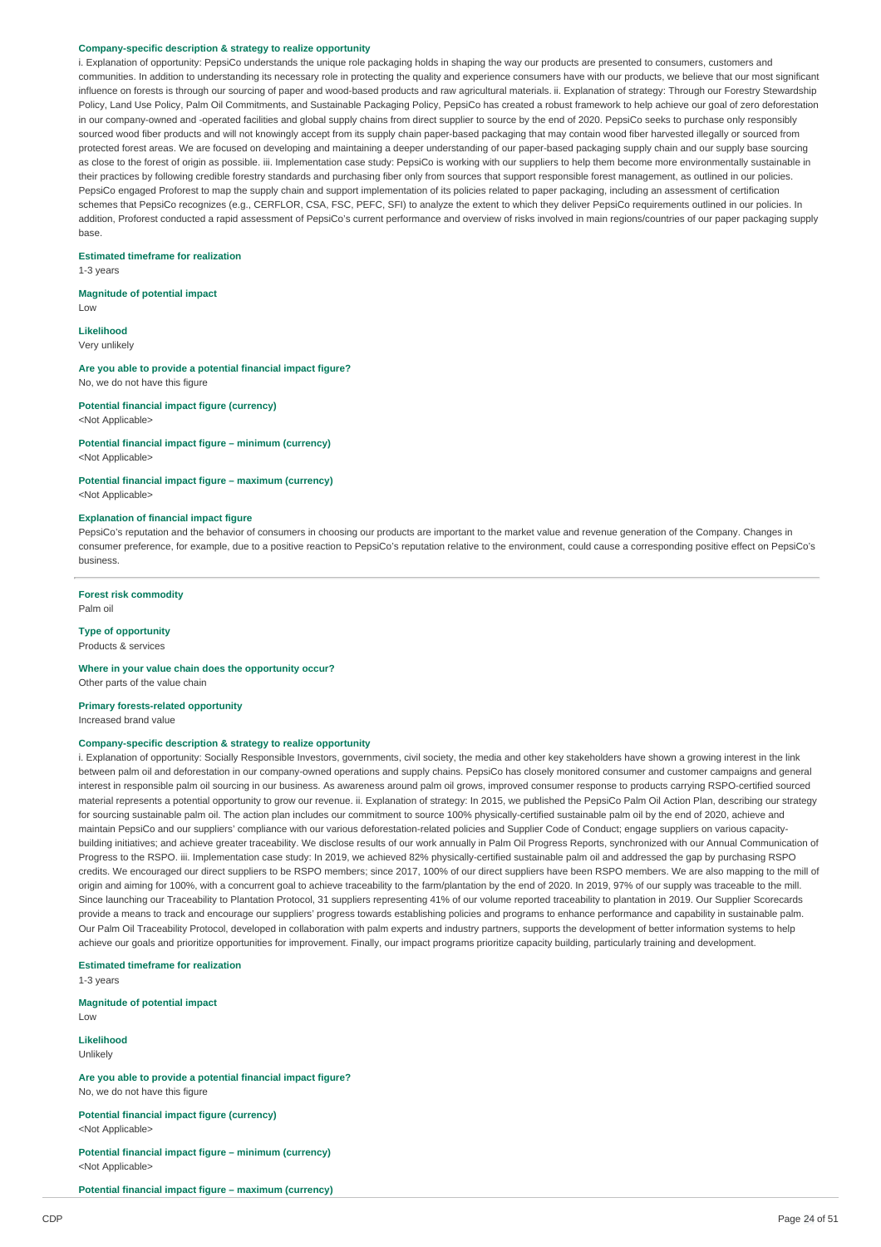#### **Company-specific description & strategy to realize opportunity**

i. Explanation of opportunity: PepsiCo understands the unique role packaging holds in shaping the way our products are presented to consumers, customers and communities. In addition to understanding its necessary role in protecting the quality and experience consumers have with our products, we believe that our most significant influence on forests is through our sourcing of paper and wood-based products and raw agricultural materials. ii. Explanation of strategy: Through our Forestry Stewardship Policy, Land Use Policy, Palm Oil Commitments, and Sustainable Packaging Policy, PepsiCo has created a robust framework to help achieve our goal of zero deforestation in our company-owned and -operated facilities and global supply chains from direct supplier to source by the end of 2020. PepsiCo seeks to purchase only responsibly sourced wood fiber products and will not knowingly accept from its supply chain paper-based packaging that may contain wood fiber harvested illegally or sourced from protected forest areas. We are focused on developing and maintaining a deeper understanding of our paper-based packaging supply chain and our supply base sourcing as close to the forest of origin as possible. iii. Implementation case study: PepsiCo is working with our suppliers to help them become more environmentally sustainable in their practices by following credible forestry standards and purchasing fiber only from sources that support responsible forest management, as outlined in our policies. PepsiCo engaged Proforest to map the supply chain and support implementation of its policies related to paper packaging, including an assessment of certification schemes that PepsiCo recognizes (e.g., CERFLOR, CSA, FSC, PEFC, SFI) to analyze the extent to which they deliver PepsiCo requirements outlined in our policies. In addition, Proforest conducted a rapid assessment of PepsiCo's current performance and overview of risks involved in main regions/countries of our paper packaging supply base.

#### **Estimated timeframe for realization**

1-3 years

#### **Magnitude of potential impact**

**Likelihood**

Low

Very unlikely

**Are you able to provide a potential financial impact figure?** No, we do not have this figure

**Potential financial impact figure (currency)** <Not Applicable>

### **Potential financial impact figure – minimum (currency)**

<Not Applicable>

**Potential financial impact figure – maximum (currency)** <Not Applicable>

#### **Explanation of financial impact figure**

PepsiCo's reputation and the behavior of consumers in choosing our products are important to the market value and revenue generation of the Company. Changes in consumer preference, for example, due to a positive reaction to PepsiCo's reputation relative to the environment, could cause a corresponding positive effect on PepsiCo's business.

### **Forest risk commodity**

Palm oil

#### **Type of opportunity** Products & services

**Where in your value chain does the opportunity occur?**

Other parts of the value chain

### **Primary forests-related opportunity**

Increased brand value

#### **Company-specific description & strategy to realize opportunity**

i. Explanation of opportunity: Socially Responsible Investors, governments, civil society, the media and other key stakeholders have shown a growing interest in the link between palm oil and deforestation in our company-owned operations and supply chains. PepsiCo has closely monitored consumer and customer campaigns and general interest in responsible palm oil sourcing in our business. As awareness around palm oil grows, improved consumer response to products carrying RSPO-certified sourced material represents a potential opportunity to grow our revenue. ii. Explanation of strategy: In 2015, we published the PepsiCo Palm Oil Action Plan, describing our strategy for sourcing sustainable palm oil. The action plan includes our commitment to source 100% physically-certified sustainable palm oil by the end of 2020, achieve and maintain PepsiCo and our suppliers' compliance with our various deforestation-related policies and Supplier Code of Conduct; engage suppliers on various capacitybuilding initiatives; and achieve greater traceability. We disclose results of our work annually in Palm Oil Progress Reports, synchronized with our Annual Communication of Progress to the RSPO. iii. Implementation case study: In 2019, we achieved 82% physically-certified sustainable palm oil and addressed the gap by purchasing RSPO credits. We encouraged our direct suppliers to be RSPO members; since 2017, 100% of our direct suppliers have been RSPO members. We are also mapping to the mill of origin and aiming for 100%, with a concurrent goal to achieve traceability to the farm/plantation by the end of 2020. In 2019, 97% of our supply was traceable to the mill. Since launching our Traceability to Plantation Protocol, 31 suppliers representing 41% of our volume reported traceability to plantation in 2019. Our Supplier Scorecards provide a means to track and encourage our suppliers' progress towards establishing policies and programs to enhance performance and capability in sustainable palm. Our Palm Oil Traceability Protocol, developed in collaboration with palm experts and industry partners, supports the development of better information systems to help achieve our goals and prioritize opportunities for improvement. Finally, our impact programs prioritize capacity building, particularly training and development.

**Estimated timeframe for realization**

1-3 years

**Magnitude of potential impact**  $\overline{L}$   $\Omega M$ 

**Likelihood** Unlikely

**Are you able to provide a potential financial impact figure?**

No, we do not have this figure

**Potential financial impact figure (currency)** <Not Applicable>

**Potential financial impact figure – minimum (currency)** <Not Applicable>

**Potential financial impact figure – maximum (currency)**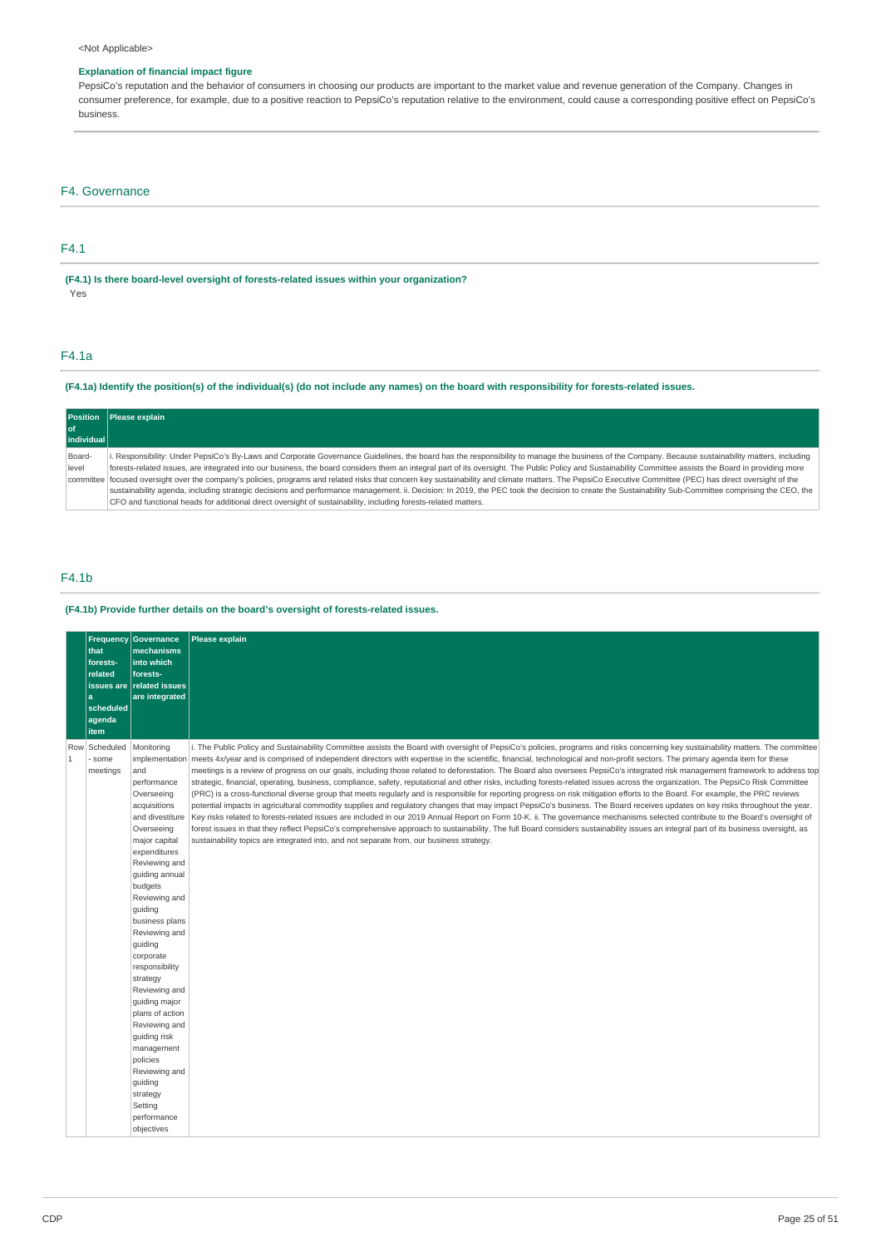### <Not Applicable>

### **Explanation of financial impact figure**

PepsiCo's reputation and the behavior of consumers in choosing our products are important to the market value and revenue generation of the Company. Changes in consumer preference, for example, due to a positive reaction to PepsiCo's reputation relative to the environment, could cause a corresponding positive effect on PepsiCo's business.

### F4. Governance

### F4.1

**(F4.1) Is there board-level oversight of forests-related issues within your organization?** Yes

### F4.1a

### (F4.1a) Identify the position(s) of the individual(s) (do not include any names) on the board with responsibility for forests-related issues.

| <b>Position</b> | Please explain                                                                                                                                                                                             |
|-----------------|------------------------------------------------------------------------------------------------------------------------------------------------------------------------------------------------------------|
| l of            |                                                                                                                                                                                                            |
| individual      |                                                                                                                                                                                                            |
| Board-          | i. Responsibility: Under PepsiCo's By-Laws and Corporate Governance Guidelines, the board has the responsibility to manage the business of the Company. Because sustainability matters, including          |
| level           | forests-related issues, are integrated into our business, the board considers them an integral part of its oversight. The Public Policy and Sustainability Committee assists the Board in providing more   |
|                 | committee focused oversight over the company's policies, programs and related risks that concern key sustainability and climate matters. The PepsiCo Executive Committee (PEC) has direct oversight of the |
|                 | sustainability agenda, including strategic decisions and performance management. ii. Decision: In 2019, the PEC took the decision to create the Sustainability Sub-Committee comprising the CEO, the       |
|                 | CFO and functional heads for additional direct oversight of sustainability, including forests-related matters.                                                                                             |

### F4.1b

### **(F4.1b) Provide further details on the board's oversight of forests-related issues.**

|                       | that<br>forests-<br>related<br>l a<br>scheduled<br>agenda<br>item | <b>Frequency Governance</b><br>mechanisms<br>into which<br>forests-<br>issues are related issues<br>are integrated                                                                                                                                                                                                                                                                                                                                                                                                    | Please explain                                                                                                                                                                                                                                                                                                                                                                                                                                                                                                                                                                                                                                                                                                                                                                                                                                                                                                                                                                                                                                                                                                                                                                                                                                                                                                                                                                                                                                                                                                                                                                   |
|-----------------------|-------------------------------------------------------------------|-----------------------------------------------------------------------------------------------------------------------------------------------------------------------------------------------------------------------------------------------------------------------------------------------------------------------------------------------------------------------------------------------------------------------------------------------------------------------------------------------------------------------|----------------------------------------------------------------------------------------------------------------------------------------------------------------------------------------------------------------------------------------------------------------------------------------------------------------------------------------------------------------------------------------------------------------------------------------------------------------------------------------------------------------------------------------------------------------------------------------------------------------------------------------------------------------------------------------------------------------------------------------------------------------------------------------------------------------------------------------------------------------------------------------------------------------------------------------------------------------------------------------------------------------------------------------------------------------------------------------------------------------------------------------------------------------------------------------------------------------------------------------------------------------------------------------------------------------------------------------------------------------------------------------------------------------------------------------------------------------------------------------------------------------------------------------------------------------------------------|
| Row<br>$\overline{1}$ | Scheduled<br>some<br>meetings                                     | Monitoring<br>implementation<br>and<br>performance<br>Overseeing<br>acquisitions<br>and divestiture<br>Overseeing<br>major capital<br>expenditures<br>Reviewing and<br>quiding annual<br>budgets<br>Reviewing and<br>guiding<br>business plans<br>Reviewing and<br>guiding<br>corporate<br>responsibility<br>strategy<br>Reviewing and<br>guiding major<br>plans of action<br>Reviewing and<br>quiding risk<br>management<br>policies<br>Reviewing and<br>quiding<br>strategy<br>Setting<br>performance<br>objectives | i. The Public Policy and Sustainability Committee assists the Board with oversight of PepsiCo's policies, programs and risks concerning key sustainability matters. The committee<br>meets 4x/year and is comprised of independent directors with expertise in the scientific, financial, technological and non-profit sectors. The primary agenda item for these<br>meetings is a review of progress on our goals, including those related to deforestation. The Board also oversees PepsiCo's integrated risk management framework to address top<br>strategic, financial, operating, business, compliance, safety, reputational and other risks, including forests-related issues across the organization. The PepsiCo Risk Committee<br>(PRC) is a cross-functional diverse group that meets regularly and is responsible for reporting progress on risk mitigation efforts to the Board. For example, the PRC reviews<br>potential impacts in agricultural commodity supplies and regulatory changes that may impact PepsiCo's business. The Board receives updates on key risks throughout the year.<br>Key risks related to forests-related issues are included in our 2019 Annual Report on Form 10-K. ii. The governance mechanisms selected contribute to the Board's oversight of<br>forest issues in that they reflect PepsiCo's comprehensive approach to sustainability. The full Board considers sustainability issues an integral part of its business oversight, as<br>sustainability topics are integrated into, and not separate from, our business strategy. |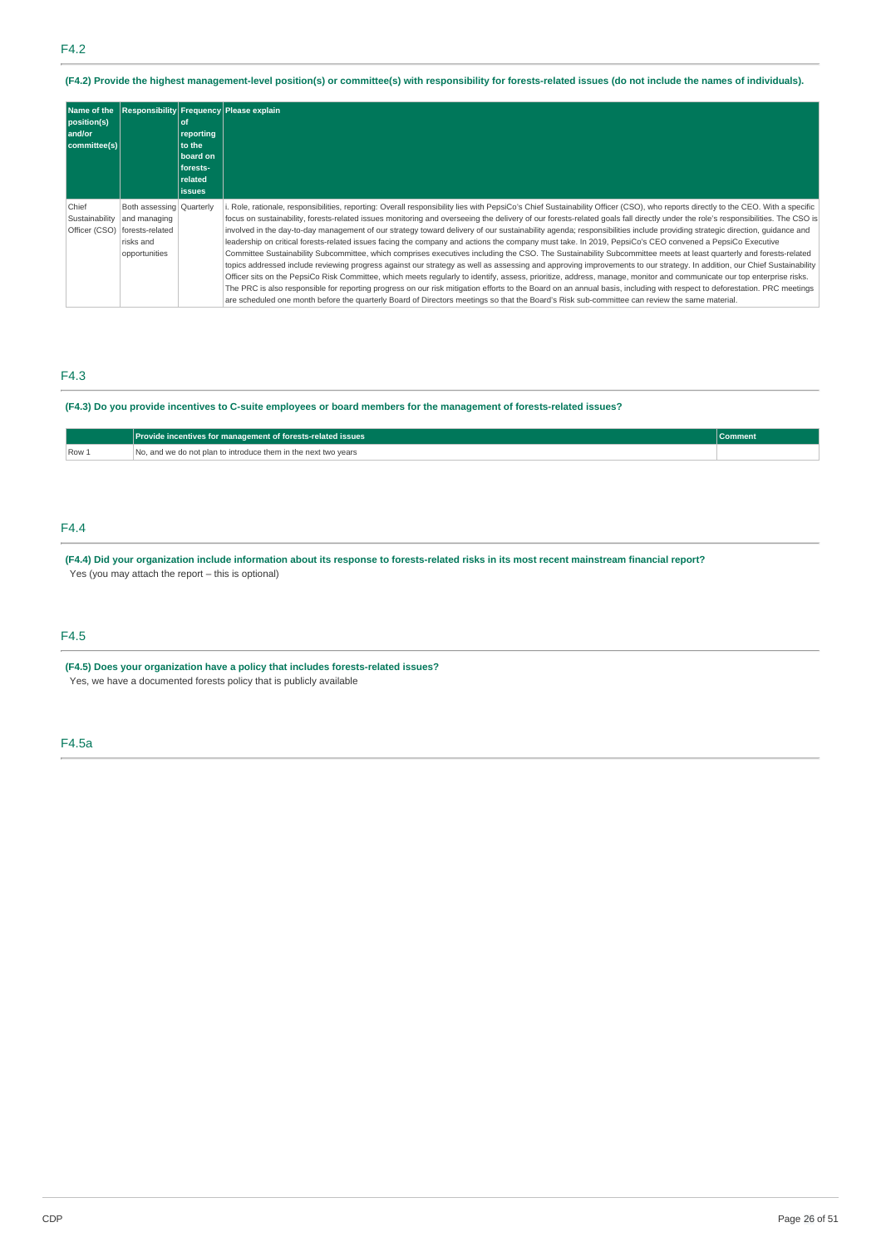(F4.2) Provide the highest management-level position(s) or committee(s) with responsibility for forests-related issues (do not include the names of individuals).

| position(s)<br>  and/or<br>committee(s)  |                                                                                           | <b>of</b><br>reporting<br>to the<br>board on<br>forests-<br>related<br><b>issues</b> | Name of the Responsibility Frequency Please explain                                                                                                                                                                                                                                                                                                                                                                                                                                                                                                                                                                                                                                                                                                                                                                                                                                                                                                                                                                                                                                                                                                                                                                                                                                                                                                                                                                                                                                                                                                              |
|------------------------------------------|-------------------------------------------------------------------------------------------|--------------------------------------------------------------------------------------|------------------------------------------------------------------------------------------------------------------------------------------------------------------------------------------------------------------------------------------------------------------------------------------------------------------------------------------------------------------------------------------------------------------------------------------------------------------------------------------------------------------------------------------------------------------------------------------------------------------------------------------------------------------------------------------------------------------------------------------------------------------------------------------------------------------------------------------------------------------------------------------------------------------------------------------------------------------------------------------------------------------------------------------------------------------------------------------------------------------------------------------------------------------------------------------------------------------------------------------------------------------------------------------------------------------------------------------------------------------------------------------------------------------------------------------------------------------------------------------------------------------------------------------------------------------|
| Chief<br>Sustainability<br>Officer (CSO) | Both assessing Quarterly<br>and managing<br>forests-related<br>risks and<br>opportunities |                                                                                      | i. Role, rationale, responsibilities, reporting: Overall responsibility lies with PepsiCo's Chief Sustainability Officer (CSO), who reports directly to the CEO. With a specific<br>focus on sustainability, forests-related issues monitoring and overseeing the delivery of our forests-related goals fall directly under the role's responsibilities. The CSO is<br>involved in the day-to-day management of our strategy toward delivery of our sustainability agenda; responsibilities include providing strategic direction, quidance and<br>leadership on critical forests-related issues facing the company and actions the company must take. In 2019, PepsiCo's CEO convened a PepsiCo Executive<br>Committee Sustainability Subcommittee, which comprises executives including the CSO. The Sustainability Subcommittee meets at least quarterly and forests-related<br>topics addressed include reviewing progress against our strategy as well as assessing and approving improvements to our strategy. In addition, our Chief Sustainability<br>Officer sits on the PepsiCo Risk Committee, which meets reqularly to identify, assess, prioritize, address, manage, monitor and communicate our top enterprise risks.<br>The PRC is also responsible for reporting progress on our risk mitigation efforts to the Board on an annual basis, including with respect to deforestation. PRC meetings<br>are scheduled one month before the quarterly Board of Directors meetings so that the Board's Risk sub-committee can review the same material. |

## F4.3

### (F4.3) Do you provide incentives to C-suite employees or board members for the management of forests-related issues?

|       | Provide incentives for management of forests-related issues    |  |  |
|-------|----------------------------------------------------------------|--|--|
| Row 1 | No, and we do not plan to introduce them in the next two vears |  |  |

### F4.4

(F4.4) Did your organization include information about its response to forests-related risks in its most recent mainstream financial report? Yes (you may attach the report – this is optional)

### F4.5

**(F4.5) Does your organization have a policy that includes forests-related issues?**

Yes, we have a documented forests policy that is publicly available

### F4.5a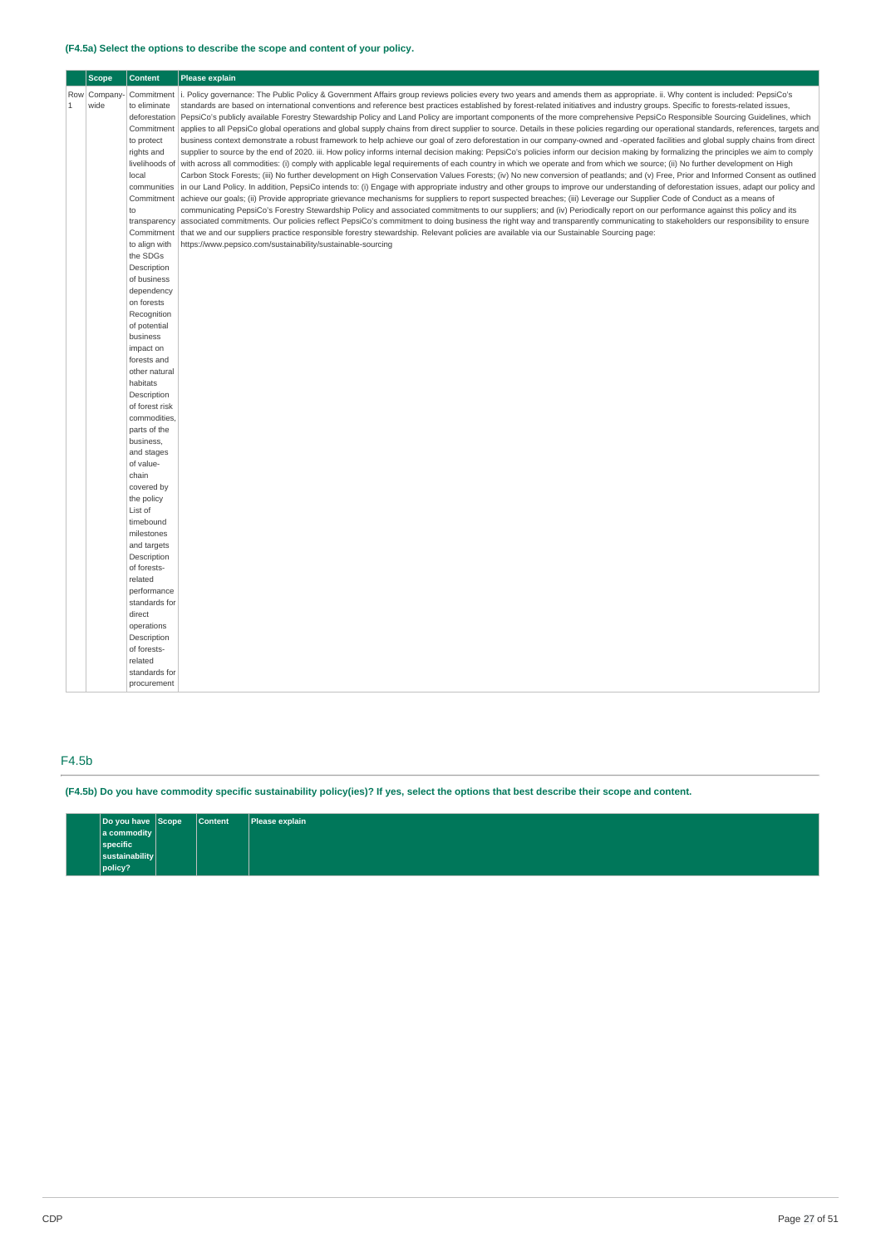### **(F4.5a) Select the options to describe the scope and content of your policy.**

| <b>Scope</b><br><b>Content</b><br><b>Please explain</b> |             |                             |                                                                                                                                                                                          |
|---------------------------------------------------------|-------------|-----------------------------|------------------------------------------------------------------------------------------------------------------------------------------------------------------------------------------|
|                                                         | Row Company | Commitment                  | i. Policy governance: The Public Policy & Government Affairs group reviews policies every two years and amends them as appropriate. ii. Why content is included: PepsiCo's               |
| $\mathbf{1}$                                            | wide        | to eliminate                | standards are based on international conventions and reference best practices established by forest-related initiatives and industry groups. Specific to forests-related issues,         |
|                                                         |             | deforestation               | PepsiCo's publicly available Forestry Stewardship Policy and Land Policy are important components of the more comprehensive PepsiCo Responsible Sourcing Guidelines, which               |
|                                                         |             | Commitment                  | applies to all PepsiCo global operations and global supply chains from direct supplier to source. Details in these policies regarding our operational standards, references, targets and |
|                                                         |             | to protect                  | business context demonstrate a robust framework to help achieve our goal of zero deforestation in our company-owned and -operated facilities and global supply chains from direct        |
|                                                         |             | rights and                  | supplier to source by the end of 2020. iii. How policy informs internal decision making: PepsiCo's policies inform our decision making by formalizing the principles we aim to comply    |
|                                                         |             | livelihoods of              | with across all commodities: (i) comply with applicable legal requirements of each country in which we operate and from which we source; (ii) No further development on High             |
|                                                         |             | local                       | Carbon Stock Forests; (iii) No further development on High Conservation Values Forests; (iv) No new conversion of peatlands; and (v) Free, Prior and Informed Consent as outlined        |
|                                                         |             | communities                 | in our Land Policy. In addition, PepsiCo intends to: (i) Engage with appropriate industry and other groups to improve our understanding of deforestation issues, adapt our policy and    |
|                                                         |             | Commitment                  | achieve our goals; (ii) Provide appropriate grievance mechanisms for suppliers to report suspected breaches; (iii) Leverage our Supplier Code of Conduct as a means of                   |
|                                                         |             | to                          | communicating PepsiCo's Forestry Stewardship Policy and associated commitments to our suppliers; and (iv) Periodically report on our performance against this policy and its             |
|                                                         |             | transparency                | associated commitments. Our policies reflect PepsiCo's commitment to doing business the right way and transparently communicating to stakeholders our responsibility to ensure           |
|                                                         |             | Commitment                  | that we and our suppliers practice responsible forestry stewardship. Relevant policies are available via our Sustainable Sourcing page:                                                  |
|                                                         |             | to align with<br>the SDGs   | https://www.pepsico.com/sustainability/sustainable-sourcing                                                                                                                              |
|                                                         |             | Description                 |                                                                                                                                                                                          |
|                                                         |             | of business                 |                                                                                                                                                                                          |
|                                                         |             | dependency                  |                                                                                                                                                                                          |
|                                                         |             | on forests                  |                                                                                                                                                                                          |
|                                                         |             | Recognition                 |                                                                                                                                                                                          |
|                                                         |             | of potential                |                                                                                                                                                                                          |
|                                                         |             | business                    |                                                                                                                                                                                          |
|                                                         |             | impact on                   |                                                                                                                                                                                          |
|                                                         |             | forests and                 |                                                                                                                                                                                          |
|                                                         |             | other natural               |                                                                                                                                                                                          |
|                                                         |             | habitats                    |                                                                                                                                                                                          |
|                                                         |             | Description                 |                                                                                                                                                                                          |
|                                                         |             | of forest risk              |                                                                                                                                                                                          |
|                                                         |             | commodities<br>parts of the |                                                                                                                                                                                          |
|                                                         |             | business,                   |                                                                                                                                                                                          |
|                                                         |             | and stages                  |                                                                                                                                                                                          |
|                                                         |             | of value-                   |                                                                                                                                                                                          |
|                                                         |             | chain                       |                                                                                                                                                                                          |
|                                                         |             | covered by                  |                                                                                                                                                                                          |
|                                                         |             | the policy                  |                                                                                                                                                                                          |
|                                                         |             | List of                     |                                                                                                                                                                                          |
|                                                         |             | timebound                   |                                                                                                                                                                                          |
|                                                         |             | milestones                  |                                                                                                                                                                                          |
|                                                         |             | and targets                 |                                                                                                                                                                                          |
|                                                         |             | Description                 |                                                                                                                                                                                          |
|                                                         |             | of forests-                 |                                                                                                                                                                                          |
|                                                         |             | related<br>performance      |                                                                                                                                                                                          |
|                                                         |             | standards for               |                                                                                                                                                                                          |
|                                                         |             | direct                      |                                                                                                                                                                                          |
|                                                         |             | operations                  |                                                                                                                                                                                          |
|                                                         |             | Description                 |                                                                                                                                                                                          |
|                                                         |             | of forests-                 |                                                                                                                                                                                          |
|                                                         |             | related                     |                                                                                                                                                                                          |
|                                                         |             | standards for               |                                                                                                                                                                                          |
|                                                         |             | procurement                 |                                                                                                                                                                                          |
|                                                         |             |                             |                                                                                                                                                                                          |

### F4.5b

(F4.5b) Do you have commodity specific sustainability policy(ies)? If yes, select the options that best describe their scope and content.

| Do you have Scope | <b>Content</b> | Please explain |
|-------------------|----------------|----------------|
| a commodity       |                |                |
| specific          |                |                |
| sustainability    |                |                |
| policy?           |                |                |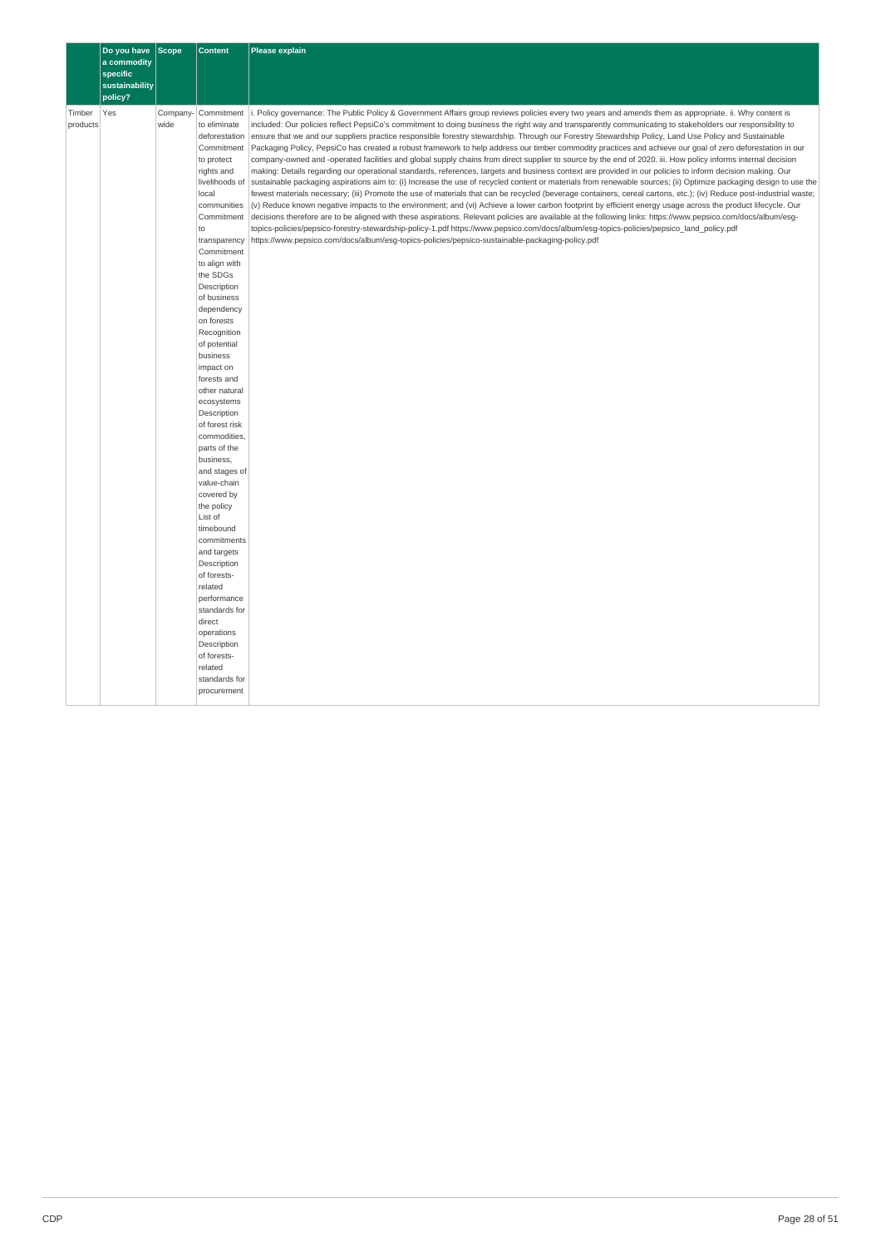|                    | Do you have Scope<br>a commodity |                  | <b>Content</b>                                                                                                                                                                                                                                                                                                                                                                                                                                                                                                                                                                                                                                                                                                                                           | <b>Please explain</b>                                                                                                                                                                                                                                                                                                                                                                                                                                                                                                                                                                                                                                                                                                                                                                                                                                                                                                                                                                                                                                                                                                                                                                                                                                                                                                                                                                                                                                                                                                                                                                                                                                                                                                                                                                                                                                                                            |
|--------------------|----------------------------------|------------------|----------------------------------------------------------------------------------------------------------------------------------------------------------------------------------------------------------------------------------------------------------------------------------------------------------------------------------------------------------------------------------------------------------------------------------------------------------------------------------------------------------------------------------------------------------------------------------------------------------------------------------------------------------------------------------------------------------------------------------------------------------|--------------------------------------------------------------------------------------------------------------------------------------------------------------------------------------------------------------------------------------------------------------------------------------------------------------------------------------------------------------------------------------------------------------------------------------------------------------------------------------------------------------------------------------------------------------------------------------------------------------------------------------------------------------------------------------------------------------------------------------------------------------------------------------------------------------------------------------------------------------------------------------------------------------------------------------------------------------------------------------------------------------------------------------------------------------------------------------------------------------------------------------------------------------------------------------------------------------------------------------------------------------------------------------------------------------------------------------------------------------------------------------------------------------------------------------------------------------------------------------------------------------------------------------------------------------------------------------------------------------------------------------------------------------------------------------------------------------------------------------------------------------------------------------------------------------------------------------------------------------------------------------------------|
|                    | specific<br>sustainability       |                  |                                                                                                                                                                                                                                                                                                                                                                                                                                                                                                                                                                                                                                                                                                                                                          |                                                                                                                                                                                                                                                                                                                                                                                                                                                                                                                                                                                                                                                                                                                                                                                                                                                                                                                                                                                                                                                                                                                                                                                                                                                                                                                                                                                                                                                                                                                                                                                                                                                                                                                                                                                                                                                                                                  |
| Timber<br>products | policy?<br>Yes                   | Company-<br>wide | Commitment<br>to eliminate<br>deforestation<br>Commitment<br>to protect<br>rights and<br>livelihoods of<br>local<br>communities<br>Commitment<br>to<br>transparency<br>Commitment<br>to align with<br>the SDGs<br>Description<br>of business<br>dependency<br>on forests<br>Recognition<br>of potential<br>business<br>impact on<br>forests and<br>other natural<br>ecosystems<br>Description<br>of forest risk<br>commodities,<br>parts of the<br>business,<br>and stages of<br>value-chain<br>covered by<br>the policy<br>List of<br>timebound<br>commitments<br>and targets<br>Description<br>of forests-<br>related<br>performance<br>standards for<br>direct<br>operations<br>Description<br>of forests-<br>related<br>standards for<br>procurement | i. Policy governance: The Public Policy & Government Affairs group reviews policies every two years and amends them as appropriate. ii. Why content is<br>included: Our policies reflect PepsiCo's commitment to doing business the right way and transparently communicating to stakeholders our responsibility to<br>ensure that we and our suppliers practice responsible forestry stewardship. Through our Forestry Stewardship Policy, Land Use Policy and Sustainable<br>Packaging Policy, PepsiCo has created a robust framework to help address our timber commodity practices and achieve our goal of zero deforestation in our<br>company-owned and -operated facilities and global supply chains from direct supplier to source by the end of 2020. iii. How policy informs internal decision<br>making: Details regarding our operational standards, references, targets and business context are provided in our policies to inform decision making. Our<br>sustainable packaging aspirations aim to: (i) Increase the use of recycled content or materials from renewable sources; (ii) Optimize packaging design to use the<br>fewest materials necessary; (iii) Promote the use of materials that can be recycled (beverage containers, cereal cartons, etc.); (iv) Reduce post-industrial waste;<br>(v) Reduce known negative impacts to the environment; and (vi) Achieve a lower carbon footprint by efficient energy usage across the product lifecycle. Our<br>decisions therefore are to be aligned with these aspirations. Relevant policies are available at the following links: https://www.pepsico.com/docs/album/esg-<br>topics-policies/pepsico-forestry-stewardship-policy-1.pdf https://www.pepsico.com/docs/album/esg-topics-policies/pepsico land policy.pdf<br>https://www.pepsico.com/docs/album/esg-topics-policies/pepsico-sustainable-packaging-policy.pdf |
|                    |                                  |                  |                                                                                                                                                                                                                                                                                                                                                                                                                                                                                                                                                                                                                                                                                                                                                          |                                                                                                                                                                                                                                                                                                                                                                                                                                                                                                                                                                                                                                                                                                                                                                                                                                                                                                                                                                                                                                                                                                                                                                                                                                                                                                                                                                                                                                                                                                                                                                                                                                                                                                                                                                                                                                                                                                  |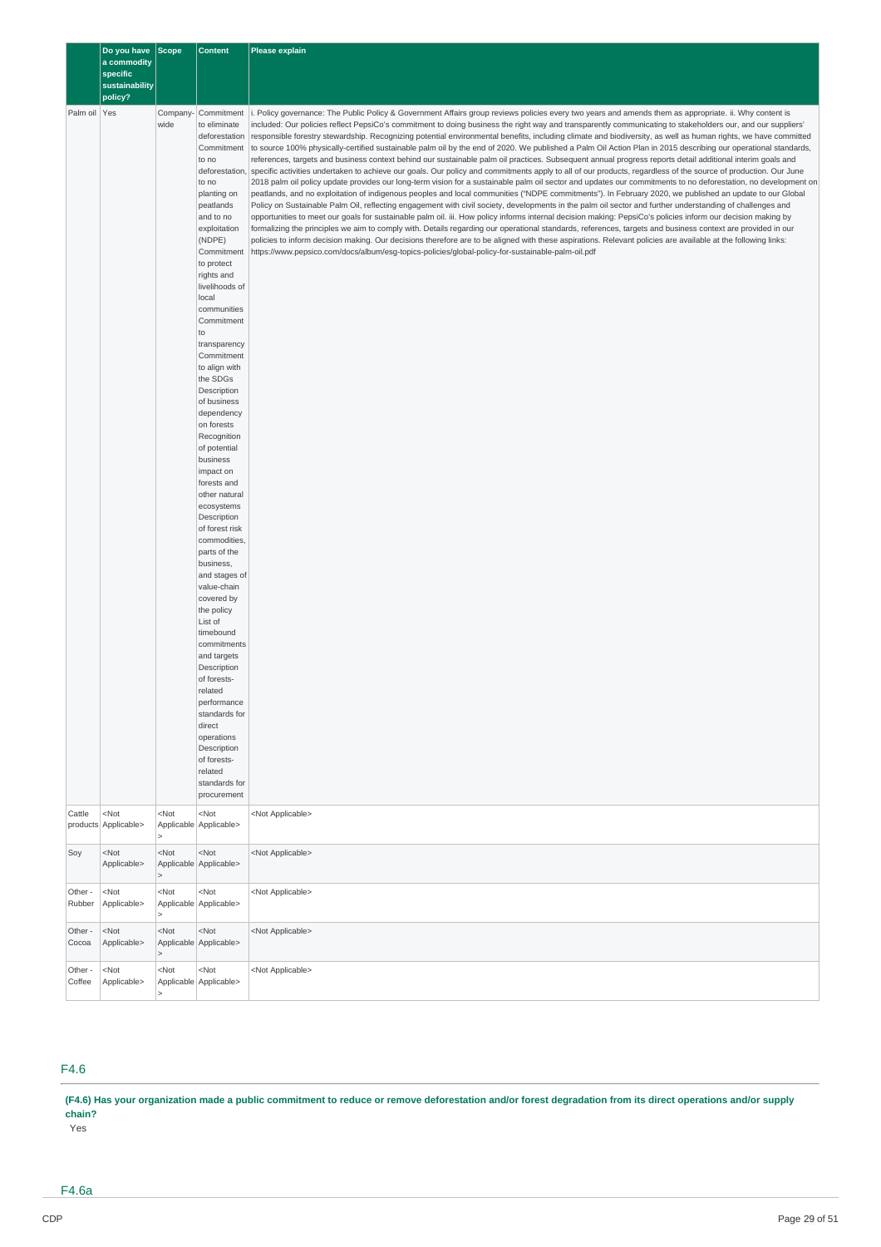|                   | Do you have Scope<br>a commodity<br>specific<br>sustainability<br>policy? |                                                                                                                                  | <b>Content</b>                                                                                                                                                                                                                                                                                                                                                                                                                                                                                                                                                                                                                                                                                                                                                                                                                                                | <b>Please explain</b>                                                                                                                                                                                                                                                                                                                                                                                                                                                                                                                                                                                                                                                                                                                                                                                                                                                                                                                                                                                                                                                                                                                                                                                                                                                                                                                                                                                                                                                                                                                                                                                                                                                                                                                                                                                                                                                                                                                                                                                                                                                                    |
|-------------------|---------------------------------------------------------------------------|----------------------------------------------------------------------------------------------------------------------------------|---------------------------------------------------------------------------------------------------------------------------------------------------------------------------------------------------------------------------------------------------------------------------------------------------------------------------------------------------------------------------------------------------------------------------------------------------------------------------------------------------------------------------------------------------------------------------------------------------------------------------------------------------------------------------------------------------------------------------------------------------------------------------------------------------------------------------------------------------------------|------------------------------------------------------------------------------------------------------------------------------------------------------------------------------------------------------------------------------------------------------------------------------------------------------------------------------------------------------------------------------------------------------------------------------------------------------------------------------------------------------------------------------------------------------------------------------------------------------------------------------------------------------------------------------------------------------------------------------------------------------------------------------------------------------------------------------------------------------------------------------------------------------------------------------------------------------------------------------------------------------------------------------------------------------------------------------------------------------------------------------------------------------------------------------------------------------------------------------------------------------------------------------------------------------------------------------------------------------------------------------------------------------------------------------------------------------------------------------------------------------------------------------------------------------------------------------------------------------------------------------------------------------------------------------------------------------------------------------------------------------------------------------------------------------------------------------------------------------------------------------------------------------------------------------------------------------------------------------------------------------------------------------------------------------------------------------------------|
| Palm oil Yes      |                                                                           | Company-<br>wide                                                                                                                 | Commitment<br>to eliminate<br>deforestation<br>Commitment<br>to no<br>deforestation<br>to no<br>planting on<br>peatlands<br>and to no<br>exploitation<br>(NDPE)<br>Commitment<br>to protect<br>rights and<br>livelihoods of<br>local<br>communities<br>Commitment<br>to<br>transparency<br>Commitment<br>to align with<br>the SDGs<br>Description<br>of business<br>dependency<br>on forests<br>Recognition<br>of potential<br>business<br>impact on<br>forests and<br>other natural<br>ecosystems<br>Description<br>of forest risk<br>commodities,<br>parts of the<br>business,<br>and stages of<br>value-chain<br>covered by<br>the policy<br>List of<br>timebound<br>commitments<br>and targets<br>Description<br>of forests-<br>related<br>performance<br>standards for<br>direct<br>operations<br>Description<br>of forests-<br>related<br>standards for | i. Policy governance: The Public Policy & Government Affairs group reviews policies every two years and amends them as appropriate. ii. Why content is<br>included: Our policies reflect PepsiCo's commitment to doing business the right way and transparently communicating to stakeholders our, and our suppliers'<br>responsible forestry stewardship. Recognizing potential environmental benefits, including climate and biodiversity, as well as human rights, we have committed<br>to source 100% physically-certified sustainable palm oil by the end of 2020. We published a Palm Oil Action Plan in 2015 describing our operational standards,<br>references, targets and business context behind our sustainable palm oil practices. Subsequent annual progress reports detail additional interim goals and<br>specific activities undertaken to achieve our goals. Our policy and commitments apply to all of our products, regardless of the source of production. Our June<br>2018 palm oil policy update provides our long-term vision for a sustainable palm oil sector and updates our commitments to no deforestation, no development on<br>peatlands, and no exploitation of indigenous peoples and local communities ("NDPE commitments"). In February 2020, we published an update to our Global<br>Policy on Sustainable Palm Oil, reflecting engagement with civil society, developments in the palm oil sector and further understanding of challenges and<br>opportunities to meet our goals for sustainable palm oil. iii. How policy informs internal decision making: PepsiCo's policies inform our decision making by<br>formalizing the principles we aim to comply with. Details regarding our operational standards, references, targets and business context are provided in our<br>policies to inform decision making. Our decisions therefore are to be aligned with these aspirations. Relevant policies are available at the following links:<br>https://www.pepsico.com/docs/album/esg-topics-policies/global-policy-for-sustainable-palm-oil.pdf |
| Cattle            | $<$ Not<br>products Applicable>                                           | <not< td=""><td>procurement<br/><math>&lt;</math>Not<br/>Applicable Applicable&gt;</td><td><not applicable=""></not></td></not<> | procurement<br>$<$ Not<br>Applicable Applicable>                                                                                                                                                                                                                                                                                                                                                                                                                                                                                                                                                                                                                                                                                                                                                                                                              | <not applicable=""></not>                                                                                                                                                                                                                                                                                                                                                                                                                                                                                                                                                                                                                                                                                                                                                                                                                                                                                                                                                                                                                                                                                                                                                                                                                                                                                                                                                                                                                                                                                                                                                                                                                                                                                                                                                                                                                                                                                                                                                                                                                                                                |
| Soy               | $<$ Not<br>Applicable>                                                    | $<$ Not                                                                                                                          | <not<br>Applicable Applicable&gt;</not<br>                                                                                                                                                                                                                                                                                                                                                                                                                                                                                                                                                                                                                                                                                                                                                                                                                    | <not applicable=""></not>                                                                                                                                                                                                                                                                                                                                                                                                                                                                                                                                                                                                                                                                                                                                                                                                                                                                                                                                                                                                                                                                                                                                                                                                                                                                                                                                                                                                                                                                                                                                                                                                                                                                                                                                                                                                                                                                                                                                                                                                                                                                |
| Other -<br>Rubber | $<$ Not<br>Applicable>                                                    | <not< td=""><td><not<br>Applicable Applicable&gt;</not<br></td><td><not applicable=""></not></td></not<>                         | <not<br>Applicable Applicable&gt;</not<br>                                                                                                                                                                                                                                                                                                                                                                                                                                                                                                                                                                                                                                                                                                                                                                                                                    | <not applicable=""></not>                                                                                                                                                                                                                                                                                                                                                                                                                                                                                                                                                                                                                                                                                                                                                                                                                                                                                                                                                                                                                                                                                                                                                                                                                                                                                                                                                                                                                                                                                                                                                                                                                                                                                                                                                                                                                                                                                                                                                                                                                                                                |
| Other -<br>Cocoa  | $<$ Not<br>Applicable>                                                    | <not< td=""><td><not<br>Applicable Applicable&gt;</not<br></td><td><not applicable=""></not></td></not<>                         | <not<br>Applicable Applicable&gt;</not<br>                                                                                                                                                                                                                                                                                                                                                                                                                                                                                                                                                                                                                                                                                                                                                                                                                    | <not applicable=""></not>                                                                                                                                                                                                                                                                                                                                                                                                                                                                                                                                                                                                                                                                                                                                                                                                                                                                                                                                                                                                                                                                                                                                                                                                                                                                                                                                                                                                                                                                                                                                                                                                                                                                                                                                                                                                                                                                                                                                                                                                                                                                |
| Other -<br>Coffee | <not<br>Applicable&gt;</not<br>                                           | $<$ Not                                                                                                                          | <not<br>Applicable Applicable&gt;</not<br>                                                                                                                                                                                                                                                                                                                                                                                                                                                                                                                                                                                                                                                                                                                                                                                                                    | <not applicable=""></not>                                                                                                                                                                                                                                                                                                                                                                                                                                                                                                                                                                                                                                                                                                                                                                                                                                                                                                                                                                                                                                                                                                                                                                                                                                                                                                                                                                                                                                                                                                                                                                                                                                                                                                                                                                                                                                                                                                                                                                                                                                                                |

## F4.6

(F4.6) Has your organization made a public commitment to reduce or remove deforestation and/or forest degradation from its direct operations and/or supply **chain?**

Yes

F4.6a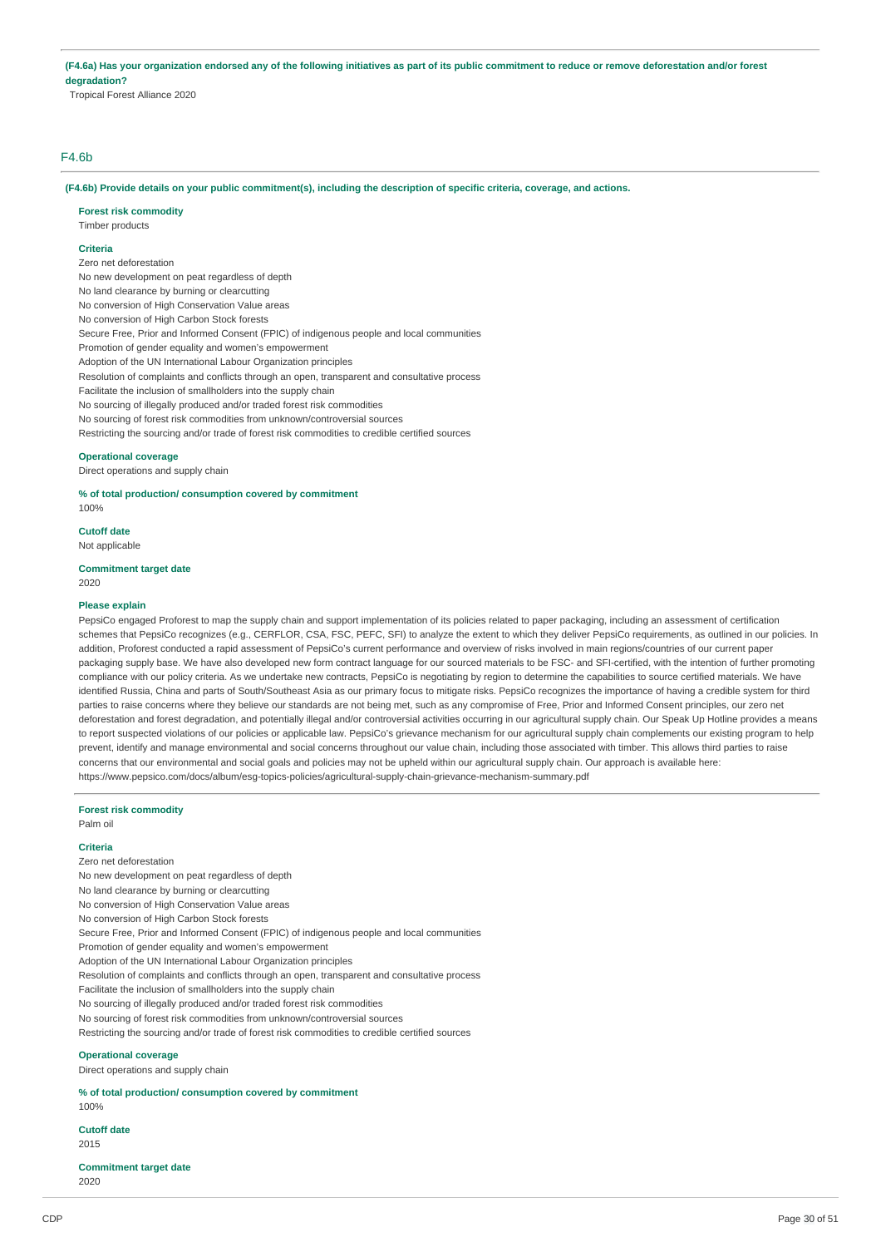(F4.6a) Has your organization endorsed any of the following initiatives as part of its public commitment to reduce or remove deforestation and/or forest **degradation?**

Tropical Forest Alliance 2020

### F4.6b

(F4.6b) Provide details on your public commitment(s), including the description of specific criteria, coverage, and actions.

**Forest risk commodity**

### Timber products

### **Criteria**

Zero net deforestation No new development on peat regardless of depth No land clearance by burning or clearcutting No conversion of High Conservation Value areas No conversion of High Carbon Stock forests Secure Free, Prior and Informed Consent (FPIC) of indigenous people and local communities Promotion of gender equality and women's empowerment Adoption of the UN International Labour Organization principles Resolution of complaints and conflicts through an open, transparent and consultative process Facilitate the inclusion of smallholders into the supply chain No sourcing of illegally produced and/or traded forest risk commodities No sourcing of forest risk commodities from unknown/controversial sources Restricting the sourcing and/or trade of forest risk commodities to credible certified sources **Operational coverage**

Direct operations and supply chain

#### **% of total production/ consumption covered by commitment**

100%

## **Cutoff date**

Not applicable

### **Commitment target date**

2020

#### **Please explain**

PepsiCo engaged Proforest to map the supply chain and support implementation of its policies related to paper packaging, including an assessment of certification schemes that PepsiCo recognizes (e.g., CERFLOR, CSA, FSC, PEFC, SFI) to analyze the extent to which they deliver PepsiCo requirements, as outlined in our policies. In addition, Proforest conducted a rapid assessment of PepsiCo's current performance and overview of risks involved in main regions/countries of our current paper packaging supply base. We have also developed new form contract language for our sourced materials to be FSC- and SFI-certified, with the intention of further promoting compliance with our policy criteria. As we undertake new contracts, PepsiCo is negotiating by region to determine the capabilities to source certified materials. We have identified Russia, China and parts of South/Southeast Asia as our primary focus to mitigate risks. PepsiCo recognizes the importance of having a credible system for third parties to raise concerns where they believe our standards are not being met, such as any compromise of Free, Prior and Informed Consent principles, our zero net deforestation and forest degradation, and potentially illegal and/or controversial activities occurring in our agricultural supply chain. Our Speak Up Hotline provides a means to report suspected violations of our policies or applicable law. PepsiCo's grievance mechanism for our agricultural supply chain complements our existing program to help prevent, identify and manage environmental and social concerns throughout our value chain, including those associated with timber. This allows third parties to raise concerns that our environmental and social goals and policies may not be upheld within our agricultural supply chain. Our approach is available here: https://www.pepsico.com/docs/album/esg-topics-policies/agricultural-supply-chain-grievance-mechanism-summary.pdf

#### **Forest risk commodity**

Palm oil

#### **Criteria**

Zero net deforestation No new development on peat regardless of depth No land clearance by burning or clearcutting No conversion of High Conservation Value areas No conversion of High Carbon Stock forests Secure Free, Prior and Informed Consent (FPIC) of indigenous people and local communities Promotion of gender equality and women's empowerment Adoption of the UN International Labour Organization principles Resolution of complaints and conflicts through an open, transparent and consultative process Facilitate the inclusion of smallholders into the supply chain No sourcing of illegally produced and/or traded forest risk commodities No sourcing of forest risk commodities from unknown/controversial sources Restricting the sourcing and/or trade of forest risk commodities to credible certified sources

### **Operational coverage**

Direct operations and supply chain

**% of total production/ consumption covered by commitment**

## 100%

## **Cutoff date**

2015

**Commitment target date** 2020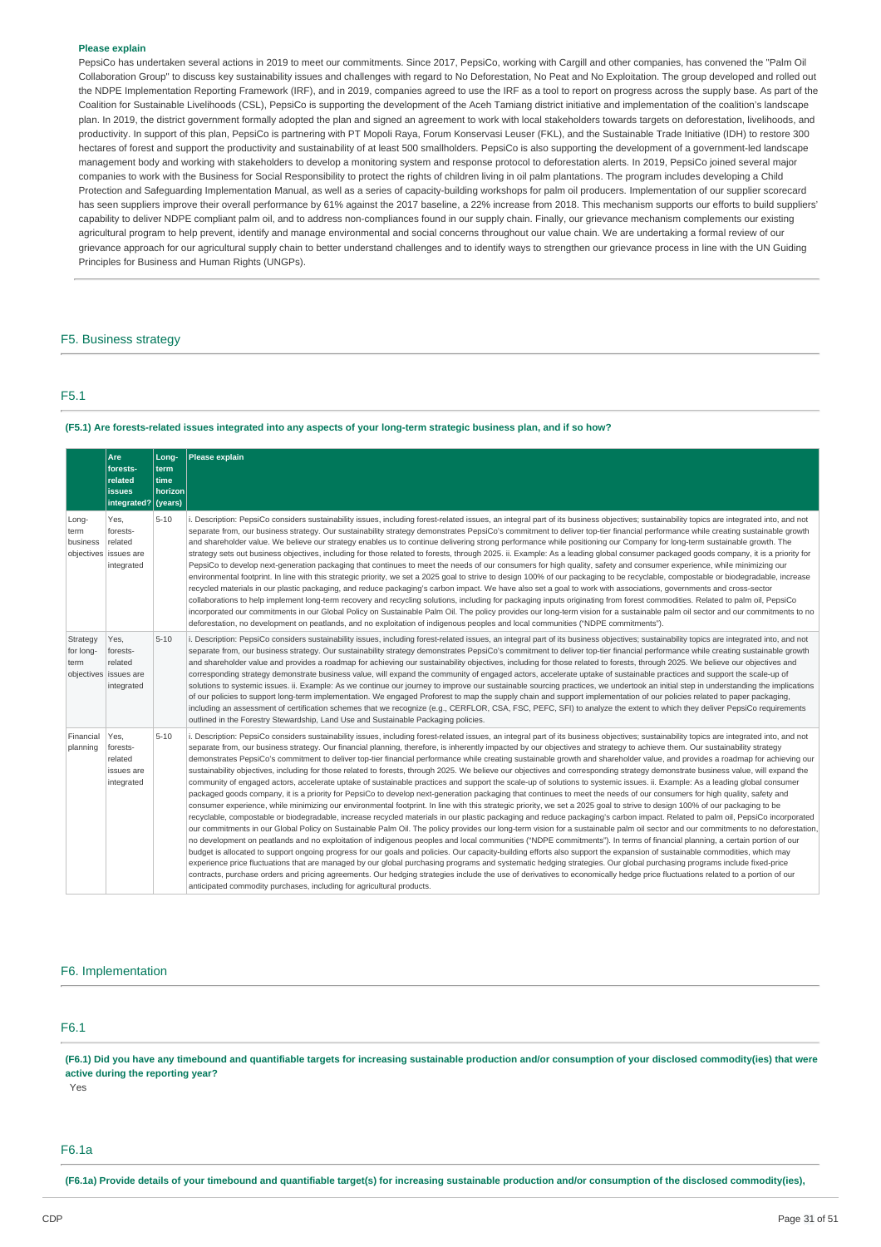#### **Please explain**

PepsiCo has undertaken several actions in 2019 to meet our commitments. Since 2017, PepsiCo, working with Cargill and other companies, has convened the "Palm Oil Collaboration Group" to discuss key sustainability issues and challenges with regard to No Deforestation. No Peat and No Exploitation. The group developed and rolled out the NDPE Implementation Reporting Framework (IRF), and in 2019, companies agreed to use the IRF as a tool to report on progress across the supply base. As part of the Coalition for Sustainable Livelihoods (CSL), PepsiCo is supporting the development of the Aceh Tamiang district initiative and implementation of the coalition's landscape plan. In 2019, the district government formally adopted the plan and signed an agreement to work with local stakeholders towards targets on deforestation, livelihoods, and productivity. In support of this plan, PepsiCo is partnering with PT Mopoli Raya, Forum Konservasi Leuser (FKL), and the Sustainable Trade Initiative (IDH) to restore 300 hectares of forest and support the productivity and sustainability of at least 500 smallholders. PepsiCo is also supporting the development of a government-led landscape management body and working with stakeholders to develop a monitoring system and response protocol to deforestation alerts. In 2019, PepsiCo joined several major companies to work with the Business for Social Responsibility to protect the rights of children living in oil palm plantations. The program includes developing a Child Protection and Safeguarding Implementation Manual, as well as a series of capacity-building workshops for palm oil producers. Implementation of our supplier scorecard has seen suppliers improve their overall performance by 61% against the 2017 baseline, a 22% increase from 2018. This mechanism supports our efforts to build suppliers' capability to deliver NDPE compliant palm oil, and to address non-compliances found in our supply chain. Finally, our grievance mechanism complements our existing agricultural program to help prevent, identify and manage environmental and social concerns throughout our value chain. We are undertaking a formal review of our grievance approach for our agricultural supply chain to better understand challenges and to identify ways to strengthen our grievance process in line with the UN Guiding Principles for Business and Human Rights (UNGPs).

#### F5. Business strategy

### F5.1

### (F5.1) Are forests-related issues integrated into any aspects of your long-term strategic business plan, and if so how?

|                               | Are<br>forests-<br>related<br><b>issues</b><br>integrated? (years) | Long-<br>term<br>time<br>horizon | <b>Please explain</b>                                                                                                                                                                                                                                                                                                                                                                                                                                                                                                                                                                                                                                                                                                                                                                                                                                                                                                                                                                                                                                                                                                                                                                                                                                                                                                                                                                                                                                                                                                                                                                                                                                                                                                                                                                                                                                                                                                                                                                                                                                                                                                                                                                                                                                                                                                                                                                                                                                           |
|-------------------------------|--------------------------------------------------------------------|----------------------------------|-----------------------------------------------------------------------------------------------------------------------------------------------------------------------------------------------------------------------------------------------------------------------------------------------------------------------------------------------------------------------------------------------------------------------------------------------------------------------------------------------------------------------------------------------------------------------------------------------------------------------------------------------------------------------------------------------------------------------------------------------------------------------------------------------------------------------------------------------------------------------------------------------------------------------------------------------------------------------------------------------------------------------------------------------------------------------------------------------------------------------------------------------------------------------------------------------------------------------------------------------------------------------------------------------------------------------------------------------------------------------------------------------------------------------------------------------------------------------------------------------------------------------------------------------------------------------------------------------------------------------------------------------------------------------------------------------------------------------------------------------------------------------------------------------------------------------------------------------------------------------------------------------------------------------------------------------------------------------------------------------------------------------------------------------------------------------------------------------------------------------------------------------------------------------------------------------------------------------------------------------------------------------------------------------------------------------------------------------------------------------------------------------------------------------------------------------------------------|
| Long-<br>term<br>business     | Yes,<br>forests-<br>related<br>objectives issues are<br>integrated | $5 - 10$                         | Description: PepsiCo considers sustainability issues, including forest-related issues, an integral part of its business objectives; sustainability topics are integrated into, and not<br>separate from, our business strategy. Our sustainability strategy demonstrates PepsiCo's commitment to deliver top-tier financial performance while creating sustainable growth<br>and shareholder value. We believe our strategy enables us to continue delivering strong performance while positioning our Company for long-term sustainable growth. The<br>strategy sets out business objectives, including for those related to forests, through 2025. ii. Example: As a leading global consumer packaged goods company, it is a priority for<br>PepsiCo to develop next-generation packaging that continues to meet the needs of our consumers for high quality, safety and consumer experience, while minimizing our<br>environmental footprint. In line with this strategic priority, we set a 2025 goal to strive to design 100% of our packaging to be recyclable, compostable or biodegradable, increase<br>recycled materials in our plastic packaging, and reduce packaging's carbon impact. We have also set a goal to work with associations, governments and cross-sector<br>collaborations to help implement long-term recovery and recycling solutions, including for packaging inputs originating from forest commodities. Related to palm oil, PepsiCo<br>incorporated our commitments in our Global Policy on Sustainable Palm Oil. The policy provides our long-term vision for a sustainable palm oil sector and our commitments to no<br>deforestation, no development on peatlands, and no exploitation of indigenous peoples and local communities ("NDPE commitments").                                                                                                                                                                                                                                                                                                                                                                                                                                                                                                                                                                                                                                                                     |
| Strategy<br>for long-<br>term | Yes,<br>forests-<br>related<br>objectives issues are<br>integrated | $5 - 10$                         | i. Description: PepsiCo considers sustainability issues, including forest-related issues, an integral part of its business objectives; sustainability topics are integrated into, and not<br>separate from, our business strategy. Our sustainability strategy demonstrates PepsiCo's commitment to deliver top-tier financial performance while creating sustainable growth<br>and shareholder value and provides a roadmap for achieving our sustainability objectives, including for those related to forests, through 2025. We believe our objectives and<br>corresponding strategy demonstrate business value, will expand the community of engaged actors, accelerate uptake of sustainable practices and support the scale-up of<br>solutions to systemic issues. ii. Example: As we continue our journey to improve our sustainable sourcing practices, we undertook an initial step in understanding the implications<br>of our policies to support long-term implementation. We engaged Proforest to map the supply chain and support implementation of our policies related to paper packaging,<br>including an assessment of certification schemes that we recognize (e.g., CERFLOR, CSA, FSC, PEFC, SFI) to analyze the extent to which they deliver PepsiCo requirements<br>outlined in the Forestry Stewardship, Land Use and Sustainable Packaging policies.                                                                                                                                                                                                                                                                                                                                                                                                                                                                                                                                                                                                                                                                                                                                                                                                                                                                                                                                                                                                                                                                                    |
| Financial<br>planning         | Yes.<br>forests-<br>related<br>issues are<br>integrated            | $5 - 10$                         | i. Description: PepsiCo considers sustainability issues, including forest-related issues, an integral part of its business objectives; sustainability topics are integrated into, and not<br>separate from, our business strategy. Our financial planning, therefore, is inherently impacted by our objectives and strategy to achieve them. Our sustainability strategy<br>demonstrates PepsiCo's commitment to deliver top-tier financial performance while creating sustainable growth and shareholder value, and provides a roadmap for achieving our<br>sustainability objectives, including for those related to forests, through 2025. We believe our objectives and corresponding strategy demonstrate business value, will expand the<br>community of engaged actors, accelerate uptake of sustainable practices and support the scale-up of solutions to systemic issues. ii. Example: As a leading global consumer<br>packaged goods company, it is a priority for PepsiCo to develop next-generation packaging that continues to meet the needs of our consumers for high quality, safety and<br>consumer experience, while minimizing our environmental footprint. In line with this strategic priority, we set a 2025 goal to strive to design 100% of our packaging to be<br>recyclable, compostable or biodegradable, increase recycled materials in our plastic packaging and reduce packaging's carbon impact. Related to palm oil, PepsiCo incorporated<br>our commitments in our Global Policy on Sustainable Palm Oil. The policy provides our long-term vision for a sustainable palm oil sector and our commitments to no deforestation,<br>no development on peatlands and no exploitation of indigenous peoples and local communities ("NDPE commitments"). In terms of financial planning, a certain portion of our<br>budget is allocated to support ongoing progress for our goals and policies. Our capacity-building efforts also support the expansion of sustainable commodities, which may<br>experience price fluctuations that are managed by our global purchasing programs and systematic hedging strategies. Our global purchasing programs include fixed-price<br>contracts, purchase orders and pricing agreements. Our hedging strategies include the use of derivatives to economically hedge price fluctuations related to a portion of our<br>anticipated commodity purchases, including for agricultural products. |

### F6. Implementation

### F6.1

(F6.1) Did you have any timebound and quantifiable targets for increasing sustainable production and/or consumption of your disclosed commodity(ies) that were **active during the reporting year?**

Yes

### F6.1a

(F6.1a) Provide details of your timebound and quantifiable target(s) for increasing sustainable production and/or consumption of the disclosed commodity(ies).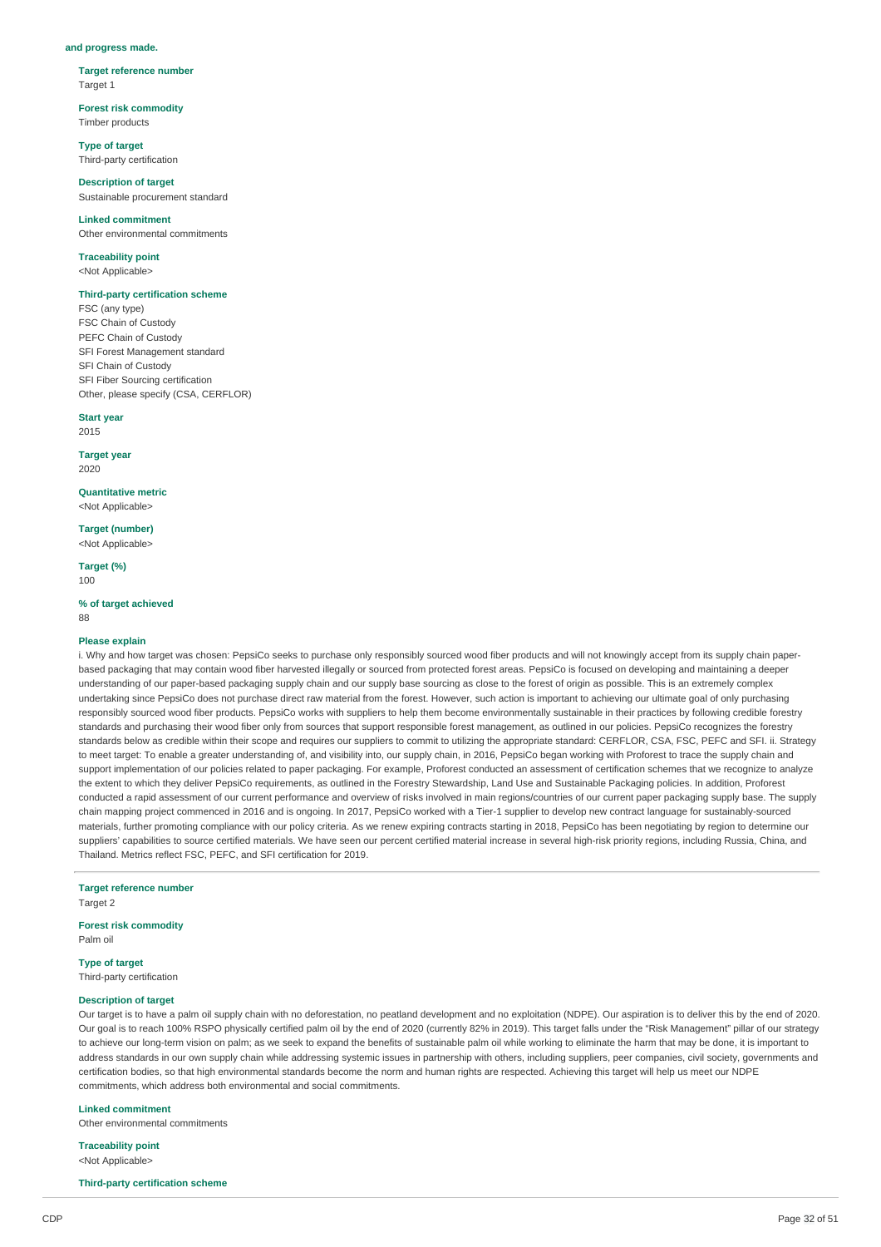#### **and progress made.**

**Target reference number** Target 1

**Forest risk commodity** Timber products

**Type of target** Third-party certification

**Description of target** Sustainable procurement standard

**Linked commitment** Other environmental commitments

#### **Traceability point** <Not Applicable>

### **Third-party certification scheme**

FSC (any type) FSC Chain of Custody PEFC Chain of Custody SFI Forest Management standard SFI Chain of Custody SFI Fiber Sourcing certification Other, please specify (CSA, CERFLOR)

**Start year**

2015

**Target year** 2020

**Quantitative metric** <Not Applicable>

**Target (number)** <Not Applicable>

**Target (%)**  $100$ 

**% of target achieved** 88

#### **Please explain**

i. Why and how target was chosen: PepsiCo seeks to purchase only responsibly sourced wood fiber products and will not knowingly accept from its supply chain paperbased packaging that may contain wood fiber harvested illegally or sourced from protected forest areas. PepsiCo is focused on developing and maintaining a deeper understanding of our paper-based packaging supply chain and our supply base sourcing as close to the forest of origin as possible. This is an extremely complex undertaking since PepsiCo does not purchase direct raw material from the forest. However, such action is important to achieving our ultimate goal of only purchasing responsibly sourced wood fiber products. PepsiCo works with suppliers to help them become environmentally sustainable in their practices by following credible forestry standards and purchasing their wood fiber only from sources that support responsible forest management, as outlined in our policies. PepsiCo recognizes the forestry standards below as credible within their scope and requires our suppliers to commit to utilizing the appropriate standard: CERFLOR, CSA, FSC, PEFC and SFI, ii. Strategy to meet target: To enable a greater understanding of, and visibility into, our supply chain, in 2016, PepsiCo began working with Proforest to trace the supply chain and support implementation of our policies related to paper packaging. For example, Proforest conducted an assessment of certification schemes that we recognize to analyze the extent to which they deliver PepsiCo requirements, as outlined in the Forestry Stewardship, Land Use and Sustainable Packaging policies. In addition, Proforest conducted a rapid assessment of our current performance and overview of risks involved in main regions/countries of our current paper packaging supply base. The supply chain mapping project commenced in 2016 and is ongoing. In 2017, PepsiCo worked with a Tier-1 supplier to develop new contract language for sustainably-sourced materials, further promoting compliance with our policy criteria. As we renew expiring contracts starting in 2018, PepsiCo has been negotiating by region to determine our suppliers' capabilities to source certified materials. We have seen our percent certified material increase in several high-risk priority regions, including Russia, China, and Thailand. Metrics reflect FSC, PEFC, and SFI certification for 2019.

**Target reference number** Target 2

### **Forest risk commodity**

Palm oil

**Type of target** Third-party certification

### **Description of target**

Our target is to have a palm oil supply chain with no deforestation, no peatland development and no exploitation (NDPE). Our aspiration is to deliver this by the end of 2020. Our goal is to reach 100% RSPO physically certified palm oil by the end of 2020 (currently 82% in 2019). This target falls under the "Risk Management" pillar of our strategy to achieve our long-term vision on palm; as we seek to expand the benefits of sustainable palm oil while working to eliminate the harm that may be done, it is important to address standards in our own supply chain while addressing systemic issues in partnership with others, including suppliers, peer companies, civil society, governments and certification bodies, so that high environmental standards become the norm and human rights are respected. Achieving this target will help us meet our NDPE commitments, which address both environmental and social commitments.

#### **Linked commitment**

Other environmental commitments

**Traceability point** <Not Applicable>

**Third-party certification scheme**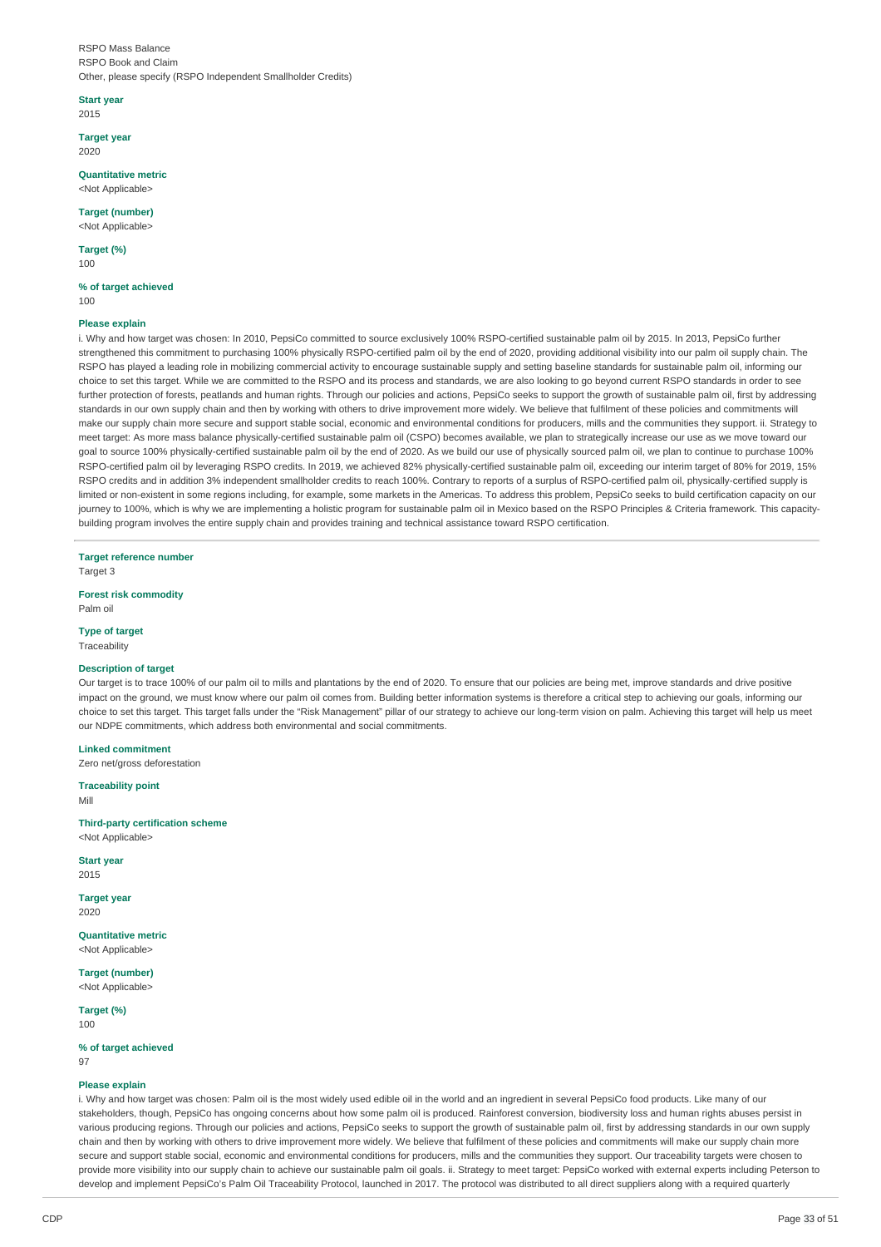RSPO Mass Balance RSPO Book and Claim Other, please specify (RSPO Independent Smallholder Credits)

**Start year**

2015

**Target year** 2020

**Quantitative metric** <Not Applicable>

**Target (number)** <Not Applicable>

**Target (%)**

100

**% of target achieved** 100

### **Please explain**

i. Why and how target was chosen: In 2010, PepsiCo committed to source exclusively 100% RSPO-certified sustainable palm oil by 2015. In 2013, PepsiCo further strengthened this commitment to purchasing 100% physically RSPO-certified palm oil by the end of 2020, providing additional visibility into our palm oil supply chain. The RSPO has played a leading role in mobilizing commercial activity to encourage sustainable supply and setting baseline standards for sustainable palm oil, informing our choice to set this target. While we are committed to the RSPO and its process and standards, we are also looking to go beyond current RSPO standards in order to see further protection of forests, peatlands and human rights. Through our policies and actions, PepsiCo seeks to support the growth of sustainable palm oil, first by addressing standards in our own supply chain and then by working with others to drive improvement more widely. We believe that fulfilment of these policies and commitments will make our supply chain more secure and support stable social, economic and environmental conditions for producers, mills and the communities they support. ii. Strategy to meet target: As more mass balance physically-certified sustainable palm oil (CSPO) becomes available, we plan to strategically increase our use as we move toward our goal to source 100% physically-certified sustainable palm oil by the end of 2020. As we build our use of physically sourced palm oil, we plan to continue to purchase 100% RSPO-certified palm oil by leveraging RSPO credits. In 2019, we achieved 82% physically-certified sustainable palm oil, exceeding our interim target of 80% for 2019, 15% RSPO credits and in addition 3% independent smallholder credits to reach 100%. Contrary to reports of a surplus of RSPO-certified palm oil, physically-certified supply is limited or non-existent in some regions including, for example, some markets in the Americas. To address this problem, PepsiCo seeks to build certification capacity on our journey to 100%, which is why we are implementing a holistic program for sustainable palm oil in Mexico based on the RSPO Principles & Criteria framework. This capacitybuilding program involves the entire supply chain and provides training and technical assistance toward RSPO certification.

**Target reference number** Target 3

**Forest risk commodity**

Palm oil

**Type of target Traceability** 

#### **Description of target**

Our target is to trace 100% of our palm oil to mills and plantations by the end of 2020. To ensure that our policies are being met, improve standards and drive positive impact on the ground, we must know where our palm oil comes from. Building better information systems is therefore a critical step to achieving our goals, informing our choice to set this target. This target falls under the "Risk Management" pillar of our strategy to achieve our long-term vision on palm. Achieving this target will help us meet our NDPE commitments, which address both environmental and social commitments.

**Linked commitment**

Zero net/gross deforestation

**Traceability point** Mill

**Third-party certification scheme** <Not Applicable>

**Start year** 2015

**Target year**

2020

**Quantitative metric** <Not Applicable>

**Target (number)**

<Not Applicable>

**Target (%)** 100

**% of target achieved** 07

#### **Please explain**

i. Why and how target was chosen: Palm oil is the most widely used edible oil in the world and an ingredient in several PepsiCo food products. Like many of our stakeholders, though, PepsiCo has ongoing concerns about how some palm oil is produced. Rainforest conversion, biodiversity loss and human rights abuses persist in various producing regions. Through our policies and actions, PepsiCo seeks to support the growth of sustainable palm oil, first by addressing standards in our own supply chain and then by working with others to drive improvement more widely. We believe that fulfilment of these policies and commitments will make our supply chain more secure and support stable social, economic and environmental conditions for producers, mills and the communities they support. Our traceability targets were chosen to provide more visibility into our supply chain to achieve our sustainable palm oil goals. ii. Strategy to meet target: PepsiCo worked with external experts including Peterson to develop and implement PepsiCo's Palm Oil Traceability Protocol, launched in 2017. The protocol was distributed to all direct suppliers along with a required quarterly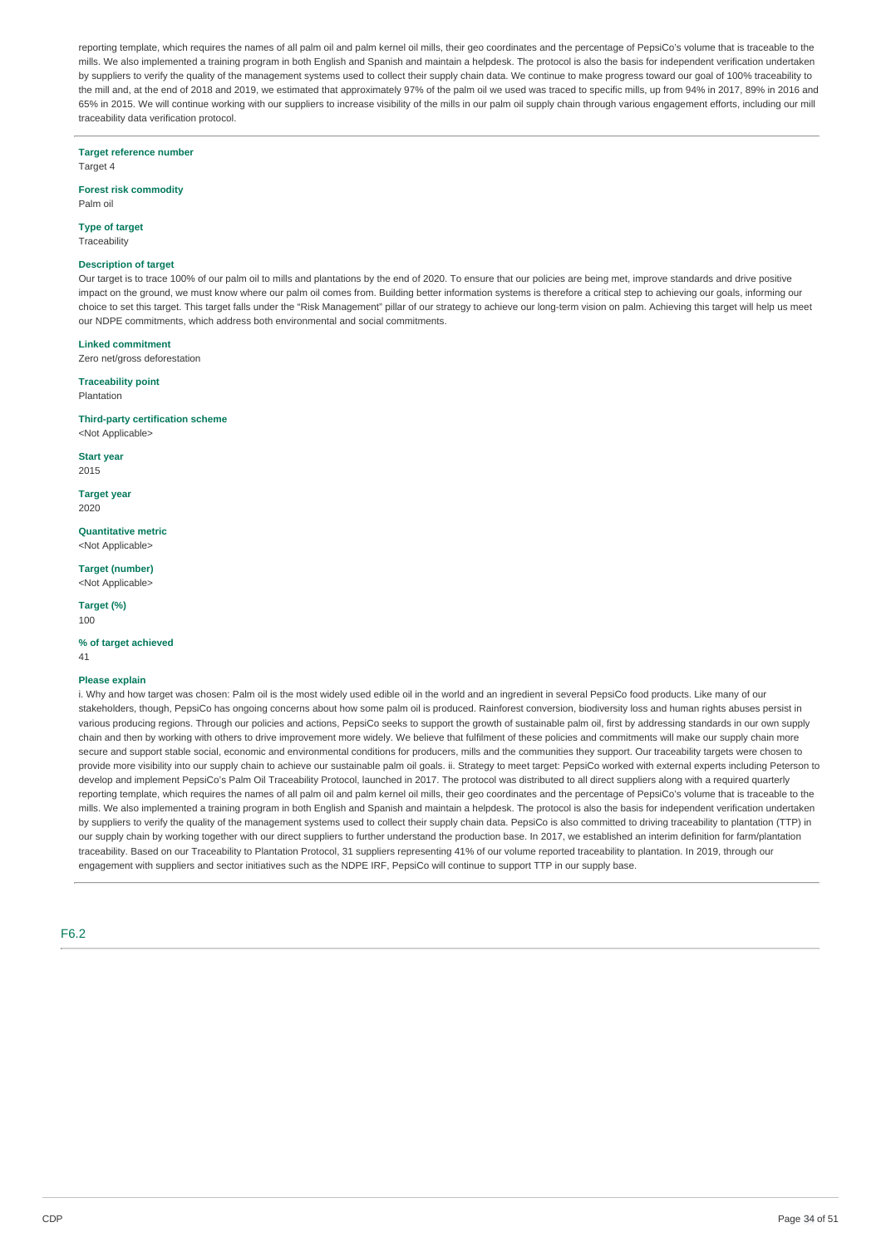reporting template, which requires the names of all palm oil and palm kernel oil mills, their geo coordinates and the percentage of PepsiCo's volume that is traceable to the mills. We also implemented a training program in both English and Spanish and maintain a helpdesk. The protocol is also the basis for independent verification undertaken by suppliers to verify the quality of the management systems used to collect their supply chain data. We continue to make progress toward our goal of 100% traceability to the mill and, at the end of 2018 and 2019, we estimated that approximately 97% of the palm oil we used was traced to specific mills, up from 94% in 2017, 89% in 2016 and 65% in 2015. We will continue working with our suppliers to increase visibility of the mills in our palm oil supply chain through various engagement efforts, including our mill traceability data verification protocol.

**Target reference number**

Target 4

#### **Forest risk commodity** Palm oil

## **Type of target**

Traceability

#### **Description of target**

Our target is to trace 100% of our palm oil to mills and plantations by the end of 2020. To ensure that our policies are being met, improve standards and drive positive impact on the ground, we must know where our palm oil comes from. Building better information systems is therefore a critical step to achieving our goals, informing our choice to set this target. This target falls under the "Risk Management" pillar of our strategy to achieve our long-term vision on palm. Achieving this target will help us meet our NDPE commitments, which address both environmental and social commitments.

#### **Linked commitment**

Zero net/gross deforestation

### **Traceability point**

Plantation

#### **Third-party certification scheme** <Not Applicable>

**Start year**

2015

**Target year** 2020

**Quantitative metric** <Not Applicable>

**Target (number)** <Not Applicable>

**Target (%)** 100

#### **% of target achieved**

41

#### **Please explain**

i. Why and how target was chosen: Palm oil is the most widely used edible oil in the world and an ingredient in several PepsiCo food products. Like many of our stakeholders, though, PepsiCo has ongoing concerns about how some palm oil is produced. Rainforest conversion, biodiversity loss and human rights abuses persist in various producing regions. Through our policies and actions, PepsiCo seeks to support the growth of sustainable palm oil, first by addressing standards in our own supply chain and then by working with others to drive improvement more widely. We believe that fulfilment of these policies and commitments will make our supply chain more secure and support stable social, economic and environmental conditions for producers, mills and the communities they support. Our traceability targets were chosen to provide more visibility into our supply chain to achieve our sustainable palm oil goals. ii. Strategy to meet target: PepsiCo worked with external experts including Peterson to develop and implement PepsiCo's Palm Oil Traceability Protocol, launched in 2017. The protocol was distributed to all direct suppliers along with a required quarterly reporting template, which requires the names of all palm oil and palm kernel oil mills, their geo coordinates and the percentage of PepsiCo's volume that is traceable to the mills. We also implemented a training program in both English and Spanish and maintain a helpdesk. The protocol is also the basis for independent verification undertaken by suppliers to verify the quality of the management systems used to collect their supply chain data. PepsiCo is also committed to driving traceability to plantation (TTP) in our supply chain by working together with our direct suppliers to further understand the production base. In 2017, we established an interim definition for farm/plantation traceability. Based on our Traceability to Plantation Protocol, 31 suppliers representing 41% of our volume reported traceability to plantation. In 2019, through our engagement with suppliers and sector initiatives such as the NDPE IRF, PepsiCo will continue to support TTP in our supply base.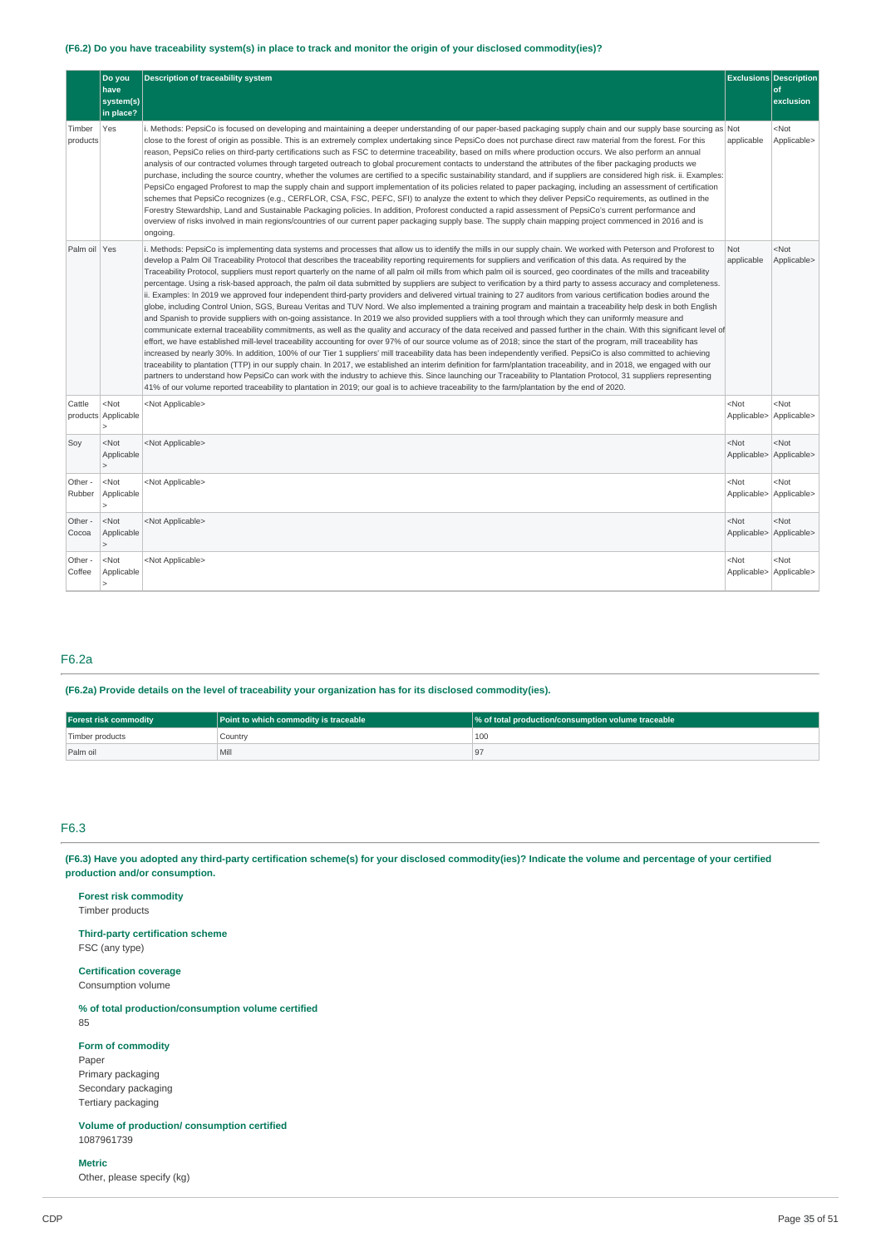### (F6.2) Do you have traceability system(s) in place to track and monitor the origin of your disclosed commodity(ies)?

|                    | Do you<br>have<br>system(s)<br>in place? | <b>Description of traceability system</b>                                                                                                                                                                                                                                                                                                                                                                                                                                                                                                                                                                                                                                                                                                                                                                                                                                                                                                                                                                                                                                                                                                                                                                                                                                                                                                                                                                                                                                                                                                                                                                                                                                                                                                                                                                                                                                                                                                                                                                                                                                                                                                                                                                      |                        | <b>Exclusions Description</b><br>of<br>exclusion |
|--------------------|------------------------------------------|----------------------------------------------------------------------------------------------------------------------------------------------------------------------------------------------------------------------------------------------------------------------------------------------------------------------------------------------------------------------------------------------------------------------------------------------------------------------------------------------------------------------------------------------------------------------------------------------------------------------------------------------------------------------------------------------------------------------------------------------------------------------------------------------------------------------------------------------------------------------------------------------------------------------------------------------------------------------------------------------------------------------------------------------------------------------------------------------------------------------------------------------------------------------------------------------------------------------------------------------------------------------------------------------------------------------------------------------------------------------------------------------------------------------------------------------------------------------------------------------------------------------------------------------------------------------------------------------------------------------------------------------------------------------------------------------------------------------------------------------------------------------------------------------------------------------------------------------------------------------------------------------------------------------------------------------------------------------------------------------------------------------------------------------------------------------------------------------------------------------------------------------------------------------------------------------------------------|------------------------|--------------------------------------------------|
| Timber<br>products | Yes                                      | i. Methods: PepsiCo is focused on developing and maintaining a deeper understanding of our paper-based packaging supply chain and our supply base sourcing as Not<br>close to the forest of origin as possible. This is an extremely complex undertaking since PepsiCo does not purchase direct raw material from the forest. For this<br>reason, PepsiCo relies on third-party certifications such as FSC to determine traceability, based on mills where production occurs. We also perform an annual<br>analysis of our contracted volumes through targeted outreach to global procurement contacts to understand the attributes of the fiber packaging products we<br>purchase, including the source country, whether the volumes are certified to a specific sustainability standard, and if suppliers are considered high risk. ii. Examples:<br>PepsiCo engaged Proforest to map the supply chain and support implementation of its policies related to paper packaging, including an assessment of certification<br>schemes that PepsiCo recognizes (e.g., CERFLOR, CSA, FSC, PEFC, SFI) to analyze the extent to which they deliver PepsiCo requirements, as outlined in the<br>Forestry Stewardship, Land and Sustainable Packaging policies. In addition, Proforest conducted a rapid assessment of PepsiCo's current performance and<br>overview of risks involved in main regions/countries of our current paper packaging supply base. The supply chain mapping project commenced in 2016 and is<br>ongoing.                                                                                                                                                                                                                                                                                                                                                                                                                                                                                                                                                                                                                                                                                     | applicable             | $<$ Not<br>Applicable>                           |
| Palm oil Yes       |                                          | i. Methods: PepsiCo is implementing data systems and processes that allow us to identify the mills in our supply chain. We worked with Peterson and Proforest to<br>develop a Palm Oil Traceability Protocol that describes the traceability reporting requirements for suppliers and verification of this data. As required by the<br>Traceability Protocol, suppliers must report quarterly on the name of all palm oil mills from which palm oil is sourced, geo coordinates of the mills and traceability<br>percentage. Using a risk-based approach, the palm oil data submitted by suppliers are subject to verification by a third party to assess accuracy and completeness.<br>ii. Examples: In 2019 we approved four independent third-party providers and delivered virtual training to 27 auditors from various certification bodies around the<br>globe, including Control Union, SGS, Bureau Veritas and TUV Nord. We also implemented a training program and maintain a traceability help desk in both English<br>and Spanish to provide suppliers with on-going assistance. In 2019 we also provided suppliers with a tool through which they can uniformly measure and<br>communicate external traceability commitments, as well as the quality and accuracy of the data received and passed further in the chain. With this significant level of<br>effort, we have established mill-level traceability accounting for over 97% of our source volume as of 2018; since the start of the program, mill traceability has<br>increased by nearly 30%. In addition, 100% of our Tier 1 suppliers' mill traceability data has been independently verified. PepsiCo is also committed to achieving<br>traceability to plantation (TTP) in our supply chain. In 2017, we established an interim definition for farm/plantation traceability, and in 2018, we engaged with our<br>partners to understand how PepsiCo can work with the industry to achieve this. Since launching our Traceability to Plantation Protocol, 31 suppliers representing<br>41% of our volume reported traceability to plantation in 2019; our goal is to achieve traceability to the farm/plantation by the end of 2020. | Not<br>applicable      | $<$ Not<br>Applicable>                           |
| Cattle             | $<$ Not<br>products Applicable           | <not applicable=""></not>                                                                                                                                                                                                                                                                                                                                                                                                                                                                                                                                                                                                                                                                                                                                                                                                                                                                                                                                                                                                                                                                                                                                                                                                                                                                                                                                                                                                                                                                                                                                                                                                                                                                                                                                                                                                                                                                                                                                                                                                                                                                                                                                                                                      | $<$ Not<br>Applicable> | <not<br>Applicable&gt;</not<br>                  |
| Soy                | $<$ Not<br>Applicable                    | <not applicable=""></not>                                                                                                                                                                                                                                                                                                                                                                                                                                                                                                                                                                                                                                                                                                                                                                                                                                                                                                                                                                                                                                                                                                                                                                                                                                                                                                                                                                                                                                                                                                                                                                                                                                                                                                                                                                                                                                                                                                                                                                                                                                                                                                                                                                                      | $<$ Not<br>Applicable> | <not<br>Applicable&gt;</not<br>                  |
| Other -<br>Rubber  | $<$ Not<br>Applicable                    | <not applicable=""></not>                                                                                                                                                                                                                                                                                                                                                                                                                                                                                                                                                                                                                                                                                                                                                                                                                                                                                                                                                                                                                                                                                                                                                                                                                                                                                                                                                                                                                                                                                                                                                                                                                                                                                                                                                                                                                                                                                                                                                                                                                                                                                                                                                                                      | $<$ Not<br>Applicable> | <not<br>Applicable&gt;</not<br>                  |
| Other -<br>Cocoa   | $<$ Not<br>Applicable<br>$\geq$          | <not applicable=""></not>                                                                                                                                                                                                                                                                                                                                                                                                                                                                                                                                                                                                                                                                                                                                                                                                                                                                                                                                                                                                                                                                                                                                                                                                                                                                                                                                                                                                                                                                                                                                                                                                                                                                                                                                                                                                                                                                                                                                                                                                                                                                                                                                                                                      | $<$ Not<br>Applicable> | <not<br>Applicable&gt;</not<br>                  |
| Other -<br>Coffee  | $<$ Not<br>Applicable<br>5               | <not applicable=""></not>                                                                                                                                                                                                                                                                                                                                                                                                                                                                                                                                                                                                                                                                                                                                                                                                                                                                                                                                                                                                                                                                                                                                                                                                                                                                                                                                                                                                                                                                                                                                                                                                                                                                                                                                                                                                                                                                                                                                                                                                                                                                                                                                                                                      | $<$ Not<br>Applicable> | <not<br>Applicable&gt;</not<br>                  |

### F6.2a

### **(F6.2a) Provide details on the level of traceability your organization has for its disclosed commodity(ies).**

| <b>Forest risk commodity</b> | <b>Point to which commodity is traceable</b> | \% of total production/consumption volume traceable |
|------------------------------|----------------------------------------------|-----------------------------------------------------|
| Timber products              | Country                                      | 100                                                 |
| Palm oil                     | Mill                                         |                                                     |

### F6.3

(F6.3) Have you adopted any third-party certification scheme(s) for your disclosed commodity(ies)? Indicate the volume and percentage of your certified **production and/or consumption.**

### **Forest risk commodity**

Timber products

**Third-party certification scheme** FSC (any type)

#### **Certification coverage** Consumption volume

## **% of total production/consumption volume certified**

85

### **Form of commodity**

Paper Primary packaging Secondary packaging Tertiary packaging

**Volume of production/ consumption certified** 1087961739

### **Metric**

Other, please specify (kg)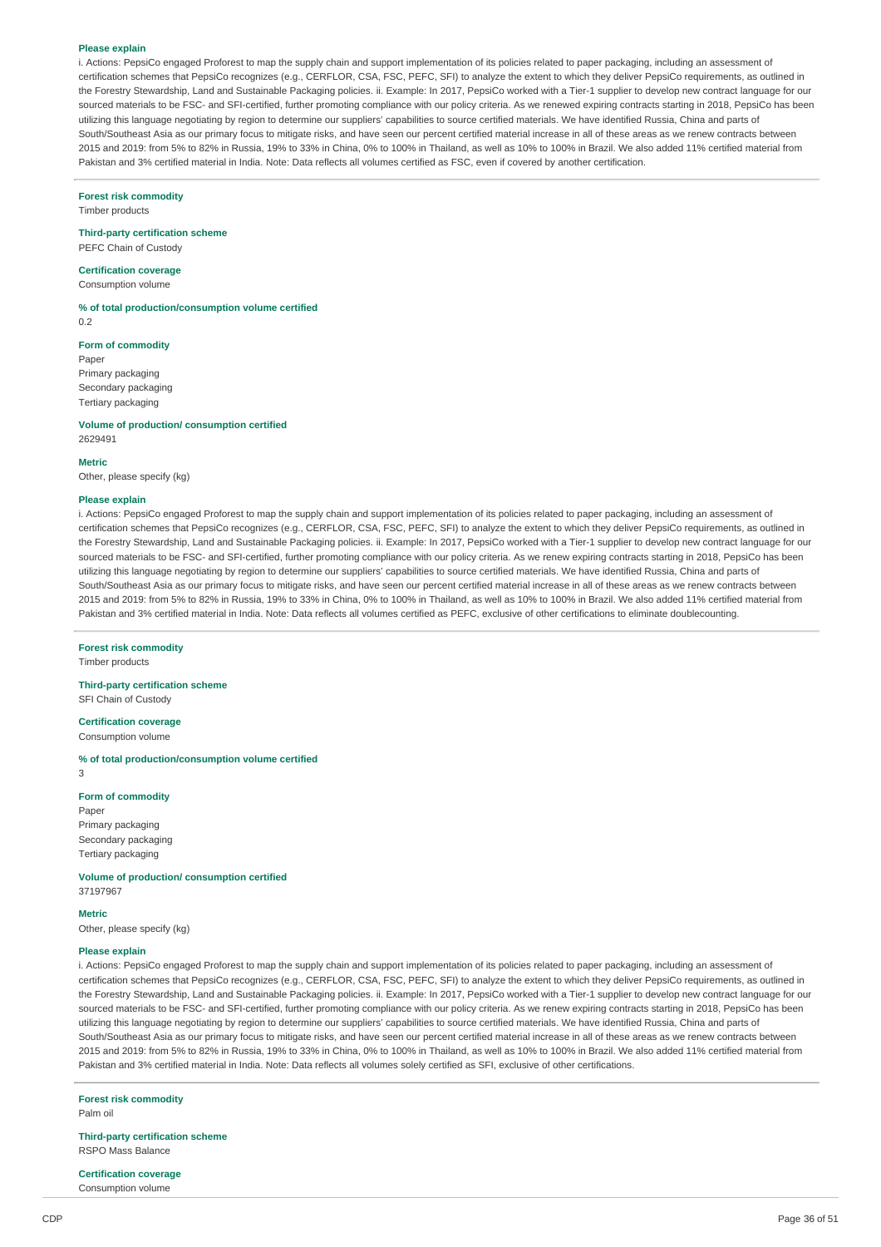#### **Please explain**

i. Actions: PepsiCo engaged Proforest to map the supply chain and support implementation of its policies related to paper packaging, including an assessment of certification schemes that PepsiCo recognizes (e.g., CERFLOR, CSA, FSC, PEFC, SFI) to analyze the extent to which they deliver PepsiCo requirements, as outlined in the Forestry Stewardship, Land and Sustainable Packaging policies. ii. Example: In 2017, PepsiCo worked with a Tier-1 supplier to develop new contract language for our sourced materials to be FSC- and SFI-certified, further promoting compliance with our policy criteria. As we renewed expiring contracts starting in 2018, PepsiCo has been utilizing this language negotiating by region to determine our suppliers' capabilities to source certified materials. We have identified Russia, China and parts of South/Southeast Asia as our primary focus to mitigate risks, and have seen our percent certified material increase in all of these areas as we renew contracts between 2015 and 2019: from 5% to 82% in Russia, 19% to 33% in China, 0% to 100% in Thailand, as well as 10% to 100% in Brazil. We also added 11% certified material from Pakistan and 3% certified material in India. Note: Data reflects all volumes certified as FSC, even if covered by another certification.

#### **Forest risk commodity**

Timber products

### **Third-party certification scheme**

PEFC Chain of Custody

### **Certification coverage**

Consumption volume

**% of total production/consumption volume certified**  $0.2$ 

#### **Form of commodity**

Paper Primary packaging Secondary packaging Tertiary packaging

**Volume of production/ consumption certified** 2629491

### **Metric**

Other, please specify (kg)

#### **Please explain**

i. Actions: PepsiCo engaged Proforest to map the supply chain and support implementation of its policies related to paper packaging, including an assessment of certification schemes that PepsiCo recognizes (e.g., CERFLOR, CSA, FSC, PEFC, SFI) to analyze the extent to which they deliver PepsiCo requirements, as outlined in the Forestry Stewardship, Land and Sustainable Packaging policies. ii. Example: In 2017, PepsiCo worked with a Tier-1 supplier to develop new contract language for our sourced materials to be FSC- and SFI-certified, further promoting compliance with our policy criteria. As we renew expiring contracts starting in 2018, PepsiCo has been utilizing this language negotiating by region to determine our suppliers' capabilities to source certified materials. We have identified Russia, China and parts of South/Southeast Asia as our primary focus to mitigate risks, and have seen our percent certified material increase in all of these areas as we renew contracts between 2015 and 2019: from 5% to 82% in Russia, 19% to 33% in China, 0% to 100% in Thailand, as well as 10% to 100% in Brazil. We also added 11% certified material from Pakistan and 3% certified material in India. Note: Data reflects all volumes certified as PEFC, exclusive of other certifications to eliminate doublecounting.

**Forest risk commodity**

Timber products

**Third-party certification scheme** SFI Chain of Custody

**Certification coverage** Consumption volume

**% of total production/consumption volume certified**

3

#### **Form of commodity**

Paper Primary packaging Secondary packaging Tertiary packaging

**Volume of production/ consumption certified** 37197967

### **Metric**

Other, please specify (kg)

### **Please explain**

i. Actions: PepsiCo engaged Proforest to map the supply chain and support implementation of its policies related to paper packaging, including an assessment of certification schemes that PepsiCo recognizes (e.g., CERFLOR, CSA, FSC, PEFC, SFI) to analyze the extent to which they deliver PepsiCo requirements, as outlined in the Forestry Stewardship, Land and Sustainable Packaging policies. ii. Example: In 2017, PepsiCo worked with a Tier-1 supplier to develop new contract language for our sourced materials to be FSC- and SFI-certified, further promoting compliance with our policy criteria. As we renew expiring contracts starting in 2018, PepsiCo has been utilizing this language negotiating by region to determine our suppliers' capabilities to source certified materials. We have identified Russia, China and parts of South/Southeast Asia as our primary focus to mitigate risks, and have seen our percent certified material increase in all of these areas as we renew contracts between 2015 and 2019: from 5% to 82% in Russia, 19% to 33% in China, 0% to 100% in Thailand, as well as 10% to 100% in Brazil. We also added 11% certified material from Pakistan and 3% certified material in India. Note: Data reflects all volumes solely certified as SFI, exclusive of other certifications.

**Forest risk commodity** Palm oil

**Third-party certification scheme** RSPO Mass Balance

**Certification coverage**

Consumption volume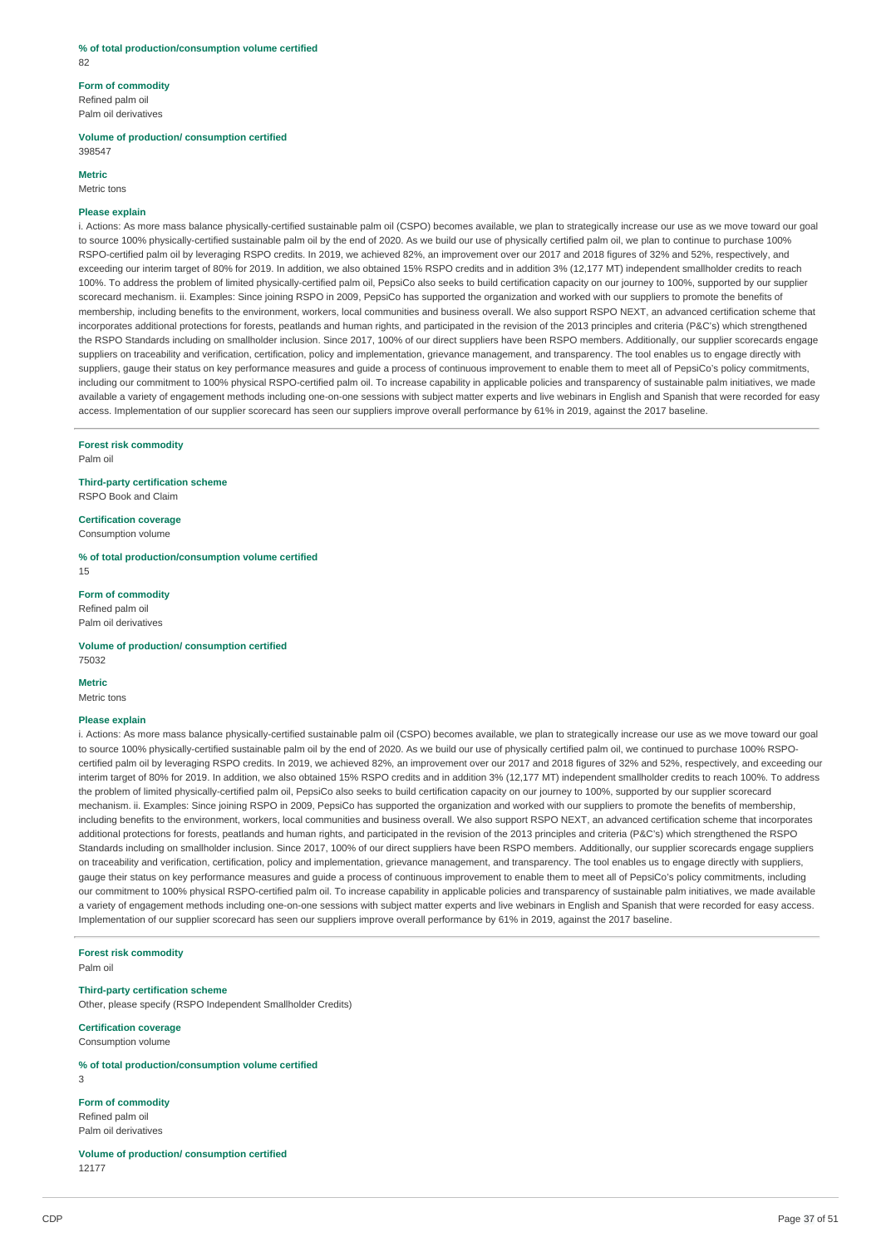#### **% of total production/consumption volume certified** 82

## **Form of commodity** Refined palm oil

Palm oil derivatives

#### **Volume of production/ consumption certified** 398547

#### **Metric**

Metric tons

### **Please explain**

i. Actions: As more mass balance physically-certified sustainable palm oil (CSPO) becomes available, we plan to strategically increase our use as we move toward our goal to source 100% physically-certified sustainable palm oil by the end of 2020. As we build our use of physically certified palm oil, we plan to continue to purchase 100% RSPO-certified palm oil by leveraging RSPO credits. In 2019, we achieved 82%, an improvement over our 2017 and 2018 figures of 32% and 52%, respectively, and exceeding our interim target of 80% for 2019. In addition, we also obtained 15% RSPO credits and in addition 3% (12,177 MT) independent smallholder credits to reach 100%. To address the problem of limited physically-certified palm oil, PepsiCo also seeks to build certification capacity on our journey to 100%, supported by our supplier scorecard mechanism. ii. Examples: Since joining RSPO in 2009, PepsiCo has supported the organization and worked with our suppliers to promote the benefits of membership, including benefits to the environment, workers, local communities and business overall. We also support RSPO NEXT, an advanced certification scheme that incorporates additional protections for forests, peatlands and human rights, and participated in the revision of the 2013 principles and criteria (P&C's) which strengthened the RSPO Standards including on smallholder inclusion. Since 2017, 100% of our direct suppliers have been RSPO members. Additionally, our supplier scorecards engage suppliers on traceability and verification, certification, policy and implementation, grievance management, and transparency. The tool enables us to engage directly with suppliers, gauge their status on key performance measures and guide a process of continuous improvement to enable them to meet all of PepsiCo's policy commitments, including our commitment to 100% physical RSPO-certified palm oil. To increase capability in applicable policies and transparency of sustainable palm initiatives, we made available a variety of engagement methods including one-on-one sessions with subject matter experts and live webinars in English and Spanish that were recorded for easy access. Implementation of our supplier scorecard has seen our suppliers improve overall performance by 61% in 2019, against the 2017 baseline.

**Forest risk commodity**

Palm oil

#### **Third-party certification scheme** RSPO Book and Claim

**Certification coverage** Consumption volume

**% of total production/consumption volume certified** 15

**Form of commodity** Refined palm oil Palm oil derivatives

## **Volume of production/ consumption certified**

75032

#### **Metric** Metric tons

#### **Please explain**

i. Actions: As more mass balance physically-certified sustainable palm oil (CSPO) becomes available, we plan to strategically increase our use as we move toward our goal to source 100% physically-certified sustainable palm oil by the end of 2020. As we build our use of physically certified palm oil, we continued to purchase 100% RSPOcertified palm oil by leveraging RSPO credits. In 2019, we achieved 82%, an improvement over our 2017 and 2018 figures of 32% and 52%, respectively, and exceeding our interim target of 80% for 2019. In addition, we also obtained 15% RSPO credits and in addition 3% (12,177 MT) independent smallholder credits to reach 100%. To address the problem of limited physically-certified palm oil, PepsiCo also seeks to build certification capacity on our journey to 100%, supported by our supplier scorecard mechanism. ii. Examples: Since joining RSPO in 2009, PepsiCo has supported the organization and worked with our suppliers to promote the benefits of membership, including benefits to the environment, workers, local communities and business overall. We also support RSPO NEXT, an advanced certification scheme that incorporates additional protections for forests, peatlands and human rights, and participated in the revision of the 2013 principles and criteria (P&C's) which strengthened the RSPO Standards including on smallholder inclusion. Since 2017, 100% of our direct suppliers have been RSPO members. Additionally, our supplier scorecards engage suppliers on traceability and verification, certification, policy and implementation, grievance management, and transparency. The tool enables us to engage directly with suppliers, gauge their status on key performance measures and guide a process of continuous improvement to enable them to meet all of PepsiCo's policy commitments, including our commitment to 100% physical RSPO-certified palm oil. To increase capability in applicable policies and transparency of sustainable palm initiatives, we made available a variety of engagement methods including one-on-one sessions with subject matter experts and live webinars in English and Spanish that were recorded for easy access. Implementation of our supplier scorecard has seen our suppliers improve overall performance by 61% in 2019, against the 2017 baseline.

#### **Forest risk commodity**

Palm oil

#### **Third-party certification scheme**

Other, please specify (RSPO Independent Smallholder Credits)

#### **Certification coverage**

Consumption volume

#### **% of total production/consumption volume certified**

 $\overline{3}$ 

#### **Form of commodity**

Refined palm oil Palm oil derivatives

**Volume of production/ consumption certified** 12177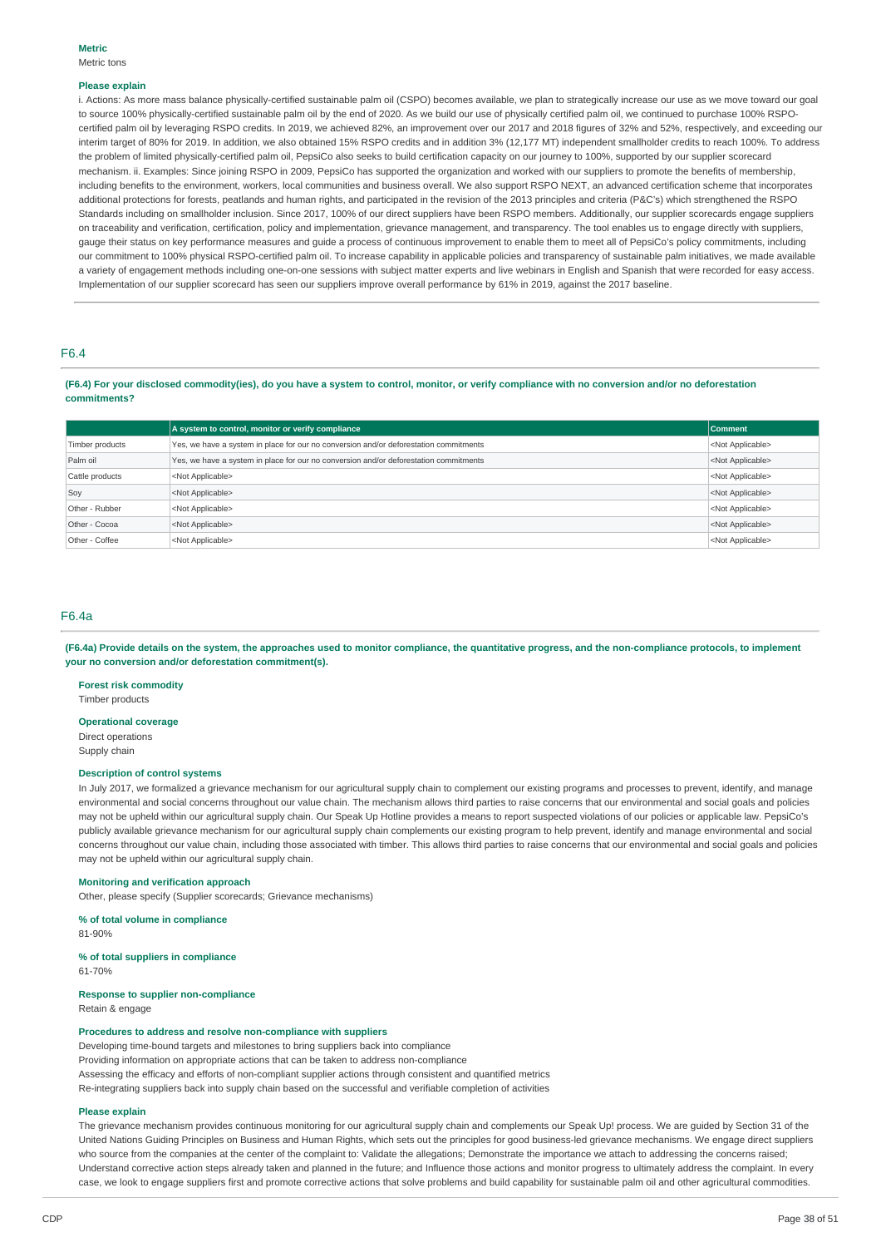#### **Please explain**

i. Actions: As more mass balance physically-certified sustainable palm oil (CSPO) becomes available, we plan to strategically increase our use as we move toward our goal to source 100% physically-certified sustainable palm oil by the end of 2020. As we build our use of physically certified palm oil, we continued to purchase 100% RSPOcertified palm oil by leveraging RSPO credits. In 2019, we achieved 82%, an improvement over our 2017 and 2018 figures of 32% and 52%, respectively, and exceeding our interim target of 80% for 2019. In addition, we also obtained 15% RSPO credits and in addition 3% (12,177 MT) independent smallholder credits to reach 100%. To address the problem of limited physically-certified palm oil, PepsiCo also seeks to build certification capacity on our journey to 100%, supported by our supplier scorecard mechanism. ii. Examples: Since joining RSPO in 2009, PepsiCo has supported the organization and worked with our suppliers to promote the benefits of membership, including benefits to the environment, workers, local communities and business overall. We also support RSPO NEXT, an advanced certification scheme that incorporates additional protections for forests, peatlands and human rights, and participated in the revision of the 2013 principles and criteria (P&C's) which strengthened the RSPO Standards including on smallholder inclusion. Since 2017, 100% of our direct suppliers have been RSPO members. Additionally, our supplier scorecards engage suppliers on traceability and verification, certification, policy and implementation, grievance management, and transparency. The tool enables us to engage directly with suppliers, gauge their status on key performance measures and guide a process of continuous improvement to enable them to meet all of PepsiCo's policy commitments, including our commitment to 100% physical RSPO-certified palm oil. To increase capability in applicable policies and transparency of sustainable palm initiatives, we made available a variety of engagement methods including one-on-one sessions with subject matter experts and live webinars in English and Spanish that were recorded for easy access. Implementation of our supplier scorecard has seen our suppliers improve overall performance by 61% in 2019, against the 2017 baseline.

### F6.4

(F6.4) For your disclosed commodity(ies), do you have a system to control, monitor, or verify compliance with no conversion and/or no deforestation **commitments?**

|                 | A system to control, monitor or verify compliance                                     | <b>Comment</b>            |
|-----------------|---------------------------------------------------------------------------------------|---------------------------|
| Timber products | Yes, we have a system in place for our no conversion and/or deforestation commitments | <not applicable=""></not> |
| Palm oil        | Yes, we have a system in place for our no conversion and/or deforestation commitments | <not applicable=""></not> |
| Cattle products | <not applicable=""></not>                                                             | <not applicable=""></not> |
| Soy             | <not applicable=""></not>                                                             | <not applicable=""></not> |
| Other - Rubber  | <not applicable=""></not>                                                             | <not applicable=""></not> |
| Other - Cocoa   | <not applicable=""></not>                                                             | <not applicable=""></not> |
| Other - Coffee  | <not applicable=""></not>                                                             | <not applicable=""></not> |

#### F6.4a

(F6.4a) Provide details on the system, the approaches used to monitor compliance, the quantitative progress, and the non-compliance protocols, to implement **your no conversion and/or deforestation commitment(s).**

#### **Forest risk commodity**

Timber products

#### **Operational coverage**

Direct operations Supply chain

### **Description of control systems**

In July 2017, we formalized a grievance mechanism for our agricultural supply chain to complement our existing programs and processes to prevent, identify, and manage environmental and social concerns throughout our value chain. The mechanism allows third parties to raise concerns that our environmental and social goals and policies may not be upheld within our agricultural supply chain. Our Speak Up Hotline provides a means to report suspected violations of our policies or applicable law. PepsiCo's publicly available grievance mechanism for our agricultural supply chain complements our existing program to help prevent, identify and manage environmental and social concerns throughout our value chain, including those associated with timber. This allows third parties to raise concerns that our environmental and social goals and policies may not be upheld within our agricultural supply chain.

#### **Monitoring and verification approach**

Other, please specify (Supplier scorecards; Grievance mechanisms)

**% of total volume in compliance**

81-90%

#### **% of total suppliers in compliance** 61-70%

#### **Response to supplier non-compliance** Retain & engage

### **Procedures to address and resolve non-compliance with suppliers**

Developing time-bound targets and milestones to bring suppliers back into compliance Providing information on appropriate actions that can be taken to address non-compliance Assessing the efficacy and efforts of non-compliant supplier actions through consistent and quantified metrics Re-integrating suppliers back into supply chain based on the successful and verifiable completion of activities

#### **Please explain**

The grievance mechanism provides continuous monitoring for our agricultural supply chain and complements our Speak Up! process. We are guided by Section 31 of the United Nations Guiding Principles on Business and Human Rights, which sets out the principles for good business-led grievance mechanisms. We engage direct suppliers who source from the companies at the center of the complaint to: Validate the allegations; Demonstrate the importance we attach to addressing the concerns raised; Understand corrective action steps already taken and planned in the future; and Influence those actions and monitor progress to ultimately address the complaint. In every case, we look to engage suppliers first and promote corrective actions that solve problems and build capability for sustainable palm oil and other agricultural commodities.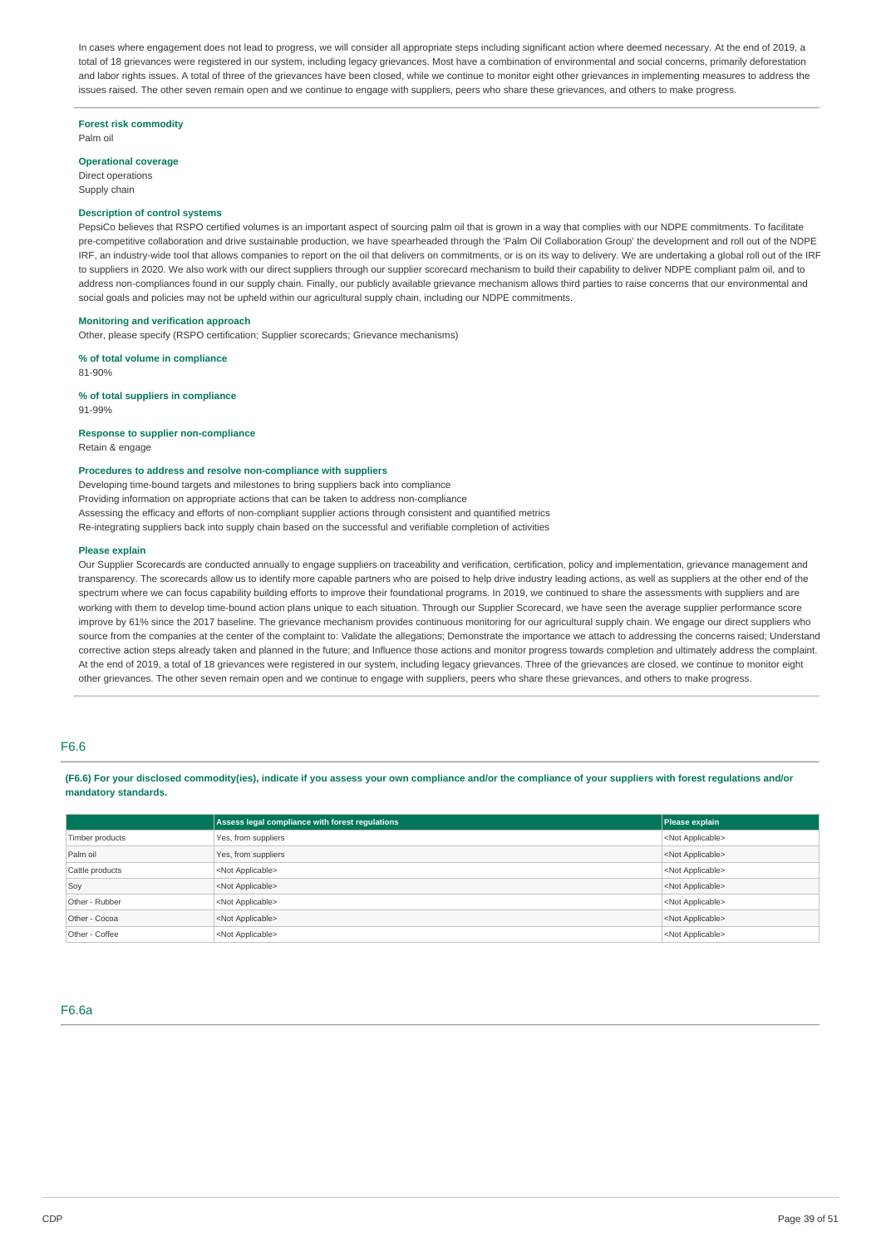In cases where engagement does not lead to progress, we will consider all appropriate steps including significant action where deemed necessary. At the end of 2019, a total of 18 grievances were registered in our system, including legacy grievances. Most have a combination of environmental and social concerns, primarily deforestation and labor rights issues. A total of three of the grievances have been closed, while we continue to monitor eight other grievances in implementing measures to address the issues raised. The other seven remain open and we continue to engage with suppliers, peers who share these grievances, and others to make progress.

#### **Forest risk commodity**

Palm oil

#### **Operational coverage**

Direct operations Supply chain

#### **Description of control systems**

PepsiCo believes that RSPO certified volumes is an important aspect of sourcing palm oil that is grown in a way that complies with our NDPE commitments. To facilitate pre-competitive collaboration and drive sustainable production, we have spearheaded through the 'Palm Oil Collaboration Group' the development and roll out of the NDPE IRF, an industry-wide tool that allows companies to report on the oil that delivers on commitments, or is on its way to delivery. We are undertaking a global roll out of the IRF to suppliers in 2020. We also work with our direct suppliers through our supplier scorecard mechanism to build their capability to deliver NDPE compliant palm oil, and to address non-compliances found in our supply chain. Finally, our publicly available grievance mechanism allows third parties to raise concerns that our environmental and social goals and policies may not be upheld within our agricultural supply chain, including our NDPE commitments.

#### **Monitoring and verification approach**

Other, please specify (RSPO certification; Supplier scorecards; Grievance mechanisms)

#### **% of total volume in compliance**

81-90%

**% of total suppliers in compliance** 91-99%

#### **Response to supplier non-compliance**

Retain & engage

#### **Procedures to address and resolve non-compliance with suppliers**

Developing time-bound targets and milestones to bring suppliers back into compliance Providing information on appropriate actions that can be taken to address non-compliance Assessing the efficacy and efforts of non-compliant supplier actions through consistent and quantified metrics Re-integrating suppliers back into supply chain based on the successful and verifiable completion of activities

#### **Please explain**

Our Supplier Scorecards are conducted annually to engage suppliers on traceability and verification, certification, policy and implementation, grievance management and transparency. The scorecards allow us to identify more capable partners who are poised to help drive industry leading actions, as well as suppliers at the other end of the spectrum where we can focus capability building efforts to improve their foundational programs. In 2019, we continued to share the assessments with suppliers and are working with them to develop time-bound action plans unique to each situation. Through our Supplier Scorecard, we have seen the average supplier performance score improve by 61% since the 2017 baseline. The grievance mechanism provides continuous monitoring for our agricultural supply chain. We engage our direct suppliers who source from the companies at the center of the complaint to: Validate the allegations; Demonstrate the importance we attach to addressing the concerns raised; Understand corrective action steps already taken and planned in the future; and Influence those actions and monitor progress towards completion and ultimately address the complaint. At the end of 2019, a total of 18 grievances were registered in our system, including legacy grievances. Three of the grievances are closed, we continue to monitor eight other grievances. The other seven remain open and we continue to engage with suppliers, peers who share these grievances, and others to make progress.

#### F6.6

(F6.6) For your disclosed commodity(ies), indicate if you assess your own compliance and/or the compliance of your suppliers with forest regulations and/or **mandatory standards.**

|                 | Assess legal compliance with forest regulations | Please explain            |
|-----------------|-------------------------------------------------|---------------------------|
| Timber products | Yes, from suppliers                             | <not applicable=""></not> |
| Palm oil        | Yes, from suppliers                             | <not applicable=""></not> |
| Cattle products | <not applicable=""></not>                       | <not applicable=""></not> |
| Soy             | <not applicable=""></not>                       | <not applicable=""></not> |
| Other - Rubber  | <not applicable=""></not>                       | <not applicable=""></not> |
| Other - Cocoa   | <not applicable=""></not>                       | <not applicable=""></not> |
| Other - Coffee  | <not applicable=""></not>                       | <not applicable=""></not> |

### F6.6a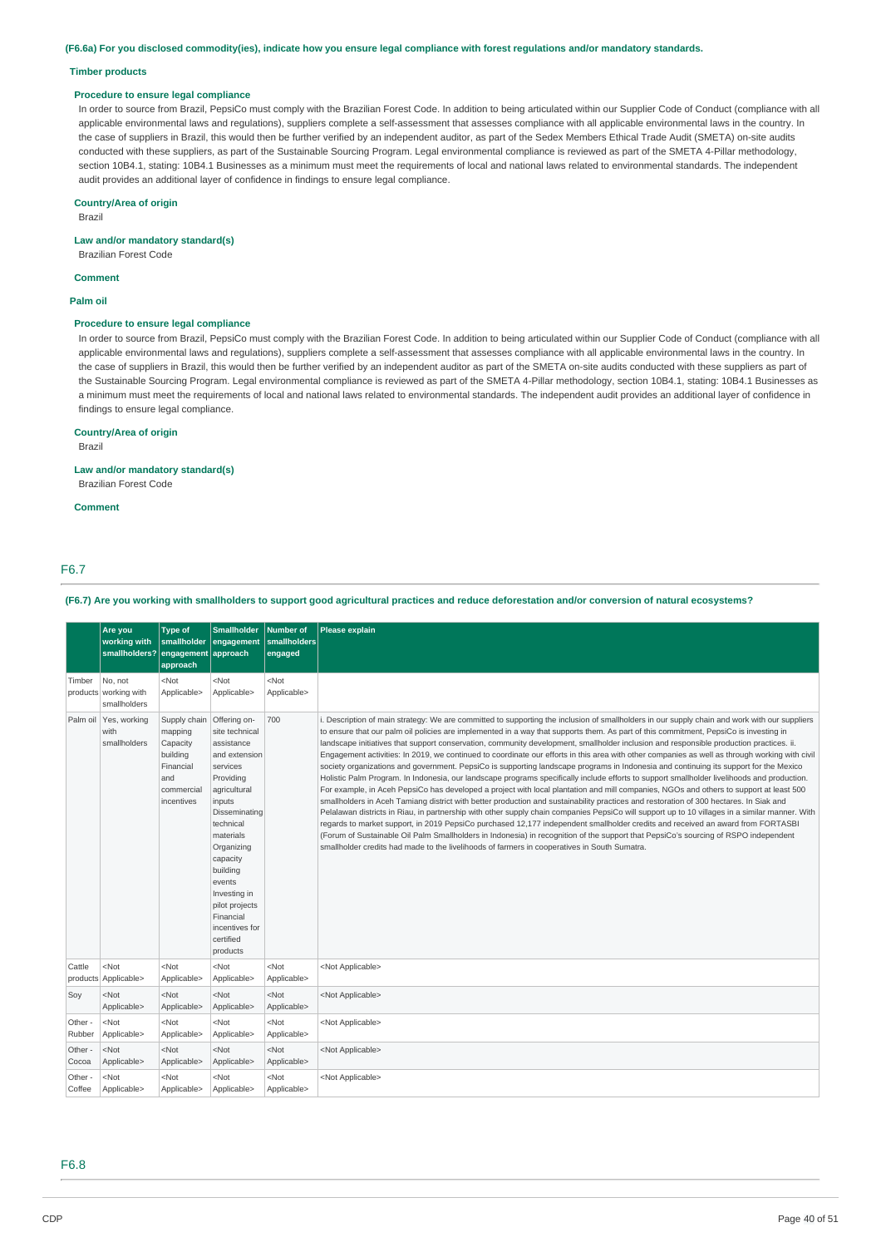(F6.6a) For you disclosed commodity(ies), indicate how you ensure legal compliance with forest regulations and/or mandatory standards.

#### **Timber products**

#### **Procedure to ensure legal compliance**

In order to source from Brazil, PepsiCo must comply with the Brazilian Forest Code. In addition to being articulated within our Supplier Code of Conduct (compliance with all applicable environmental laws and regulations), suppliers complete a self-assessment that assesses compliance with all applicable environmental laws in the country. In the case of suppliers in Brazil, this would then be further verified by an independent auditor, as part of the Sedex Members Ethical Trade Audit (SMETA) on-site audits conducted with these suppliers, as part of the Sustainable Sourcing Program. Legal environmental compliance is reviewed as part of the SMETA 4-Pillar methodology, section 10B4.1, stating: 10B4.1 Businesses as a minimum must meet the requirements of local and national laws related to environmental standards. The independent audit provides an additional layer of confidence in findings to ensure legal compliance.

### **Country/Area of origin**

Brazil

#### **Law and/or mandatory standard(s)**

Brazilian Forest Code

**Comment**

### **Palm oil**

#### **Procedure to ensure legal compliance**

In order to source from Brazil, PepsiCo must comply with the Brazilian Forest Code. In addition to being articulated within our Supplier Code of Conduct (compliance with all applicable environmental laws and regulations), suppliers complete a self-assessment that assesses compliance with all applicable environmental laws in the country. In the case of suppliers in Brazil, this would then be further verified by an independent auditor as part of the SMETA on-site audits conducted with these suppliers as part of the Sustainable Sourcing Program. Legal environmental compliance is reviewed as part of the SMETA 4-Pillar methodology, section 10B4.1, stating: 10B4.1 Businesses as a minimum must meet the requirements of local and national laws related to environmental standards. The independent audit provides an additional layer of confidence in findings to ensure legal compliance.

### **Country/Area of origin**

Brazil

### **Law and/or mandatory standard(s)**

Brazilian Forest Code

#### **Comment**

### F6.7

(F6.7) Are you working with smallholders to support good agricultural practices and reduce deforestation and/or conversion of natural ecosystems?

|                   | Are you<br>working with<br>smallholders?         | <b>Type of</b><br>smallholder<br>engagement approach<br>approach                                | <b>Smallholder</b><br>engagement                                                                                                                                                                                                                                                                      | <b>Number of</b><br>smallholders<br>engaged | Please explain                                                                                                                                                                                                                                                                                                                                                                                                                                                                                                                                                                                                                                                                                                                                                                                                                                                                                                                                                                                                                                                                                                                                                                                                                                                                                                                                                                                                                                                                                                                                                                                                                                                                              |
|-------------------|--------------------------------------------------|-------------------------------------------------------------------------------------------------|-------------------------------------------------------------------------------------------------------------------------------------------------------------------------------------------------------------------------------------------------------------------------------------------------------|---------------------------------------------|---------------------------------------------------------------------------------------------------------------------------------------------------------------------------------------------------------------------------------------------------------------------------------------------------------------------------------------------------------------------------------------------------------------------------------------------------------------------------------------------------------------------------------------------------------------------------------------------------------------------------------------------------------------------------------------------------------------------------------------------------------------------------------------------------------------------------------------------------------------------------------------------------------------------------------------------------------------------------------------------------------------------------------------------------------------------------------------------------------------------------------------------------------------------------------------------------------------------------------------------------------------------------------------------------------------------------------------------------------------------------------------------------------------------------------------------------------------------------------------------------------------------------------------------------------------------------------------------------------------------------------------------------------------------------------------------|
| Timber            | No, not<br>products working with<br>smallholders | $<$ Not<br>Applicable>                                                                          | <not<br>Applicable&gt;</not<br>                                                                                                                                                                                                                                                                       | $<$ Not<br>Applicable>                      |                                                                                                                                                                                                                                                                                                                                                                                                                                                                                                                                                                                                                                                                                                                                                                                                                                                                                                                                                                                                                                                                                                                                                                                                                                                                                                                                                                                                                                                                                                                                                                                                                                                                                             |
|                   | Palm oil Yes, working<br>with<br>smallholders    | Supply chain<br>mapping<br>Capacity<br>building<br>Financial<br>and<br>commercial<br>incentives | Offering on-<br>site technical<br>assistance<br>and extension<br>services<br>Providing<br>agricultural<br>inputs<br>Disseminating<br>technical<br>materials<br>Organizing<br>capacity<br>building<br>events<br>Investing in<br>pilot projects<br>Financial<br>incentives for<br>certified<br>products | 700                                         | i. Description of main strategy: We are committed to supporting the inclusion of smallholders in our supply chain and work with our suppliers<br>to ensure that our palm oil policies are implemented in a way that supports them. As part of this commitment, PepsiCo is investing in<br>landscape initiatives that support conservation, community development, smallholder inclusion and responsible production practices. ii.<br>Engagement activities: In 2019, we continued to coordinate our efforts in this area with other companies as well as through working with civil<br>society organizations and government. PepsiCo is supporting landscape programs in Indonesia and continuing its support for the Mexico<br>Holistic Palm Program. In Indonesia, our landscape programs specifically include efforts to support smallholder livelihoods and production.<br>For example, in Aceh PepsiCo has developed a project with local plantation and mill companies, NGOs and others to support at least 500<br>smallholders in Aceh Tamiang district with better production and sustainability practices and restoration of 300 hectares. In Siak and<br>Pelalawan districts in Riau, in partnership with other supply chain companies PepsiCo will support up to 10 villages in a similar manner. With<br>regards to market support, in 2019 PepsiCo purchased 12,177 independent smallholder credits and received an award from FORTASBI<br>(Forum of Sustainable Oil Palm Smallholders in Indonesia) in recognition of the support that PepsiCo's sourcing of RSPO independent<br>smallholder credits had made to the livelihoods of farmers in cooperatives in South Sumatra. |
| Cattle            | $<$ Not<br>products Applicable>                  | $<$ Not<br>Applicable>                                                                          | $<$ Not<br>Applicable>                                                                                                                                                                                                                                                                                | $<$ Not<br>Applicable>                      | <not applicable=""></not>                                                                                                                                                                                                                                                                                                                                                                                                                                                                                                                                                                                                                                                                                                                                                                                                                                                                                                                                                                                                                                                                                                                                                                                                                                                                                                                                                                                                                                                                                                                                                                                                                                                                   |
| Soy               | $<$ Not<br>Applicable>                           | $<$ Not<br>Applicable>                                                                          | $<$ Not<br>Applicable>                                                                                                                                                                                                                                                                                | $<$ Not<br>Applicable>                      | <not applicable=""></not>                                                                                                                                                                                                                                                                                                                                                                                                                                                                                                                                                                                                                                                                                                                                                                                                                                                                                                                                                                                                                                                                                                                                                                                                                                                                                                                                                                                                                                                                                                                                                                                                                                                                   |
| Other -<br>Rubber | $<$ Not<br>Applicable>                           | $<$ Not<br>Applicable>                                                                          | $<$ Not<br>Applicable>                                                                                                                                                                                                                                                                                | $<$ Not<br>Applicable>                      | <not applicable=""></not>                                                                                                                                                                                                                                                                                                                                                                                                                                                                                                                                                                                                                                                                                                                                                                                                                                                                                                                                                                                                                                                                                                                                                                                                                                                                                                                                                                                                                                                                                                                                                                                                                                                                   |
| Other -<br>Cocoa  | $<$ Not<br>Applicable>                           | $<$ Not<br>Applicable>                                                                          | $<$ Not<br>Applicable>                                                                                                                                                                                                                                                                                | $<$ Not<br>Applicable>                      | <not applicable=""></not>                                                                                                                                                                                                                                                                                                                                                                                                                                                                                                                                                                                                                                                                                                                                                                                                                                                                                                                                                                                                                                                                                                                                                                                                                                                                                                                                                                                                                                                                                                                                                                                                                                                                   |
| Other -<br>Coffee | $<$ Not<br>Applicable>                           | $<$ Not<br>Applicable>                                                                          | <not<br>Applicable&gt;</not<br>                                                                                                                                                                                                                                                                       | $<$ Not<br>Applicable>                      | <not applicable=""></not>                                                                                                                                                                                                                                                                                                                                                                                                                                                                                                                                                                                                                                                                                                                                                                                                                                                                                                                                                                                                                                                                                                                                                                                                                                                                                                                                                                                                                                                                                                                                                                                                                                                                   |

### F6.8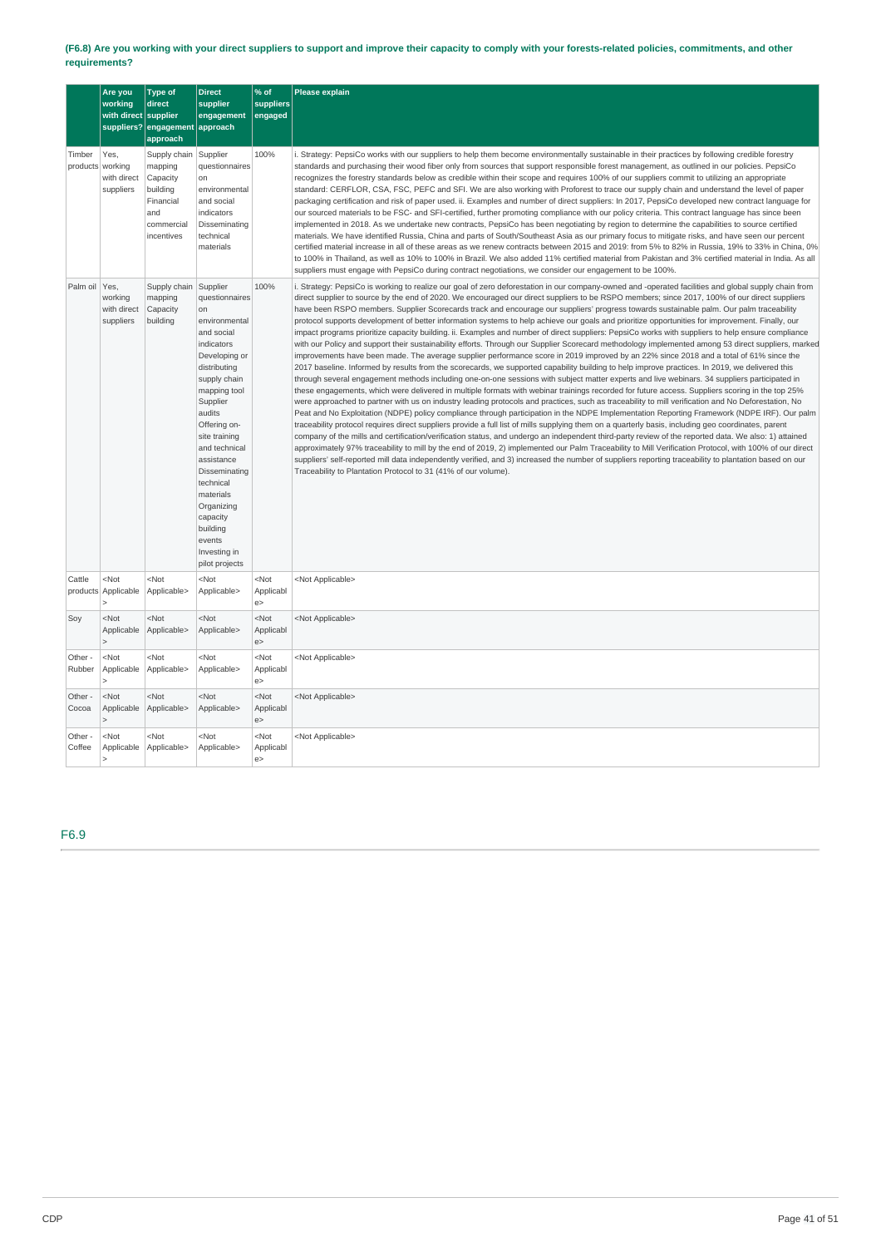### (F6.8) Are you working with your direct suppliers to support and improve their capacity to comply with your forests-related policies, commitments, and other **requirements?**

|                            | Are you<br>working<br>with direct supplier | <b>Type of</b><br>direct<br>suppliers? engagement approach<br>approach                          | <b>Direct</b><br>supplier<br>engagement                                                                                                                                                                                                                                                                                                                           | % of<br>suppliers<br>engaged     | Please explain                                                                                                                                                                                                                                                                                                                                                                                                                                                                                                                                                                                                                                                                                                                                                                                                                                                                                                                                                                                                                                                                                                                                                                                                                                                                                                                                                                                                                                                                                                                                                                                                                                                                                                                                                                                                                                                                                                                                                                                                                                                                                                                                                                                                                                                                                                                                                                                                                                                                                                          |
|----------------------------|--------------------------------------------|-------------------------------------------------------------------------------------------------|-------------------------------------------------------------------------------------------------------------------------------------------------------------------------------------------------------------------------------------------------------------------------------------------------------------------------------------------------------------------|----------------------------------|-------------------------------------------------------------------------------------------------------------------------------------------------------------------------------------------------------------------------------------------------------------------------------------------------------------------------------------------------------------------------------------------------------------------------------------------------------------------------------------------------------------------------------------------------------------------------------------------------------------------------------------------------------------------------------------------------------------------------------------------------------------------------------------------------------------------------------------------------------------------------------------------------------------------------------------------------------------------------------------------------------------------------------------------------------------------------------------------------------------------------------------------------------------------------------------------------------------------------------------------------------------------------------------------------------------------------------------------------------------------------------------------------------------------------------------------------------------------------------------------------------------------------------------------------------------------------------------------------------------------------------------------------------------------------------------------------------------------------------------------------------------------------------------------------------------------------------------------------------------------------------------------------------------------------------------------------------------------------------------------------------------------------------------------------------------------------------------------------------------------------------------------------------------------------------------------------------------------------------------------------------------------------------------------------------------------------------------------------------------------------------------------------------------------------------------------------------------------------------------------------------------------------|
| Timber<br>products working | Yes,<br>with direct<br>suppliers           | Supply chain<br>mapping<br>Capacity<br>building<br>Financial<br>and<br>commercial<br>incentives | Supplier<br>questionnaires<br>on<br>environmental<br>and social<br>indicators<br>Disseminating<br>technical<br>materials                                                                                                                                                                                                                                          | 100%                             | i. Strategy: PepsiCo works with our suppliers to help them become environmentally sustainable in their practices by following credible forestry<br>standards and purchasing their wood fiber only from sources that support responsible forest management, as outlined in our policies. PepsiCo<br>recognizes the forestry standards below as credible within their scope and requires 100% of our suppliers commit to utilizing an appropriate<br>standard: CERFLOR, CSA, FSC, PEFC and SFI. We are also working with Proforest to trace our supply chain and understand the level of paper<br>packaging certification and risk of paper used. ii. Examples and number of direct suppliers: In 2017, PepsiCo developed new contract language for<br>our sourced materials to be FSC- and SFI-certified, further promoting compliance with our policy criteria. This contract language has since been<br>implemented in 2018. As we undertake new contracts, PepsiCo has been negotiating by region to determine the capabilities to source certified<br>materials. We have identified Russia, China and parts of South/Southeast Asia as our primary focus to mitigate risks, and have seen our percent<br>certified material increase in all of these areas as we renew contracts between 2015 and 2019: from 5% to 82% in Russia, 19% to 33% in China, 0%<br>to 100% in Thailand, as well as 10% to 100% in Brazil. We also added 11% certified material from Pakistan and 3% certified material in India. As all<br>suppliers must engage with PepsiCo during contract negotiations, we consider our engagement to be 100%.                                                                                                                                                                                                                                                                                                                                                                                                                                                                                                                                                                                                                                                                                                                                                                                                                                                                                         |
| Palm oil Yes,              | working<br>with direct<br>suppliers        | Supply chain<br>mapping<br>Capacity<br>building                                                 | Supplier<br>questionnaires<br>on<br>environmental<br>and social<br>indicators<br>Developing or<br>distributing<br>supply chain<br>mapping tool<br>Supplier<br>audits<br>Offering on-<br>site training<br>and technical<br>assistance<br>Disseminating<br>technical<br>materials<br>Organizing<br>capacity<br>building<br>events<br>Investing in<br>pilot projects | 100%                             | i. Strategy: PepsiCo is working to realize our goal of zero deforestation in our company-owned and -operated facilities and global supply chain from<br>direct supplier to source by the end of 2020. We encouraged our direct suppliers to be RSPO members; since 2017, 100% of our direct suppliers<br>have been RSPO members. Supplier Scorecards track and encourage our suppliers' progress towards sustainable palm. Our palm traceability<br>protocol supports development of better information systems to help achieve our goals and prioritize opportunities for improvement. Finally, our<br>impact programs prioritize capacity building. ii. Examples and number of direct suppliers: PepsiCo works with suppliers to help ensure compliance<br>with our Policy and support their sustainability efforts. Through our Supplier Scorecard methodology implemented among 53 direct suppliers, marked<br>improvements have been made. The average supplier performance score in 2019 improved by an 22% since 2018 and a total of 61% since the<br>2017 baseline. Informed by results from the scorecards, we supported capability building to help improve practices. In 2019, we delivered this<br>through several engagement methods including one-on-one sessions with subject matter experts and live webinars. 34 suppliers participated in<br>these engagements, which were delivered in multiple formats with webinar trainings recorded for future access. Suppliers scoring in the top 25%<br>were approached to partner with us on industry leading protocols and practices, such as traceability to mill verification and No Deforestation, No<br>Peat and No Exploitation (NDPE) policy compliance through participation in the NDPE Implementation Reporting Framework (NDPE IRF). Our palm<br>traceability protocol requires direct suppliers provide a full list of mills supplying them on a quarterly basis, including geo coordinates, parent<br>company of the mills and certification/verification status, and undergo an independent third-party review of the reported data. We also: 1) attained<br>approximately 97% traceability to mill by the end of 2019, 2) implemented our Palm Traceability to Mill Verification Protocol, with 100% of our direct<br>suppliers' self-reported mill data independently verified, and 3) increased the number of suppliers reporting traceability to plantation based on our<br>Traceability to Plantation Protocol to 31 (41% of our volume). |
| Cattle<br>products         | $<$ Not<br>Applicable                      | <not<br>Applicable&gt;</not<br>                                                                 | $<$ Not<br>Applicable>                                                                                                                                                                                                                                                                                                                                            | <not<br>Applicabl<br/>e</not<br> | <not applicable=""></not>                                                                                                                                                                                                                                                                                                                                                                                                                                                                                                                                                                                                                                                                                                                                                                                                                                                                                                                                                                                                                                                                                                                                                                                                                                                                                                                                                                                                                                                                                                                                                                                                                                                                                                                                                                                                                                                                                                                                                                                                                                                                                                                                                                                                                                                                                                                                                                                                                                                                                               |
| Soy                        | $<$ Not<br>Applicable                      | $<$ Not<br>Applicable>                                                                          | $<$ Not<br>Applicable>                                                                                                                                                                                                                                                                                                                                            | <not<br>Applicabl<br/>e</not<br> | <not applicable=""></not>                                                                                                                                                                                                                                                                                                                                                                                                                                                                                                                                                                                                                                                                                                                                                                                                                                                                                                                                                                                                                                                                                                                                                                                                                                                                                                                                                                                                                                                                                                                                                                                                                                                                                                                                                                                                                                                                                                                                                                                                                                                                                                                                                                                                                                                                                                                                                                                                                                                                                               |
| Other -<br>Rubber          | $<$ Not<br>Applicable                      | $<$ Not<br>Applicable>                                                                          | $<$ Not<br>Applicable>                                                                                                                                                                                                                                                                                                                                            | <not<br>Applicabl<br/>e</not<br> | <not applicable=""></not>                                                                                                                                                                                                                                                                                                                                                                                                                                                                                                                                                                                                                                                                                                                                                                                                                                                                                                                                                                                                                                                                                                                                                                                                                                                                                                                                                                                                                                                                                                                                                                                                                                                                                                                                                                                                                                                                                                                                                                                                                                                                                                                                                                                                                                                                                                                                                                                                                                                                                               |
| Other -<br>Cocoa           | $<$ Not<br>Applicable                      | $<$ Not<br>Applicable>                                                                          | $<$ Not<br>Applicable>                                                                                                                                                                                                                                                                                                                                            | <not<br>Applicabl<br/>e</not<br> | <not applicable=""></not>                                                                                                                                                                                                                                                                                                                                                                                                                                                                                                                                                                                                                                                                                                                                                                                                                                                                                                                                                                                                                                                                                                                                                                                                                                                                                                                                                                                                                                                                                                                                                                                                                                                                                                                                                                                                                                                                                                                                                                                                                                                                                                                                                                                                                                                                                                                                                                                                                                                                                               |
| Other -<br>Coffee          | $<$ Not<br>Applicable                      | $<$ Not<br>Applicable>                                                                          | $<$ Not<br>Applicable>                                                                                                                                                                                                                                                                                                                                            | <not<br>Applicabl<br/>e</not<br> | <not applicable=""></not>                                                                                                                                                                                                                                                                                                                                                                                                                                                                                                                                                                                                                                                                                                                                                                                                                                                                                                                                                                                                                                                                                                                                                                                                                                                                                                                                                                                                                                                                                                                                                                                                                                                                                                                                                                                                                                                                                                                                                                                                                                                                                                                                                                                                                                                                                                                                                                                                                                                                                               |

F6.9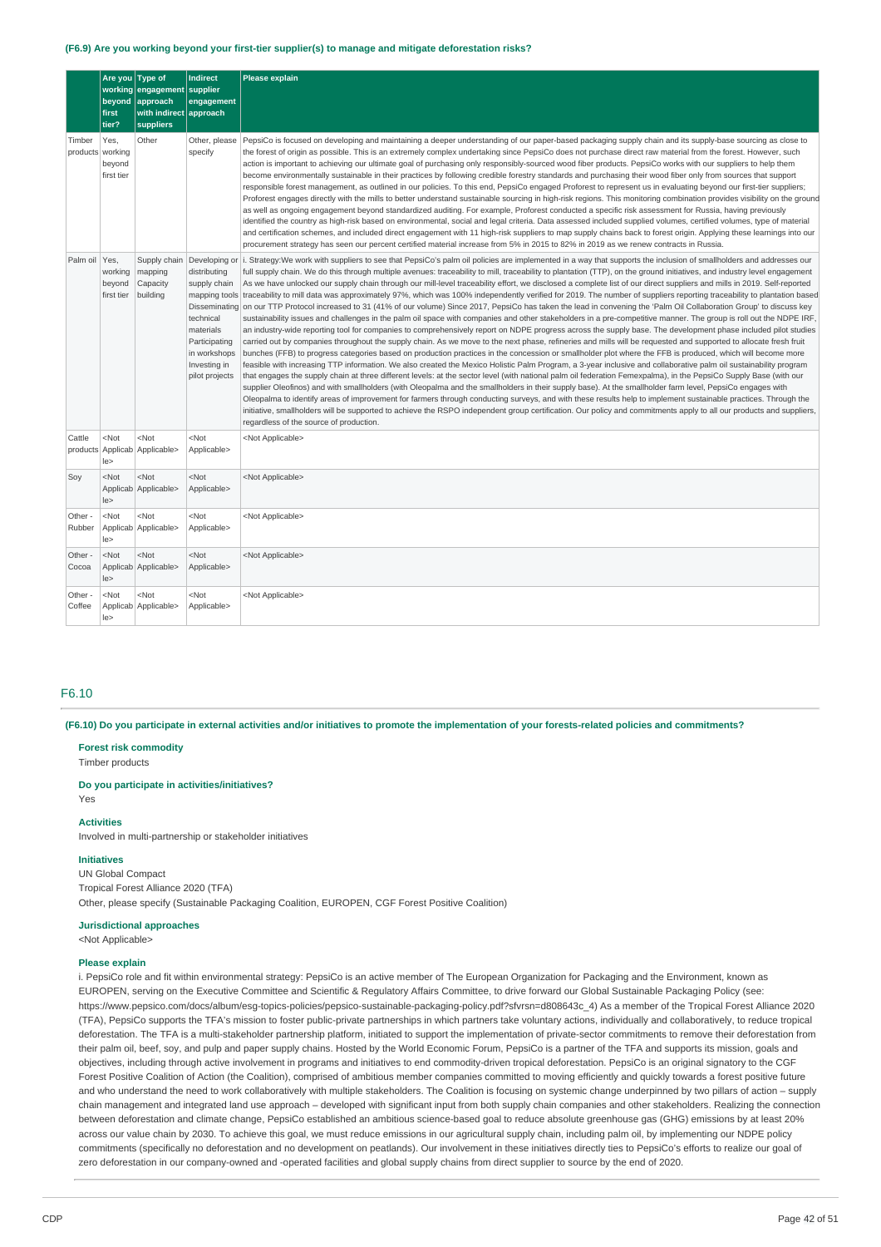#### **(F6.9) Are you working beyond your first-tier supplier(s) to manage and mitigate deforestation risks?**

|                            | Are you<br>beyond<br>first<br>tier? | <b>Type of</b><br>working engagement<br>approach<br>with indirect approach<br>suppliers | <b>Indirect</b><br>supplier<br>engagement                                                                                                                                    | Please explain                                                                                                                                                                                                                                                                                                                                                                                                                                                                                                                                                                                                                                                                                                                                                                                                                                                                                                                                                                                                                                                                                                                                                                                                                                                                                                                                                                                                                                                                                                                                                                                                                                                                                                                                                                                                                                                                                                                                                                                                                                                                                                                                                                                                                                                                                                                                                                                                                     |
|----------------------------|-------------------------------------|-----------------------------------------------------------------------------------------|------------------------------------------------------------------------------------------------------------------------------------------------------------------------------|------------------------------------------------------------------------------------------------------------------------------------------------------------------------------------------------------------------------------------------------------------------------------------------------------------------------------------------------------------------------------------------------------------------------------------------------------------------------------------------------------------------------------------------------------------------------------------------------------------------------------------------------------------------------------------------------------------------------------------------------------------------------------------------------------------------------------------------------------------------------------------------------------------------------------------------------------------------------------------------------------------------------------------------------------------------------------------------------------------------------------------------------------------------------------------------------------------------------------------------------------------------------------------------------------------------------------------------------------------------------------------------------------------------------------------------------------------------------------------------------------------------------------------------------------------------------------------------------------------------------------------------------------------------------------------------------------------------------------------------------------------------------------------------------------------------------------------------------------------------------------------------------------------------------------------------------------------------------------------------------------------------------------------------------------------------------------------------------------------------------------------------------------------------------------------------------------------------------------------------------------------------------------------------------------------------------------------------------------------------------------------------------------------------------------------|
| Timber<br>products working | Yes.<br>beyond<br>first tier        | Other                                                                                   | Other, please<br>specify                                                                                                                                                     | PepsiCo is focused on developing and maintaining a deeper understanding of our paper-based packaging supply chain and its supply-base sourcing as close to<br>the forest of origin as possible. This is an extremely complex undertaking since PepsiCo does not purchase direct raw material from the forest. However, such<br>action is important to achieving our ultimate goal of purchasing only responsibly-sourced wood fiber products. PepsiCo works with our suppliers to help them<br>become environmentally sustainable in their practices by following credible forestry standards and purchasing their wood fiber only from sources that support<br>responsible forest management, as outlined in our policies. To this end, PepsiCo engaged Proforest to represent us in evaluating beyond our first-tier suppliers;<br>Proforest engages directly with the mills to better understand sustainable sourcing in high-risk regions. This monitoring combination provides visibility on the ground<br>as well as ongoing engagement beyond standardized auditing. For example, Proforest conducted a specific risk assessment for Russia, having previously<br>identified the country as high-risk based on environmental, social and legal criteria. Data assessed included supplied volumes, certified volumes, type of material<br>and certification schemes, and included direct engagement with 11 high-risk suppliers to map supply chains back to forest origin. Applying these learnings into our<br>procurement strategy has seen our percent certified material increase from 5% in 2015 to 82% in 2019 as we renew contracts in Russia.                                                                                                                                                                                                                                                                                                                                                                                                                                                                                                                                                                                                                                                                                                                                                                       |
| Palm oil Yes.              | working<br>beyond<br>first tier     | Supply chain<br>mapping<br>Capacity<br>building                                         | Developing or<br>distributing<br>supply chain<br>mapping tools<br>Disseminating<br>technical<br>materials<br>Participating<br>in workshops<br>Investing in<br>pilot projects | i. Strategy: We work with suppliers to see that PepsiCo's palm oil policies are implemented in a way that supports the inclusion of smallholders and addresses our<br>full supply chain. We do this through multiple avenues: traceability to mill, traceability to plantation (TTP), on the ground initiatives, and industry level engagement<br>As we have unlocked our supply chain through our mill-level traceability effort, we disclosed a complete list of our direct suppliers and mills in 2019. Self-reported<br>traceability to mill data was approximately 97%, which was 100% independently verified for 2019. The number of suppliers reporting traceability to plantation based<br>on our TTP Protocol increased to 31 (41% of our volume) Since 2017, PepsiCo has taken the lead in convening the 'Palm Oil Collaboration Group' to discuss key<br>sustainability issues and challenges in the palm oil space with companies and other stakeholders in a pre-competitive manner. The group is roll out the NDPE IRF,<br>an industry-wide reporting tool for companies to comprehensively report on NDPE progress across the supply base. The development phase included pilot studies<br>carried out by companies throughout the supply chain. As we move to the next phase, refineries and mills will be requested and supported to allocate fresh fruit<br>bunches (FFB) to progress categories based on production practices in the concession or smallholder plot where the FFB is produced, which will become more<br>feasible with increasing TTP information. We also created the Mexico Holistic Palm Program, a 3-year inclusive and collaborative palm oil sustainability program<br>that engages the supply chain at three different levels: at the sector level (with national palm oil federation Femexpalma), in the PepsiCo Supply Base (with our<br>supplier Oleofinos) and with smallholders (with Oleopalma and the smallholders in their supply base). At the smallholder farm level, PepsiCo engages with<br>Oleopalma to identify areas of improvement for farmers through conducting surveys, and with these results help to implement sustainable practices. Through the<br>initiative, smallholders will be supported to achieve the RSPO independent group certification. Our policy and commitments apply to all our products and suppliers,<br>regardless of the source of production. |
| Cattle                     | $<$ Not<br>le                       | $<$ Not<br>products Applicab Applicable>                                                | $<$ Not<br>Applicable>                                                                                                                                                       | <not applicable=""></not>                                                                                                                                                                                                                                                                                                                                                                                                                                                                                                                                                                                                                                                                                                                                                                                                                                                                                                                                                                                                                                                                                                                                                                                                                                                                                                                                                                                                                                                                                                                                                                                                                                                                                                                                                                                                                                                                                                                                                                                                                                                                                                                                                                                                                                                                                                                                                                                                          |
| Soy                        | $<$ Not<br> e>                      | $<$ Not<br>Applicab Applicable>                                                         | <not<br>Applicable&gt;</not<br>                                                                                                                                              | <not applicable=""></not>                                                                                                                                                                                                                                                                                                                                                                                                                                                                                                                                                                                                                                                                                                                                                                                                                                                                                                                                                                                                                                                                                                                                                                                                                                                                                                                                                                                                                                                                                                                                                                                                                                                                                                                                                                                                                                                                                                                                                                                                                                                                                                                                                                                                                                                                                                                                                                                                          |
| Other -<br>Rubber          | $<$ Not<br>le>                      | $<$ Not<br>Applicab Applicable>                                                         | $<$ Not<br>Applicable>                                                                                                                                                       | <not applicable=""></not>                                                                                                                                                                                                                                                                                                                                                                                                                                                                                                                                                                                                                                                                                                                                                                                                                                                                                                                                                                                                                                                                                                                                                                                                                                                                                                                                                                                                                                                                                                                                                                                                                                                                                                                                                                                                                                                                                                                                                                                                                                                                                                                                                                                                                                                                                                                                                                                                          |
| Other -<br>Cocoa           | $<$ Not<br> e>                      | <not<br>Applicab Applicable&gt;</not<br>                                                | <not<br>Applicable&gt;</not<br>                                                                                                                                              | <not applicable=""></not>                                                                                                                                                                                                                                                                                                                                                                                                                                                                                                                                                                                                                                                                                                                                                                                                                                                                                                                                                                                                                                                                                                                                                                                                                                                                                                                                                                                                                                                                                                                                                                                                                                                                                                                                                                                                                                                                                                                                                                                                                                                                                                                                                                                                                                                                                                                                                                                                          |
| Other -<br>Coffee          | $<$ Not<br>le>                      | <not<br>Applicab Applicable&gt;</not<br>                                                | <not<br>Applicable&gt;</not<br>                                                                                                                                              | <not applicable=""></not>                                                                                                                                                                                                                                                                                                                                                                                                                                                                                                                                                                                                                                                                                                                                                                                                                                                                                                                                                                                                                                                                                                                                                                                                                                                                                                                                                                                                                                                                                                                                                                                                                                                                                                                                                                                                                                                                                                                                                                                                                                                                                                                                                                                                                                                                                                                                                                                                          |

### F6.10

(F6.10) Do you participate in external activities and/or initiatives to promote the implementation of your forests-related policies and commitments?

#### **Forest risk commodity**

Timber products

#### **Do you participate in activities/initiatives?**

Yes

## **Activities**

Involved in multi-partnership or stakeholder initiatives

### **Initiatives**

UN Global Compact Tropical Forest Alliance 2020 (TFA) Other, please specify (Sustainable Packaging Coalition, EUROPEN, CGF Forest Positive Coalition)

### **Jurisdictional approaches**

<Not Applicable>

### **Please explain**

i. PepsiCo role and fit within environmental strategy: PepsiCo is an active member of The European Organization for Packaging and the Environment, known as EUROPEN, serving on the Executive Committee and Scientific & Regulatory Affairs Committee, to drive forward our Global Sustainable Packaging Policy (see: https://www.pepsico.com/docs/album/esg-topics-policies/pepsico-sustainable-packaging-policy.pdf?sfvrsn=d808643c\_4) As a member of the Tropical Forest Alliance 2020 (TFA), PepsiCo supports the TFA's mission to foster public-private partnerships in which partners take voluntary actions, individually and collaboratively, to reduce tropical deforestation. The TFA is a multi-stakeholder partnership platform, initiated to support the implementation of private-sector commitments to remove their deforestation from their palm oil, beef, soy, and pulp and paper supply chains. Hosted by the World Economic Forum, PepsiCo is a partner of the TFA and supports its mission, goals and objectives, including through active involvement in programs and initiatives to end commodity-driven tropical deforestation. PepsiCo is an original signatory to the CGF Forest Positive Coalition of Action (the Coalition), comprised of ambitious member companies committed to moving efficiently and quickly towards a forest positive future and who understand the need to work collaboratively with multiple stakeholders. The Coalition is focusing on systemic change underpinned by two pillars of action – supply chain management and integrated land use approach – developed with significant input from both supply chain companies and other stakeholders. Realizing the connection between deforestation and climate change, PepsiCo established an ambitious science-based goal to reduce absolute greenhouse gas (GHG) emissions by at least 20% across our value chain by 2030. To achieve this goal, we must reduce emissions in our agricultural supply chain, including palm oil, by implementing our NDPE policy commitments (specifically no deforestation and no development on peatlands). Our involvement in these initiatives directly ties to PepsiCo's efforts to realize our goal of zero deforestation in our company-owned and -operated facilities and global supply chains from direct supplier to source by the end of 2020.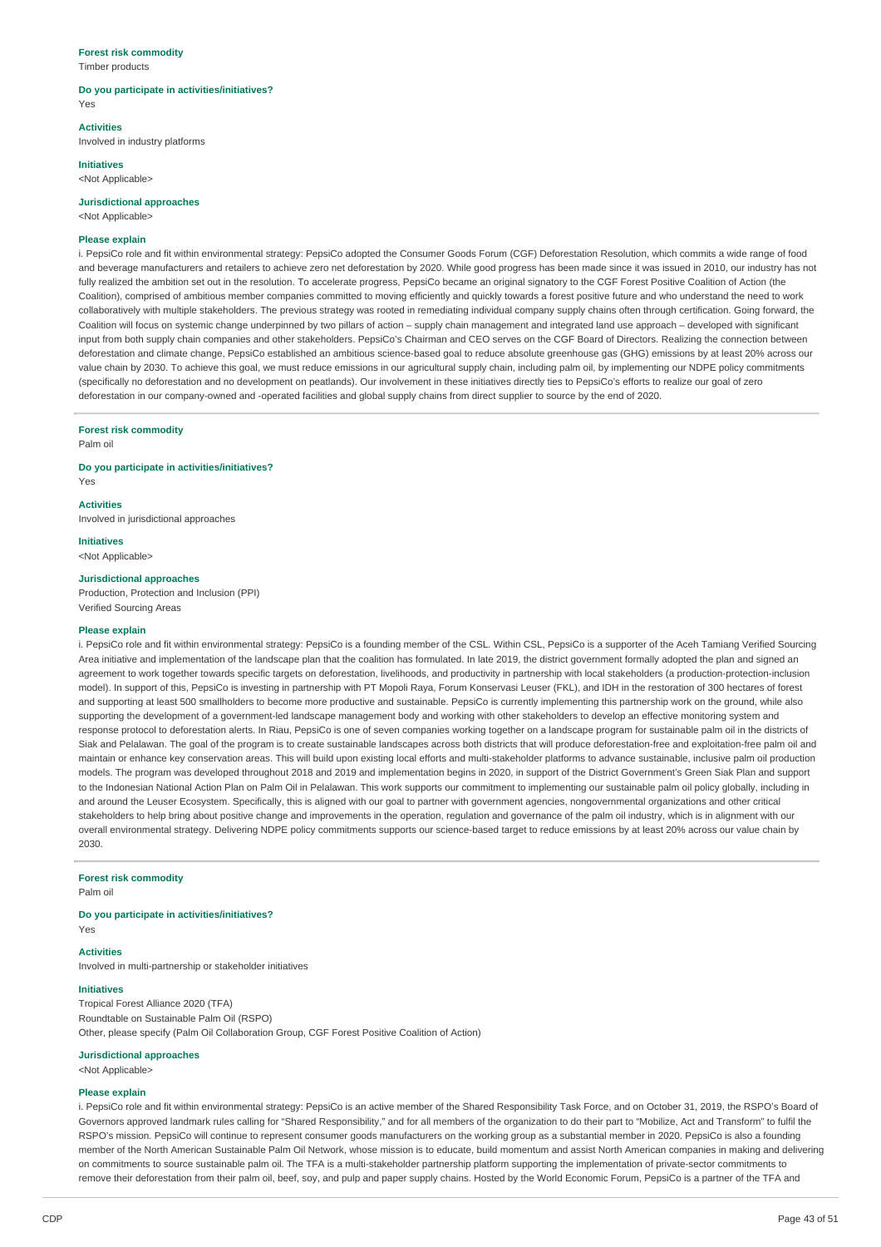### **Forest risk commodity**

Timber products

#### **Do you participate in activities/initiatives?** Yes

**Activities**

Involved in industry platforms

**Initiatives**

## <Not Applicable>

**Jurisdictional approaches**

<Not Applicable>

#### **Please explain**

i. PepsiCo role and fit within environmental strategy: PepsiCo adopted the Consumer Goods Forum (CGF) Deforestation Resolution, which commits a wide range of food and beverage manufacturers and retailers to achieve zero net deforestation by 2020. While good progress has been made since it was issued in 2010, our industry has not fully realized the ambition set out in the resolution. To accelerate progress, PepsiCo became an original signatory to the CGF Forest Positive Coalition of Action (the Coalition), comprised of ambitious member companies committed to moving efficiently and quickly towards a forest positive future and who understand the need to work collaboratively with multiple stakeholders. The previous strategy was rooted in remediating individual company supply chains often through certification. Going forward, the Coalition will focus on systemic change underpinned by two pillars of action – supply chain management and integrated land use approach – developed with significant input from both supply chain companies and other stakeholders. PepsiCo's Chairman and CEO serves on the CGF Board of Directors. Realizing the connection between deforestation and climate change, PepsiCo established an ambitious science-based goal to reduce absolute greenhouse gas (GHG) emissions by at least 20% across our value chain by 2030. To achieve this goal, we must reduce emissions in our agricultural supply chain, including palm oil, by implementing our NDPE policy commitments (specifically no deforestation and no development on peatlands). Our involvement in these initiatives directly ties to PepsiCo's efforts to realize our goal of zero deforestation in our company-owned and -operated facilities and global supply chains from direct supplier to source by the end of 2020.

### **Forest risk commodity**

Palm oil

Yes

#### **Do you participate in activities/initiatives?**

**Activities**

Involved in jurisdictional approaches

**Initiatives** <Not Applicable>

#### **Jurisdictional approaches**

Production, Protection and Inclusion (PPI) Verified Sourcing Areas

#### **Please explain**

i. PepsiCo role and fit within environmental strategy: PepsiCo is a founding member of the CSL. Within CSL, PepsiCo is a supporter of the Aceh Tamiang Verified Sourcing Area initiative and implementation of the landscape plan that the coalition has formulated. In late 2019, the district government formally adopted the plan and signed an agreement to work together towards specific targets on deforestation, livelihoods, and productivity in partnership with local stakeholders (a production-protection-inclusion model). In support of this, PepsiCo is investing in partnership with PT Mopoli Raya, Forum Konservasi Leuser (FKL), and IDH in the restoration of 300 hectares of forest and supporting at least 500 smallholders to become more productive and sustainable. PepsiCo is currently implementing this partnership work on the ground, while also supporting the development of a government-led landscape management body and working with other stakeholders to develop an effective monitoring system and response protocol to deforestation alerts. In Riau, PepsiCo is one of seven companies working together on a landscape program for sustainable palm oil in the districts of Siak and Pelalawan. The goal of the program is to create sustainable landscapes across both districts that will produce deforestation-free and exploitation-free palm oil and maintain or enhance key conservation areas. This will build upon existing local efforts and multi-stakeholder platforms to advance sustainable, inclusive palm oil production models. The program was developed throughout 2018 and 2019 and implementation begins in 2020, in support of the District Government's Green Siak Plan and support to the Indonesian National Action Plan on Palm Oil in Pelalawan. This work supports our commitment to implementing our sustainable palm oil policy globally, including in and around the Leuser Ecosystem. Specifically, this is aligned with our goal to partner with government agencies, nongovernmental organizations and other critical stakeholders to help bring about positive change and improvements in the operation, regulation and governance of the palm oil industry, which is in alignment with our overall environmental strategy. Delivering NDPE policy commitments supports our science-based target to reduce emissions by at least 20% across our value chain by 2030.

#### **Forest risk commodity**

Palm oil

#### **Do you participate in activities/initiatives?**

Yes

### **Activities**

Involved in multi-partnership or stakeholder initiatives

#### **Initiatives**

Tropical Forest Alliance 2020 (TFA) Roundtable on Sustainable Palm Oil (RSPO) Other, please specify (Palm Oil Collaboration Group, CGF Forest Positive Coalition of Action)

#### **Jurisdictional approaches**

<Not Applicable>

### **Please explain**

i. PepsiCo role and fit within environmental strategy: PepsiCo is an active member of the Shared Responsibility Task Force, and on October 31, 2019, the RSPO's Board of Governors approved landmark rules calling for "Shared Responsibility," and for all members of the organization to do their part to "Mobilize, Act and Transform" to fulfil the RSPO's mission. PepsiCo will continue to represent consumer goods manufacturers on the working group as a substantial member in 2020. PepsiCo is also a founding member of the North American Sustainable Palm Oil Network, whose mission is to educate, build momentum and assist North American companies in making and delivering on commitments to source sustainable palm oil. The TFA is a multi-stakeholder partnership platform supporting the implementation of private-sector commitments to remove their deforestation from their palm oil, beef, soy, and pulp and paper supply chains. Hosted by the World Economic Forum, PepsiCo is a partner of the TFA and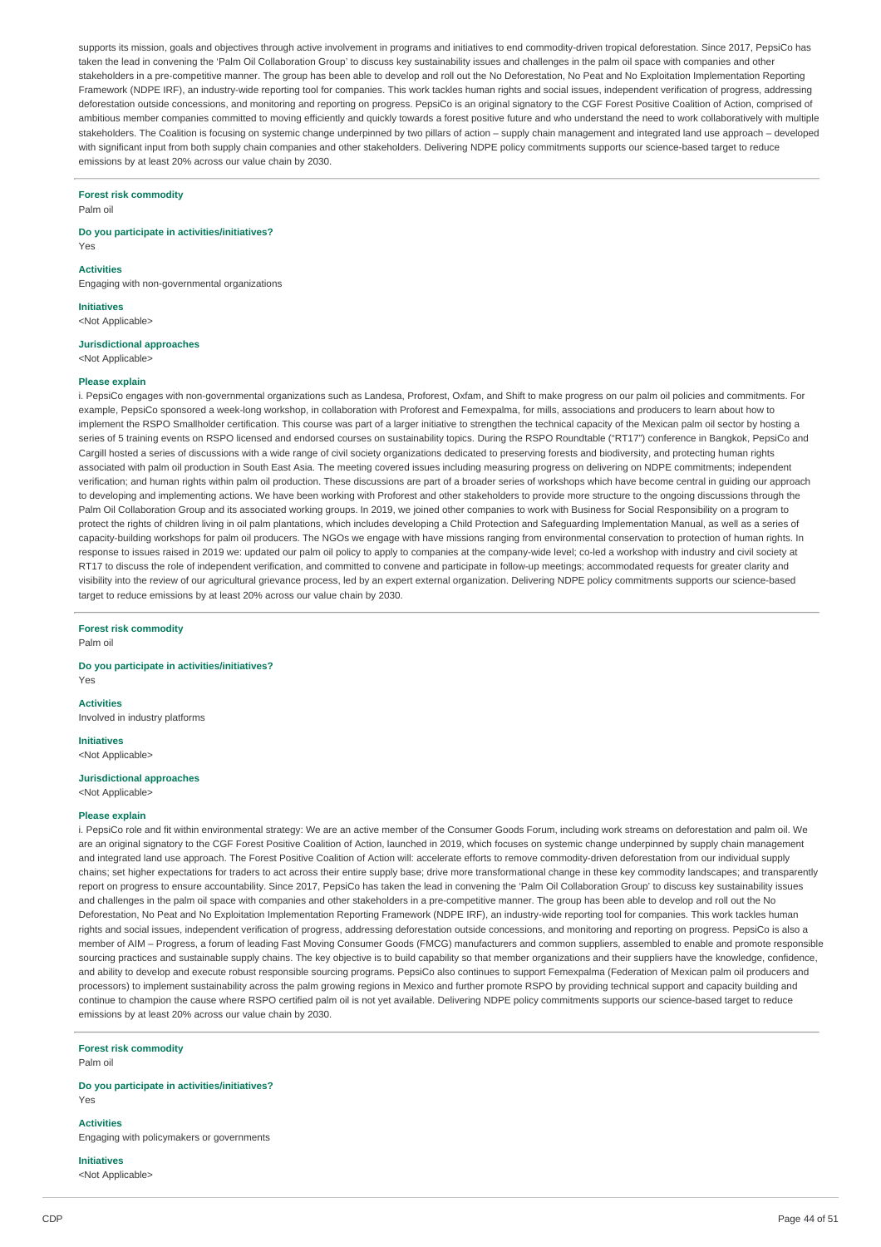supports its mission, goals and objectives through active involvement in programs and initiatives to end commodity-driven tropical deforestation. Since 2017, PepsiCo has taken the lead in convening the 'Palm Oil Collaboration Group' to discuss key sustainability issues and challenges in the palm oil space with companies and other stakeholders in a pre-competitive manner. The group has been able to develop and roll out the No Deforestation, No Peat and No Exploitation Implementation Reporting Framework (NDPE IRF), an industry-wide reporting tool for companies. This work tackles human rights and social issues, independent verification of progress, addressing deforestation outside concessions, and monitoring and reporting on progress. PepsiCo is an original signatory to the CGF Forest Positive Coalition of Action, comprised of ambitious member companies committed to moving efficiently and quickly towards a forest positive future and who understand the need to work collaboratively with multiple stakeholders. The Coalition is focusing on systemic change underpinned by two pillars of action - supply chain management and integrated land use approach - developed with significant input from both supply chain companies and other stakeholders. Delivering NDPE policy commitments supports our science-based target to reduce emissions by at least 20% across our value chain by 2030.

#### **Forest risk commodity**

Palm oil

#### **Do you participate in activities/initiatives?**

Yes

### **Activities**

Engaging with non-governmental organizations

**Initiatives** <Not Applicable>

**Jurisdictional approaches** <Not Applicable>

#### **Please explain**

i. PepsiCo engages with non-governmental organizations such as Landesa, Proforest, Oxfam, and Shift to make progress on our palm oil policies and commitments. For example, PepsiCo sponsored a week-long workshop, in collaboration with Proforest and Femexpalma, for mills, associations and producers to learn about how to implement the RSPO Smallholder certification. This course was part of a larger initiative to strengthen the technical capacity of the Mexican palm oil sector by hosting a series of 5 training events on RSPO licensed and endorsed courses on sustainability topics. During the RSPO Roundtable ("RT17") conference in Bangkok, PepsiCo and Cargill hosted a series of discussions with a wide range of civil society organizations dedicated to preserving forests and biodiversity, and protecting human rights associated with palm oil production in South East Asia. The meeting covered issues including measuring progress on delivering on NDPE commitments; independent verification; and human rights within palm oil production. These discussions are part of a broader series of workshops which have become central in guiding our approach to developing and implementing actions. We have been working with Proforest and other stakeholders to provide more structure to the ongoing discussions through the Palm Oil Collaboration Group and its associated working groups. In 2019, we joined other companies to work with Business for Social Responsibility on a program to protect the rights of children living in oil palm plantations, which includes developing a Child Protection and Safeguarding Implementation Manual, as well as a series of capacity-building workshops for palm oil producers. The NGOs we engage with have missions ranging from environmental conservation to protection of human rights. In response to issues raised in 2019 we: updated our palm oil policy to apply to companies at the company-wide level; co-led a workshop with industry and civil society at RT17 to discuss the role of independent verification, and committed to convene and participate in follow-up meetings; accommodated requests for greater clarity and visibility into the review of our agricultural grievance process, led by an expert external organization. Delivering NDPE policy commitments supports our science-based target to reduce emissions by at least 20% across our value chain by 2030.

**Forest risk commodity** Palm oil

**Do you participate in activities/initiatives?** Yes

**Activities**

Involved in industry platforms

**Initiatives**

<Not Applicable>

### **Jurisdictional approaches** <Not Applicable>

#### **Please explain**

i. PepsiCo role and fit within environmental strategy: We are an active member of the Consumer Goods Forum, including work streams on deforestation and palm oil. We are an original signatory to the CGF Forest Positive Coalition of Action, launched in 2019, which focuses on systemic change underpinned by supply chain management and integrated land use approach. The Forest Positive Coalition of Action will: accelerate efforts to remove commodity-driven deforestation from our individual supply chains; set higher expectations for traders to act across their entire supply base; drive more transformational change in these key commodity landscapes; and transparently report on progress to ensure accountability. Since 2017, PepsiCo has taken the lead in convening the 'Palm Oil Collaboration Group' to discuss key sustainability issues and challenges in the palm oil space with companies and other stakeholders in a pre-competitive manner. The group has been able to develop and roll out the No Deforestation, No Peat and No Exploitation Implementation Reporting Framework (NDPE IRF), an industry-wide reporting tool for companies. This work tackles human rights and social issues, independent verification of progress, addressing deforestation outside concessions, and monitoring and reporting on progress. PepsiCo is also a member of AIM – Progress, a forum of leading Fast Moving Consumer Goods (FMCG) manufacturers and common suppliers, assembled to enable and promote responsible sourcing practices and sustainable supply chains. The key objective is to build capability so that member organizations and their suppliers have the knowledge, confidence, and ability to develop and execute robust responsible sourcing programs. PepsiCo also continues to support Femexpalma (Federation of Mexican palm oil producers and processors) to implement sustainability across the palm growing regions in Mexico and further promote RSPO by providing technical support and capacity building and continue to champion the cause where RSPO certified palm oil is not yet available. Delivering NDPE policy commitments supports our science-based target to reduce emissions by at least 20% across our value chain by 2030.

## **Forest risk commodity**

Palm oil

#### **Do you participate in activities/initiatives?** Yes

**Activities** Engaging with policymakers or governments

**Initiatives**

<Not Applicable>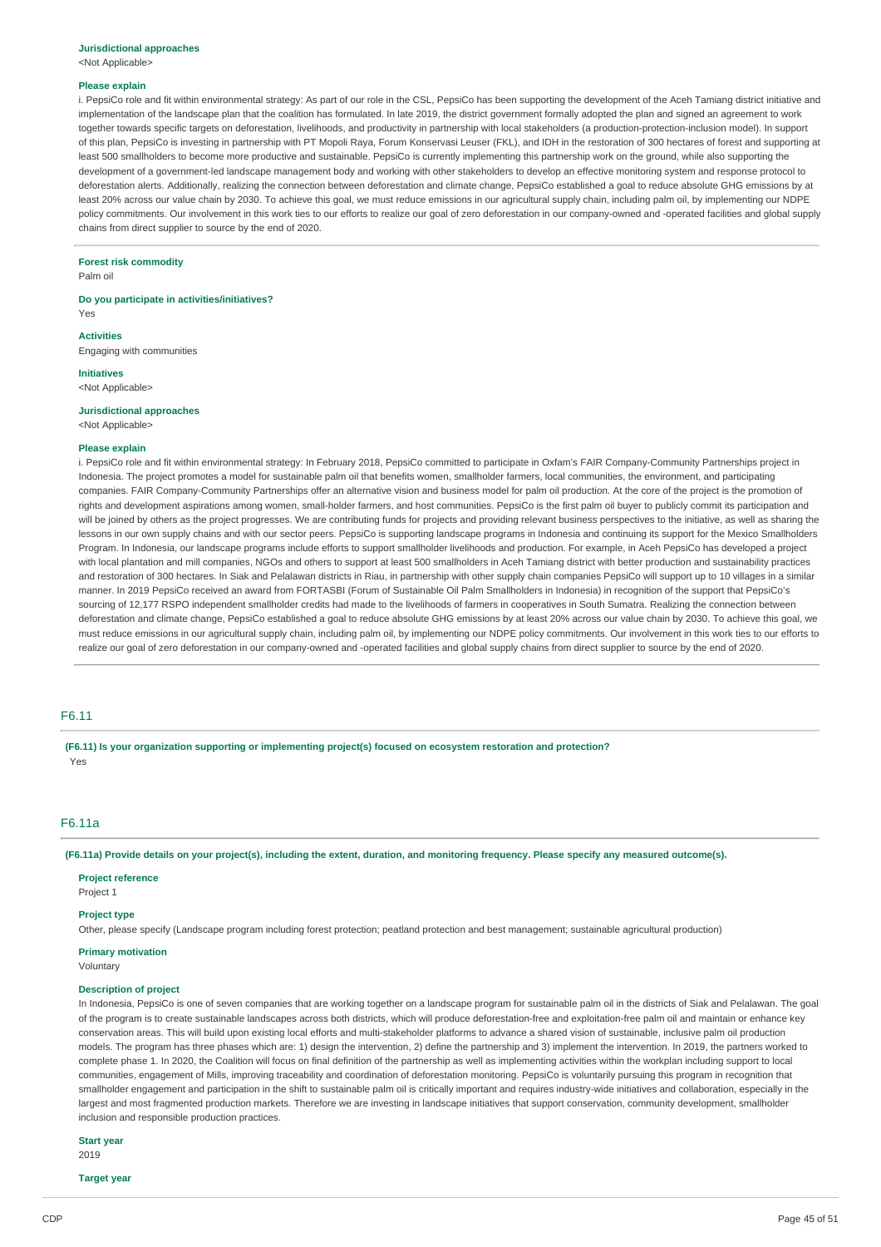#### **Jurisdictional approaches**

<Not Applicable>

#### **Please explain**

i. PepsiCo role and fit within environmental strategy: As part of our role in the CSL, PepsiCo has been supporting the development of the Aceh Tamiang district initiative and implementation of the landscape plan that the coalition has formulated. In late 2019, the district government formally adopted the plan and signed an agreement to work together towards specific targets on deforestation, livelihoods, and productivity in partnership with local stakeholders (a production-protection-inclusion model). In support of this plan, PepsiCo is investing in partnership with PT Mopoli Raya, Forum Konservasi Leuser (FKL), and IDH in the restoration of 300 hectares of forest and supporting at least 500 smallholders to become more productive and sustainable. PepsiCo is currently implementing this partnership work on the ground, while also supporting the development of a government-led landscape management body and working with other stakeholders to develop an effective monitoring system and response protocol to deforestation alerts. Additionally, realizing the connection between deforestation and climate change, PepsiCo established a goal to reduce absolute GHG emissions by at least 20% across our value chain by 2030. To achieve this goal, we must reduce emissions in our agricultural supply chain, including palm oil, by implementing our NDPE policy commitments. Our involvement in this work ties to our efforts to realize our goal of zero deforestation in our company-owned and -operated facilities and global supply chains from direct supplier to source by the end of 2020.

**Forest risk commodity**

Palm oil

**Do you participate in activities/initiatives?** Yes

**Activities**

Engaging with communities

**Initiatives** <Not Applicable>

### **Jurisdictional approaches**

<Not Applicable>

#### **Please explain**

i. PepsiCo role and fit within environmental strategy: In February 2018, PepsiCo committed to participate in Oxfam's FAIR Company-Community Partnerships project in Indonesia. The project promotes a model for sustainable palm oil that benefits women, smallholder farmers, local communities, the environment, and participating companies. FAIR Company-Community Partnerships offer an alternative vision and business model for palm oil production. At the core of the project is the promotion of rights and development aspirations among women, small-holder farmers, and host communities. PepsiCo is the first palm oil buyer to publicly commit its participation and will be joined by others as the project progresses. We are contributing funds for projects and providing relevant business perspectives to the initiative, as well as sharing the lessons in our own supply chains and with our sector peers. PepsiCo is supporting landscape programs in Indonesia and continuing its support for the Mexico Smallholders Program. In Indonesia, our landscape programs include efforts to support smallholder livelihoods and production. For example, in Aceh PepsiCo has developed a project with local plantation and mill companies. NGOs and others to support at least 500 smallholders in Aceh Tamiang district with better production and sustainability practices and restoration of 300 hectares. In Siak and Pelalawan districts in Riau, in partnership with other supply chain companies PepsiCo will support up to 10 villages in a similar manner. In 2019 PepsiCo received an award from FORTASBI (Forum of Sustainable Oil Palm Smallholders in Indonesia) in recognition of the support that PepsiCo's sourcing of 12,177 RSPO independent smallholder credits had made to the livelihoods of farmers in cooperatives in South Sumatra. Realizing the connection between deforestation and climate change, PepsiCo established a goal to reduce absolute GHG emissions by at least 20% across our value chain by 2030. To achieve this goal, we must reduce emissions in our agricultural supply chain, including palm oil, by implementing our NDPE policy commitments. Our involvement in this work ties to our efforts to realize our goal of zero deforestation in our company-owned and -operated facilities and global supply chains from direct supplier to source by the end of 2020.

#### F6.11

**(F6.11) Is your organization supporting or implementing project(s) focused on ecosystem restoration and protection?** Yes

### F6.11a

(F6.11a) Provide details on your project(s), including the extent, duration, and monitoring frequency. Please specify any measured outcome(s).

#### **Project reference**

Project 1

#### **Project type**

Other, please specify (Landscape program including forest protection; peatland protection and best management; sustainable agricultural production)

### **Primary motivation**

Voluntary

#### **Description of project**

In Indonesia, PepsiCo is one of seven companies that are working together on a landscape program for sustainable palm oil in the districts of Siak and Pelalawan. The goal of the program is to create sustainable landscapes across both districts, which will produce deforestation-free and exploitation-free palm oil and maintain or enhance key conservation areas. This will build upon existing local efforts and multi-stakeholder platforms to advance a shared vision of sustainable, inclusive palm oil production models. The program has three phases which are: 1) design the intervention, 2) define the partnership and 3) implement the intervention. In 2019, the partners worked to complete phase 1. In 2020, the Coalition will focus on final definition of the partnership as well as implementing activities within the workplan including support to local communities, engagement of Mills, improving traceability and coordination of deforestation monitoring. PepsiCo is voluntarily pursuing this program in recognition that smallholder engagement and participation in the shift to sustainable palm oil is critically important and requires industry-wide initiatives and collaboration, especially in the largest and most fragmented production markets. Therefore we are investing in landscape initiatives that support conservation, community development, smallholder inclusion and responsible production practices.

### **Start year**

2019

**Target year**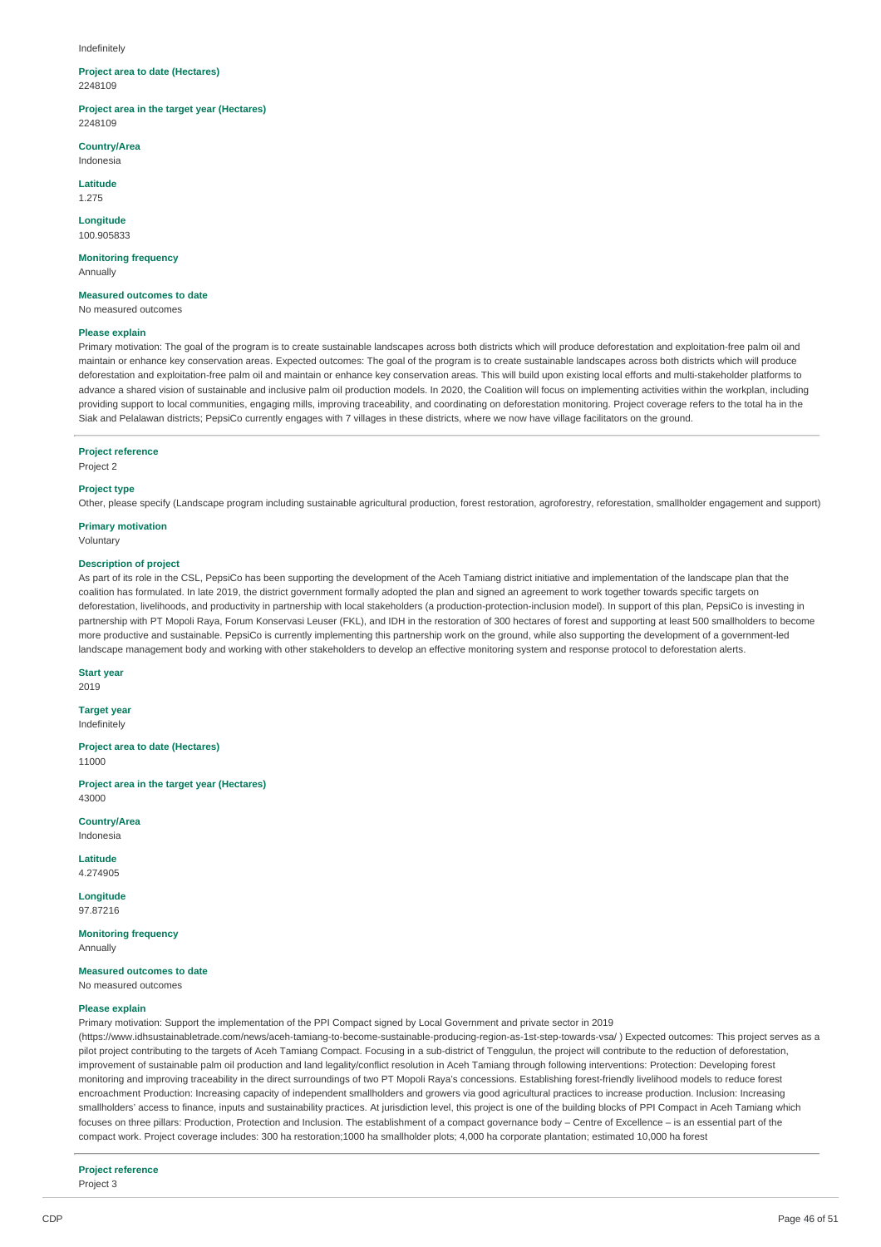#### Indefinitely

#### **Project area to date (Hectares)** 2248109

**Project area in the target year (Hectares)** 2248109

**Country/Area**

Indonesia

**Latitude** 1.275

**Longitude** 100.905833

**Monitoring frequency** Annually

**Measured outcomes to date**

No measured outcomes

### **Please explain**

Primary motivation: The goal of the program is to create sustainable landscapes across both districts which will produce deforestation and exploitation-free palm oil and maintain or enhance key conservation areas. Expected outcomes: The goal of the program is to create sustainable landscapes across both districts which will produce deforestation and exploitation-free palm oil and maintain or enhance key conservation areas. This will build upon existing local efforts and multi-stakeholder platforms to advance a shared vision of sustainable and inclusive palm oil production models. In 2020, the Coalition will focus on implementing activities within the workplan, including providing support to local communities, engaging mills, improving traceability, and coordinating on deforestation monitoring. Project coverage refers to the total ha in the Siak and Pelalawan districts; PepsiCo currently engages with 7 villages in these districts, where we now have village facilitators on the ground.

#### **Project reference**

Project 2

#### **Project type**

Other, please specify (Landscape program including sustainable agricultural production, forest restoration, agroforestry, reforestation, smallholder engagement and support)

### **Primary motivation**

Voluntary

#### **Description of project**

As part of its role in the CSL, PepsiCo has been supporting the development of the Aceh Tamiang district initiative and implementation of the landscape plan that the coalition has formulated. In late 2019, the district government formally adopted the plan and signed an agreement to work together towards specific targets on deforestation, livelihoods, and productivity in partnership with local stakeholders (a production-protection-inclusion model). In support of this plan, PepsiCo is investing in partnership with PT Mopoli Raya, Forum Konservasi Leuser (FKL), and IDH in the restoration of 300 hectares of forest and supporting at least 500 smallholders to become more productive and sustainable. PepsiCo is currently implementing this partnership work on the ground, while also supporting the development of a government-led landscape management body and working with other stakeholders to develop an effective monitoring system and response protocol to deforestation alerts.

### **Start year**

2019

**Target year** Indefinitely

**Project area to date (Hectares)** 11000

**Project area in the target year (Hectares)** 43000

**Country/Area** Indonesia

**Latitude** 4.274905

**Longitude** 97.87216

**Monitoring frequency** Annually

**Measured outcomes to date** No measured outcomes

#### **Please explain**

Primary motivation: Support the implementation of the PPI Compact signed by Local Government and private sector in 2019

(https://www.idhsustainabletrade.com/news/aceh-tamiang-to-become-sustainable-producing-region-as-1st-step-towards-vsa/ ) Expected outcomes: This project serves as a pilot project contributing to the targets of Aceh Tamiang Compact. Focusing in a sub-district of Tenggulun, the project will contribute to the reduction of deforestation, improvement of sustainable palm oil production and land legality/conflict resolution in Aceh Tamiang through following interventions: Protection: Developing forest monitoring and improving traceability in the direct surroundings of two PT Mopoli Raya's concessions. Establishing forest-friendly livelihood models to reduce forest encroachment Production: Increasing capacity of independent smallholders and growers via good agricultural practices to increase production. Inclusion: Increasing smallholders' access to finance, inputs and sustainability practices. At jurisdiction level, this project is one of the building blocks of PPI Compact in Aceh Tamiang which focuses on three pillars: Production, Protection and Inclusion. The establishment of a compact governance body – Centre of Excellence – is an essential part of the compact work. Project coverage includes: 300 ha restoration;1000 ha smallholder plots; 4,000 ha corporate plantation; estimated 10,000 ha forest

#### **Project reference**

Project 3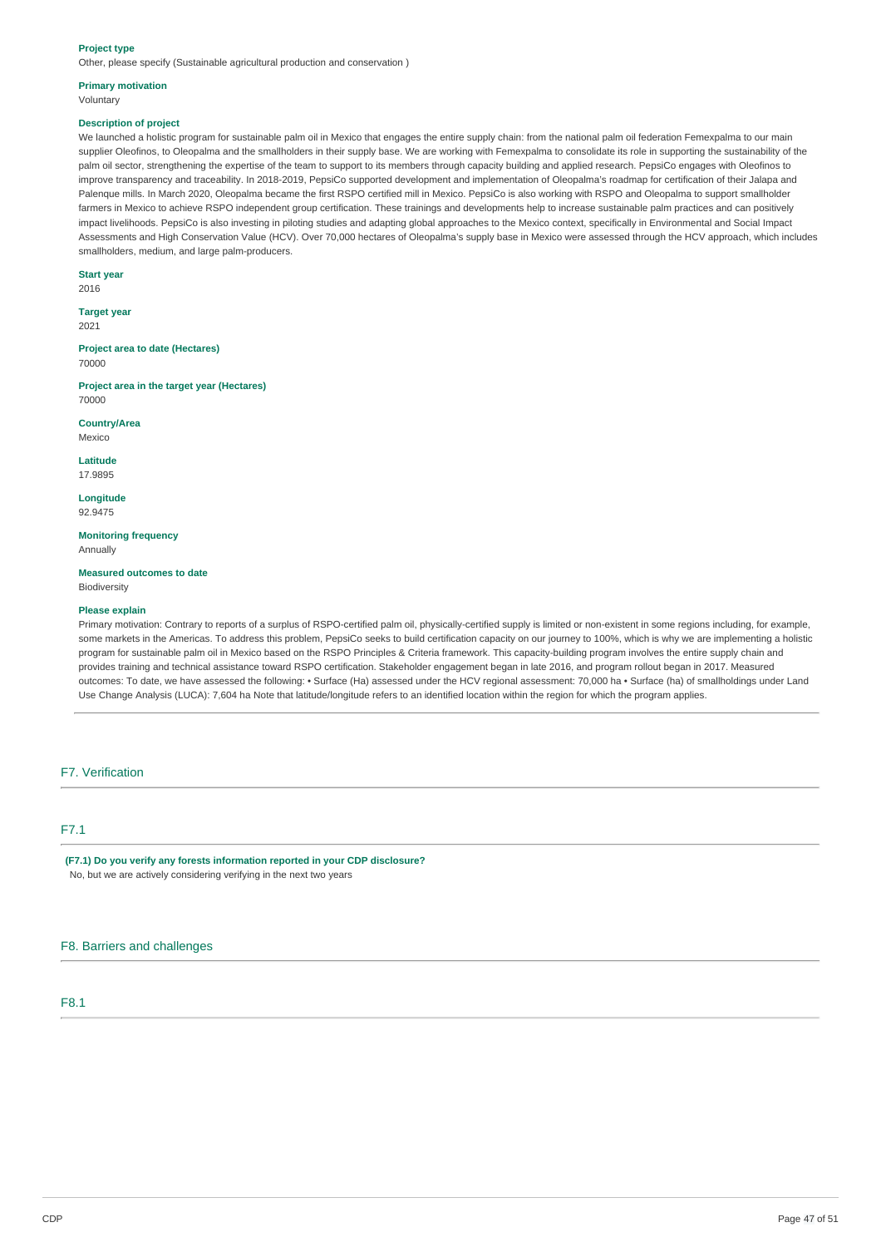#### **Project type**

Other, please specify (Sustainable agricultural production and conservation )

## **Primary motivation**

Voluntary

#### **Description of project**

We launched a holistic program for sustainable palm oil in Mexico that engages the entire supply chain: from the national palm oil federation Femexpalma to our main supplier Oleofinos, to Oleopalma and the smallholders in their supply base. We are working with Femexpalma to consolidate its role in supporting the sustainability of the palm oil sector, strengthening the expertise of the team to support to its members through capacity building and applied research. PepsiCo engages with Oleofinos to improve transparency and traceability. In 2018-2019, PepsiCo supported development and implementation of Oleopalma's roadmap for certification of their Jalapa and Palenque mills. In March 2020, Oleopalma became the first RSPO certified mill in Mexico. PepsiCo is also working with RSPO and Oleopalma to support smallholder farmers in Mexico to achieve RSPO independent group certification. These trainings and developments help to increase sustainable palm practices and can positively impact livelihoods. PepsiCo is also investing in piloting studies and adapting global approaches to the Mexico context, specifically in Environmental and Social Impact Assessments and High Conservation Value (HCV). Over 70,000 hectares of Oleopalma's supply base in Mexico were assessed through the HCV approach, which includes smallholders, medium, and large palm-producers.

### **Start year**

2016

**Target year** 2021

**Project area to date (Hectares)** 70000

**Project area in the target year (Hectares)** 70000

**Country/Area** Mexico

**Latitude**

17.9895

**Longitude** 92.9475

**Monitoring frequency**

Annually

**Measured outcomes to date** Biodiversity

### **Please explain**

Primary motivation: Contrary to reports of a surplus of RSPO-certified palm oil, physically-certified supply is limited or non-existent in some regions including, for example, some markets in the Americas. To address this problem, PepsiCo seeks to build certification capacity on our journey to 100%, which is why we are implementing a holistic program for sustainable palm oil in Mexico based on the RSPO Principles & Criteria framework. This capacity-building program involves the entire supply chain and provides training and technical assistance toward RSPO certification. Stakeholder engagement began in late 2016, and program rollout began in 2017. Measured outcomes: To date, we have assessed the following: • Surface (Ha) assessed under the HCV regional assessment: 70,000 ha • Surface (ha) of smallholdings under Land Use Change Analysis (LUCA): 7,604 ha Note that latitude/longitude refers to an identified location within the region for which the program applies.

### F7. Verification

## F7.1

**(F7.1) Do you verify any forests information reported in your CDP disclosure?** No, but we are actively considering verifying in the next two years

### F8. Barriers and challenges

### F8.1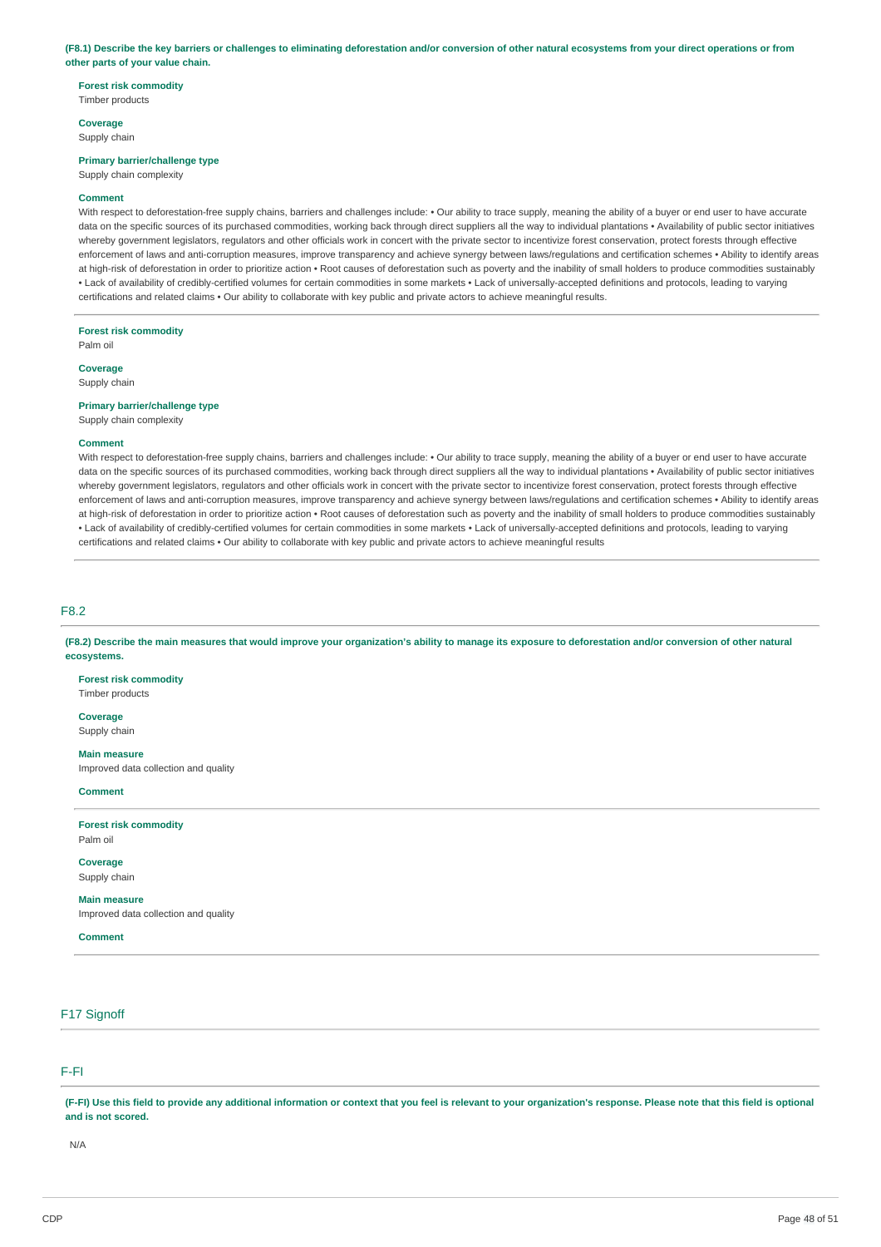#### (F8.1) Describe the key barriers or challenges to eliminating deforestation and/or conversion of other natural ecosystems from your direct operations or from **other parts of your value chain.**

### **Forest risk commodity** Timber products

**Coverage** Supply chain

### **Primary barrier/challenge type**

Supply chain complexity

#### **Comment**

With respect to deforestation-free supply chains, barriers and challenges include: . Our ability to trace supply, meaning the ability of a buyer or end user to have accurate data on the specific sources of its purchased commodities, working back through direct suppliers all the way to individual plantations • Availability of public sector initiatives whereby government legislators, regulators and other officials work in concert with the private sector to incentivize forest conservation, protect forests through effective enforcement of laws and anti-corruption measures, improve transparency and achieve synergy between laws/regulations and certification schemes • Ability to identify areas at high-risk of deforestation in order to prioritize action • Root causes of deforestation such as poverty and the inability of small holders to produce commodities sustainably • Lack of availability of credibly-certified volumes for certain commodities in some markets • Lack of universally-accepted definitions and protocols, leading to varying certifications and related claims • Our ability to collaborate with key public and private actors to achieve meaningful results.

#### **Forest risk commodity**

Palm oil

**Coverage**

## Supply chain

**Primary barrier/challenge type** Supply chain complexity

### **Comment**

With respect to deforestation-free supply chains, barriers and challenges include: • Our ability to trace supply, meaning the ability of a buyer or end user to have accurate data on the specific sources of its purchased commodities, working back through direct suppliers all the way to individual plantations • Availability of public sector initiatives whereby government legislators, regulators and other officials work in concert with the private sector to incentivize forest conservation, protect forests through effective enforcement of laws and anti-corruption measures, improve transparency and achieve synergy between laws/regulations and certification schemes • Ability to identify areas at high-risk of deforestation in order to prioritize action • Root causes of deforestation such as poverty and the inability of small holders to produce commodities sustainably • Lack of availability of credibly-certified volumes for certain commodities in some markets • Lack of universally-accepted definitions and protocols, leading to varying certifications and related claims • Our ability to collaborate with key public and private actors to achieve meaningful results

F8.2

(F8.2) Describe the main measures that would improve your organization's ability to manage its exposure to deforestation and/or conversion of other natural **ecosystems.**

**Forest risk commodity** Timber products

#### **Coverage**

Supply chain

**Main measure**

Improved data collection and quality

#### **Comment**

**Forest risk commodity** Palm oil

**Coverage**

Supply chain **Main measure**

Improved data collection and quality

**Comment**

## F17 Signoff

### F-FI

(F-FI) Use this field to provide any additional information or context that you feel is relevant to your organization's response. Please note that this field is optional **and is not scored.**

N/A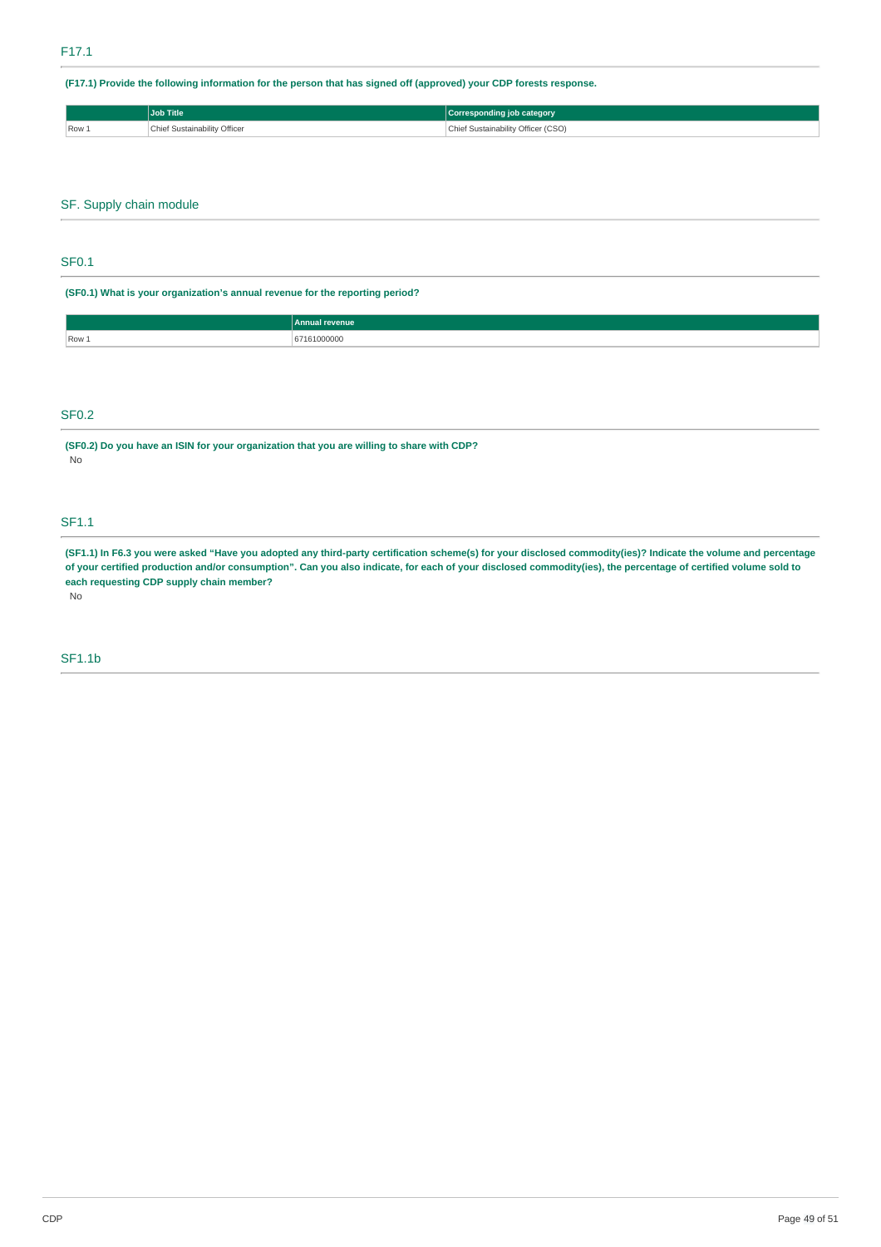(F17.1) Provide the following information for the person that has signed off (approved) your CDP forests response.

|         | <b>Job Title</b>             | Corresponding job category         |
|---------|------------------------------|------------------------------------|
| $Row_1$ | Chief Sustainability Officer | Sustainability Officer (CSO)<br>◡᠁ |

## SF. Supply chain module

### SF0.1

**(SF0.1) What is your organization's annual revenue for the reporting period?**

|       | Annual revenue |
|-------|----------------|
| Row 1 | 0000C<br>.     |
|       |                |

## SF0.2

**(SF0.2) Do you have an ISIN for your organization that you are willing to share with CDP?** No

### SF1.1

(SF1.1) In F6.3 you were asked "Have you adopted any third-party certification scheme(s) for your disclosed commodity(ies)? Indicate the volume and percentage of your certified production and/or consumption". Can you also indicate, for each of your disclosed commodity(ies), the percentage of certified volume sold to **each requesting CDP supply chain member?** No

# SF1.1b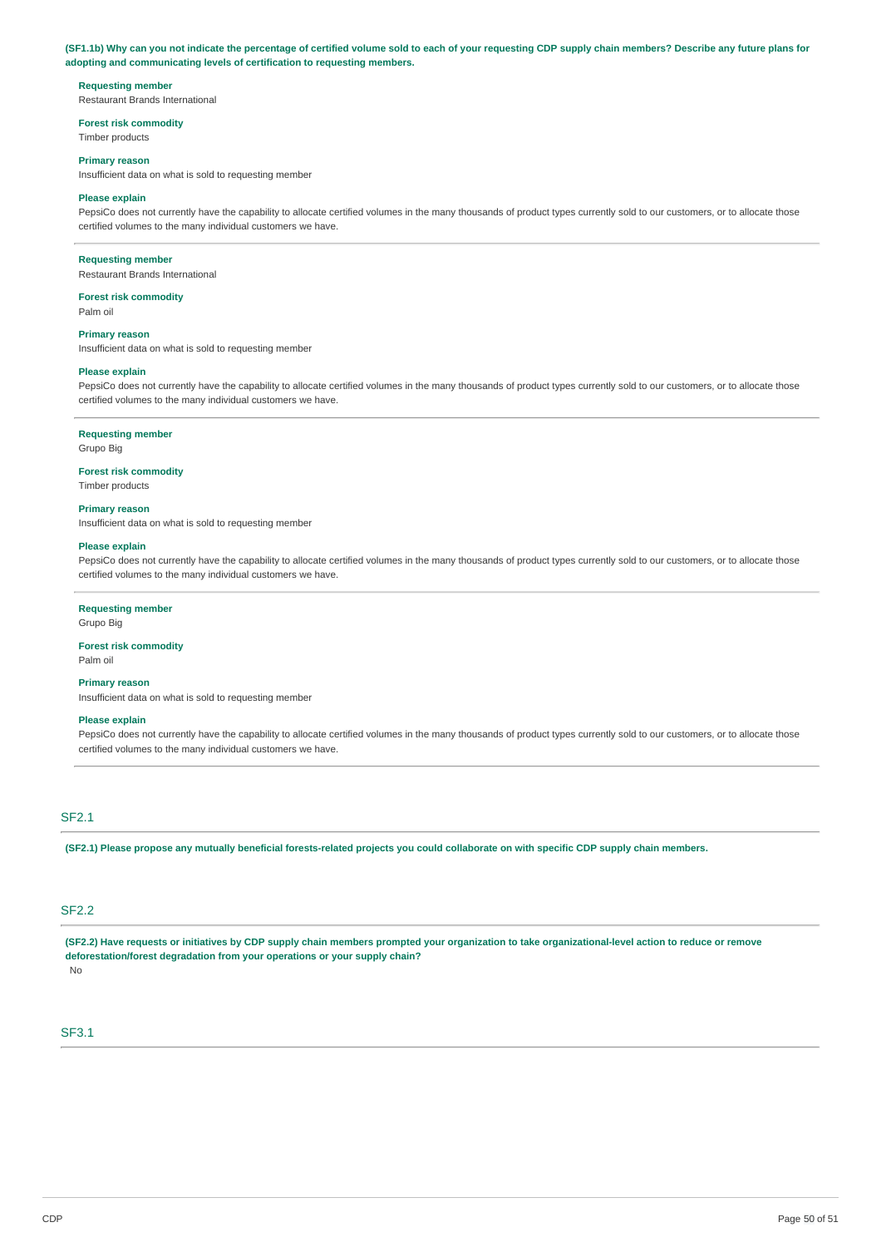#### (SF1.1b) Why can you not indicate the percentage of certified volume sold to each of your requesting CDP supply chain members? Describe any future plans for **adopting and communicating levels of certification to requesting members.**

#### **Requesting member**

Restaurant Brands International

#### **Forest risk commodity**

Timber products

### **Primary reason**

Insufficient data on what is sold to requesting member

#### **Please explain**

PepsiCo does not currently have the capability to allocate certified volumes in the many thousands of product types currently sold to our customers, or to allocate those certified volumes to the many individual customers we have.

#### **Requesting member**

Restaurant Brands International

## **Forest risk commodity**

Palm oil

#### **Primary reason**

Insufficient data on what is sold to requesting member

#### **Please explain**

PepsiCo does not currently have the capability to allocate certified volumes in the many thousands of product types currently sold to our customers, or to allocate those certified volumes to the many individual customers we have.

#### **Requesting member**

Grupo Big

#### **Forest risk commodity**

Timber products

#### **Primary reason**

Insufficient data on what is sold to requesting member

#### **Please explain**

PepsiCo does not currently have the capability to allocate certified volumes in the many thousands of product types currently sold to our customers, or to allocate those certified volumes to the many individual customers we have.

#### **Requesting member**

## Grupo Big

**Forest risk commodity** Palm oil

**Primary reason** Insufficient data on what is sold to requesting member

## **Please explain**

PepsiCo does not currently have the capability to allocate certified volumes in the many thousands of product types currently sold to our customers, or to allocate those certified volumes to the many individual customers we have.

### SF2.1

(SF2.1) Please propose any mutually beneficial forests-related projects you could collaborate on with specific CDP supply chain members.

### SF2.2

(SF2.2) Have requests or initiatives by CDP supply chain members prompted your organization to take organizational-level action to reduce or remove **deforestation/forest degradation from your operations or your supply chain?**

No

## SF3.1